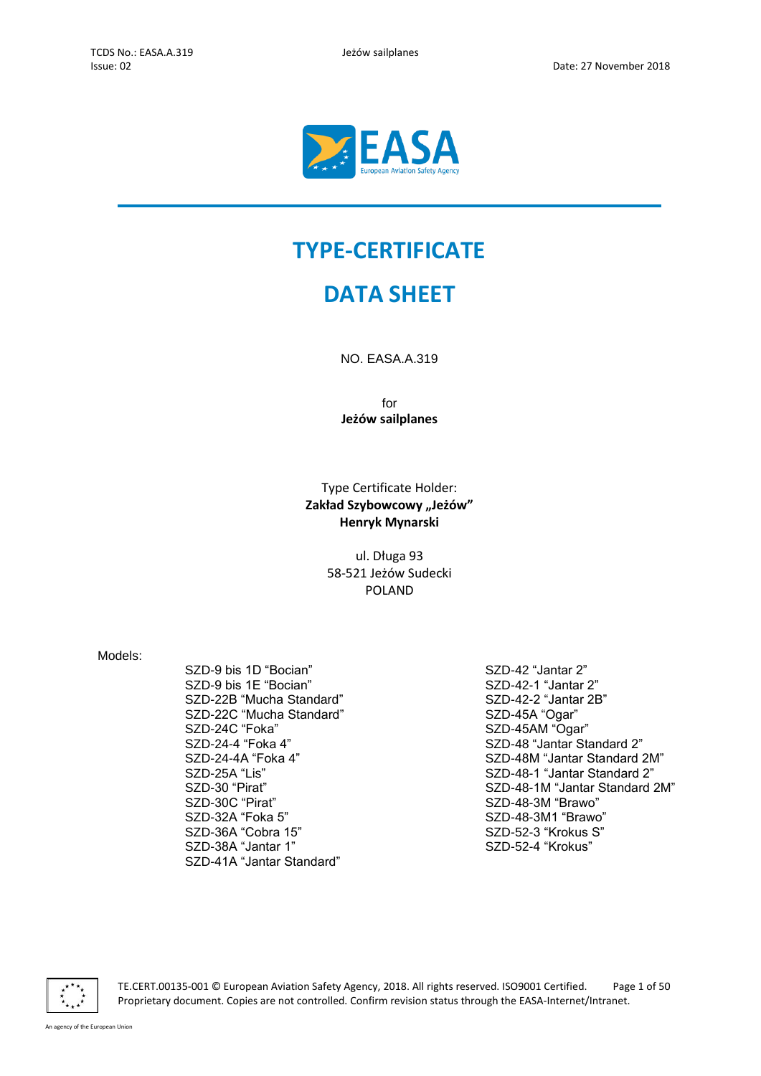

# **TYPE-CERTIFICATE**

## **DATA SHEET**

NO. EASA.A.319

for **Jeżów sailplanes**

Type Certificate Holder: **Zakład Szybowcowy "Jeżów" Henryk Mynarski**

> ul. Długa 93 58-521 Jeżów Sudecki POLAND

Models:

SZD-9 bis 1D "Bocian" SZD-42 "Jantar 2" SZD-9 bis 1E "Bocian" SZD-42-1 "Jantar 2" SZD-22B "Mucha Standard" SZD-42-2 "Jantar 2B" SZD-22C "Mucha Standard" SZD-45A "Ogar" SZD-24C "Foka" SZD-45AM "Ogar" SZD-25A "Lis" SZD-48-1 "Jantar Standard 2" SZD-32A "Foka 5" SZD-48-3M1 "Brawo" SZD-38A "Jantar 1" SZD-41A "Jantar Standard"

SZD-48 "Jantar Standard 2" SZD-24-4A "Foka 4" SZD-48M "Jantar Standard 2M" SZD-30 "Pirat" SZD-48-1M "Jantar Standard 2M"<br>SZD-30C "Pirat" SZD-48-3M "Brawo" SZD-48-3M "Brawo" SZD-52-3 "Krokus S"<br>SZD-52-4 "Krokus"

TE.CERT.00135-001 © European Aviation Safety Agency, 2018. All rights reserved. ISO9001 Certified. Page 1 of 50 Proprietary document. Copies are not controlled. Confirm revision status through the EASA-Internet/Intranet.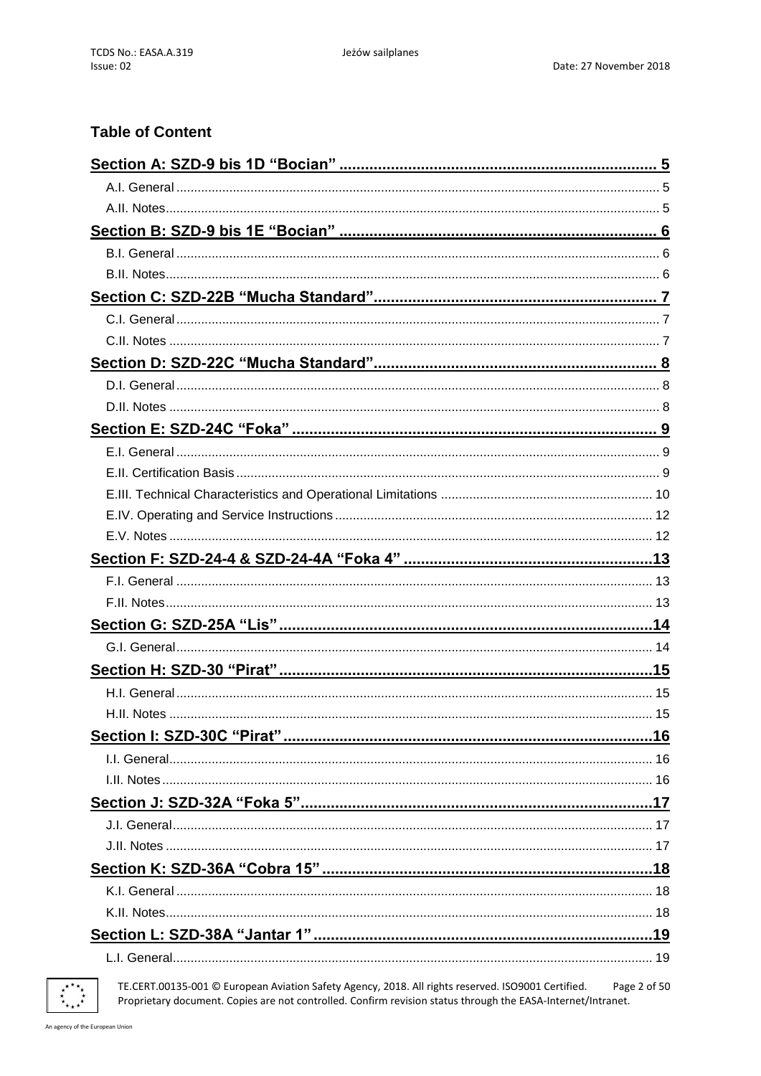### **Table of Content**



TE.CERT.00135-001 © European Aviation Safety Agency, 2018. All rights reserved. ISO9001 Certified. Page 2 of 50 Proprietary document. Copies are not controlled. Confirm revision status through the EASA-Internet/Intranet.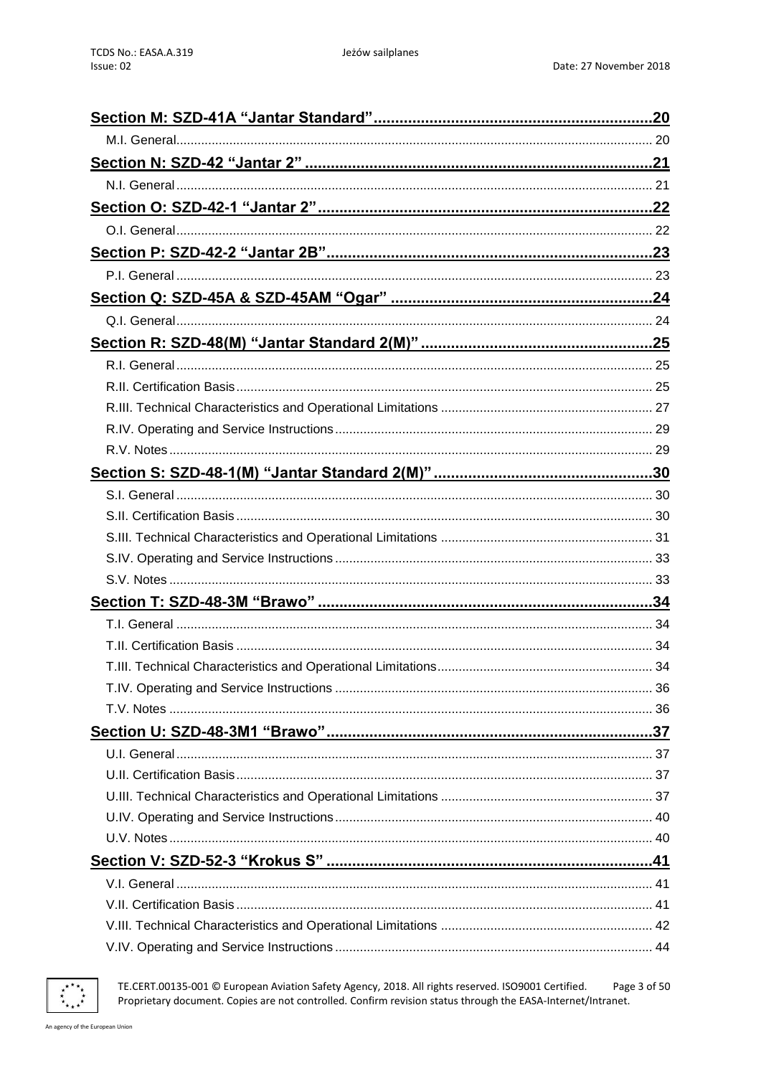

TE.CERT.00135-001 © European Aviation Safety Agency, 2018. All rights reserved. ISO9001 Certified. Page 3 of 50 Proprietary document. Copies are not controlled. Confirm revision status through the EASA-Internet/Intranet.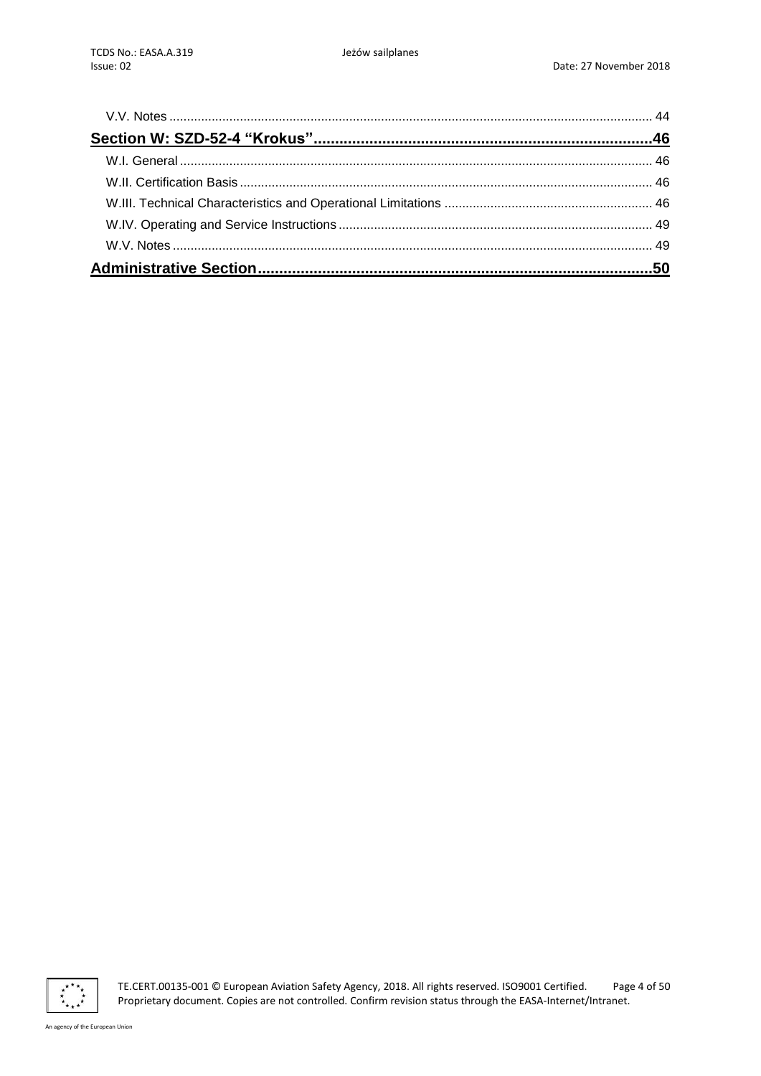

TE.CERT.00135-001 © European Aviation Safety Agency, 2018. All rights reserved. ISO9001 Certified. Page 4 of 50 Proprietary document. Copies are not controlled. Confirm revision status through the EASA-Internet/Intranet.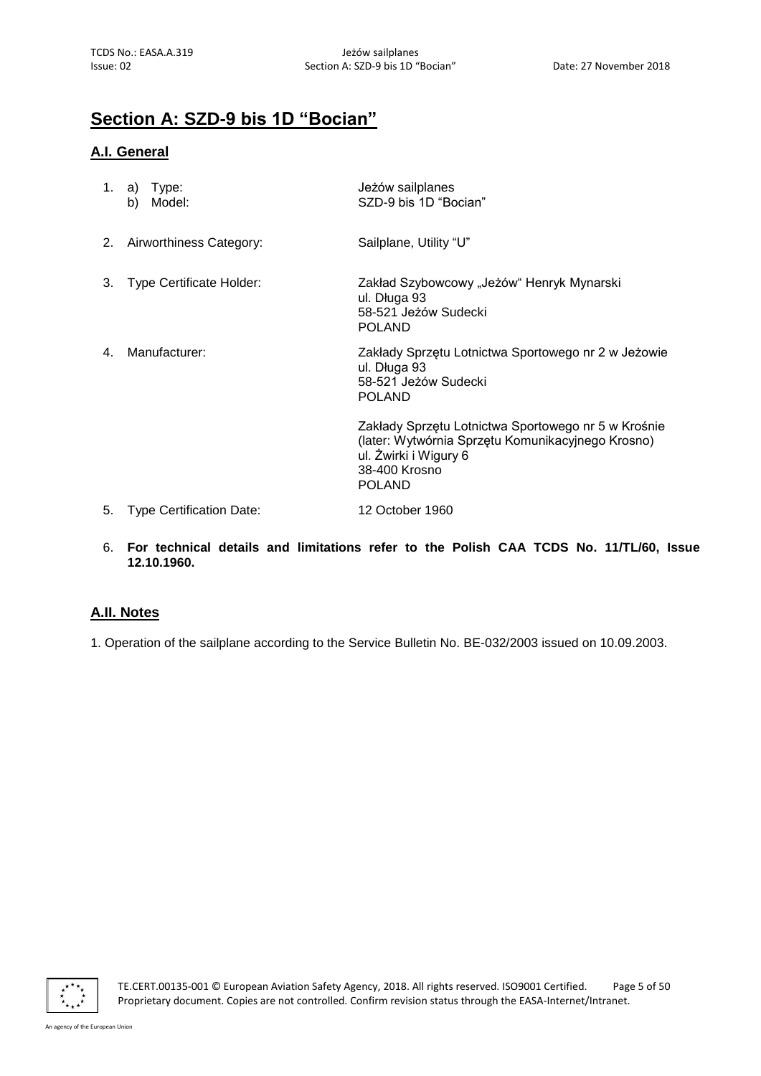### <span id="page-4-0"></span>**Section A: SZD-9 bis 1D "Bocian"**

#### <span id="page-4-1"></span>**A.I. General**

| 1. | a) Type:<br>Model:<br>b)        | Jeżów sailplanes<br>SZD-9 bis 1D "Bocian"                                                                                                                           |
|----|---------------------------------|---------------------------------------------------------------------------------------------------------------------------------------------------------------------|
|    | 2. Airworthiness Category:      | Sailplane, Utility "U"                                                                                                                                              |
|    | 3. Type Certificate Holder:     | Zakład Szybowcowy "Jeżów" Henryk Mynarski<br>ul. Długa 93<br>58-521 Jeżów Sudecki<br><b>POLAND</b>                                                                  |
| 4. | Manufacturer:                   | Zakłady Sprzętu Lotnictwa Sportowego nr 2 w Jeżowie<br>ul. Długa 93<br>58-521 Jeżów Sudecki<br><b>POLAND</b>                                                        |
|    |                                 | Zakłady Sprzętu Lotnictwa Sportowego nr 5 w Krośnie<br>(later: Wytwórnia Sprzętu Komunikacyjnego Krosno)<br>ul. Żwirki i Wigury 6<br>38-400 Krosno<br><b>POLAND</b> |
| 5. | <b>Type Certification Date:</b> | 12 October 1960                                                                                                                                                     |

6. **For technical details and limitations refer to the Polish CAA TCDS No. 11/TL/60, Issue 12.10.1960.**

#### <span id="page-4-2"></span>**A.II. Notes**

1. Operation of the sailplane according to the Service Bulletin No. BE-032/2003 issued on 10.09.2003.

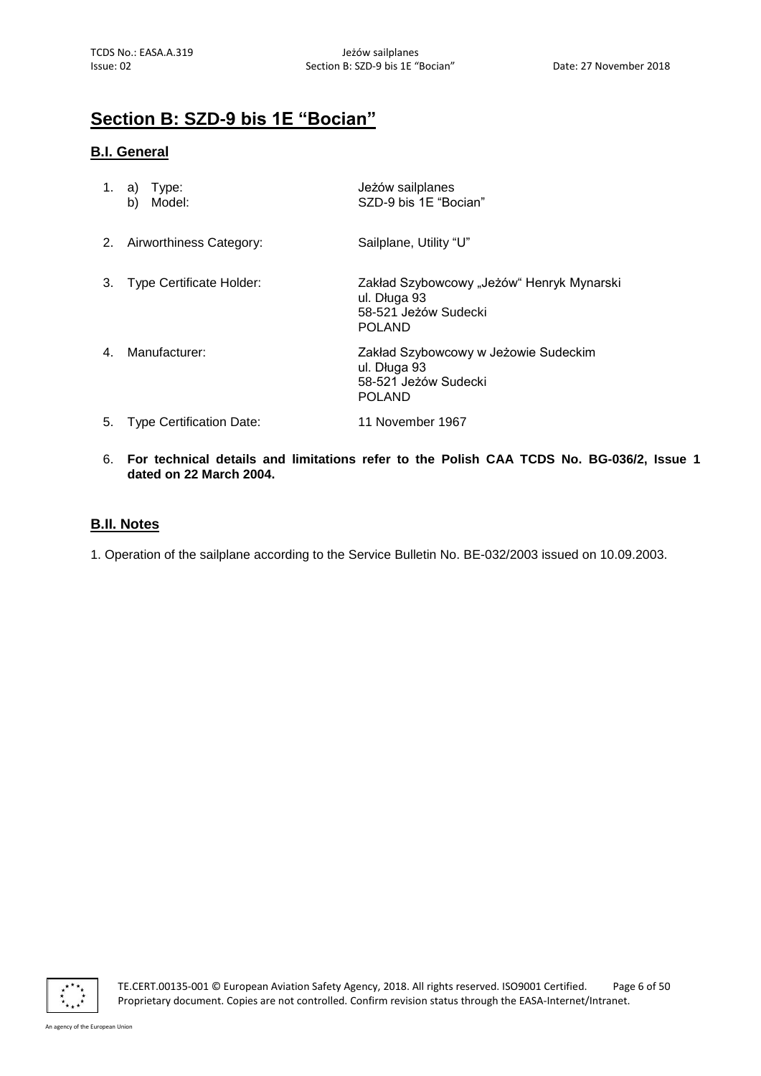### <span id="page-5-0"></span>**Section B: SZD-9 bis 1E "Bocian"**

#### <span id="page-5-1"></span>**B.I. General**

| 1.      | a) Type:<br>Model:<br>b)        | Jeżów sailplanes<br>SZD-9 bis 1E "Bocian"                                                          |
|---------|---------------------------------|----------------------------------------------------------------------------------------------------|
|         | 2. Airworthiness Category:      | Sailplane, Utility "U"                                                                             |
| 3.      | Type Certificate Holder:        | Zakład Szybowcowy "Jeżów" Henryk Mynarski<br>ul. Długa 93<br>58-521 Jeżów Sudecki<br><b>POLAND</b> |
| $4_{-}$ | Manufacturer:                   | Zakład Szybowcowy w Jeżowie Sudeckim<br>ul. Długa 93<br>58-521 Jeżów Sudecki<br><b>POLAND</b>      |
| 5.      | <b>Type Certification Date:</b> | 11 November 1967                                                                                   |

6. **For technical details and limitations refer to the Polish CAA TCDS No. BG-036/2, Issue 1 dated on 22 March 2004.**

#### <span id="page-5-2"></span>**B.II. Notes**

1. Operation of the sailplane according to the Service Bulletin No. BE-032/2003 issued on 10.09.2003.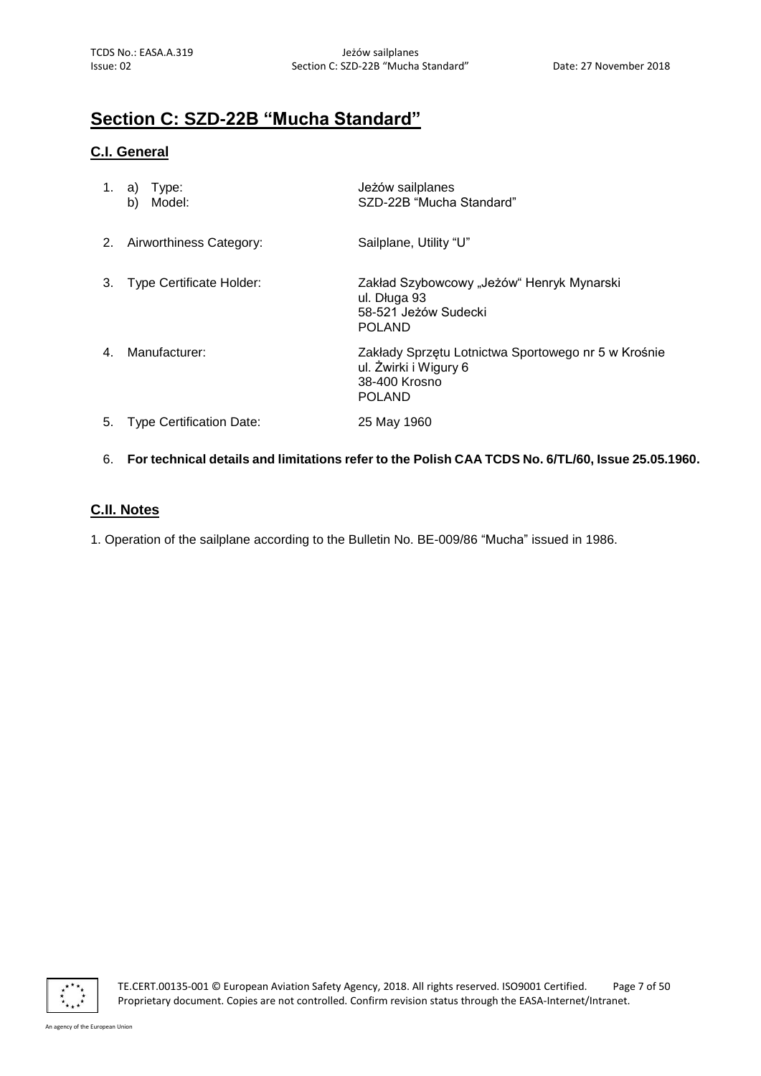## <span id="page-6-0"></span>**Section C: SZD-22B "Mucha Standard"**

#### <span id="page-6-1"></span>**C.I. General**

| 1. | a)<br>Type:<br>Model:<br>b)     | Jeżów sailplanes<br>SZD-22B "Mucha Standard"                                                                   |
|----|---------------------------------|----------------------------------------------------------------------------------------------------------------|
|    | 2. Airworthiness Category:      | Sailplane, Utility "U"                                                                                         |
| 3. | <b>Type Certificate Holder:</b> | Zakład Szybowcowy "Jeżów" Henryk Mynarski<br>ul. Długa 93<br>58-521 Jeżów Sudecki<br><b>POLAND</b>             |
| 4. | Manufacturer:                   | Zakłady Sprzętu Lotnictwa Sportowego nr 5 w Krośnie<br>ul. Żwirki i Wigury 6<br>38-400 Krosno<br><b>POLAND</b> |
| 5. | <b>Type Certification Date:</b> | 25 May 1960                                                                                                    |

#### 6. **For technical details and limitations refer to the Polish CAA TCDS No. 6/TL/60, Issue 25.05.1960.**

#### <span id="page-6-2"></span>**C.II. Notes**

1. Operation of the sailplane according to the Bulletin No. BE-009/86 "Mucha" issued in 1986.



TE.CERT.00135-001 © European Aviation Safety Agency, 2018. All rights reserved. ISO9001 Certified. Page 7 of 50 Proprietary document. Copies are not controlled. Confirm revision status through the EASA-Internet/Intranet.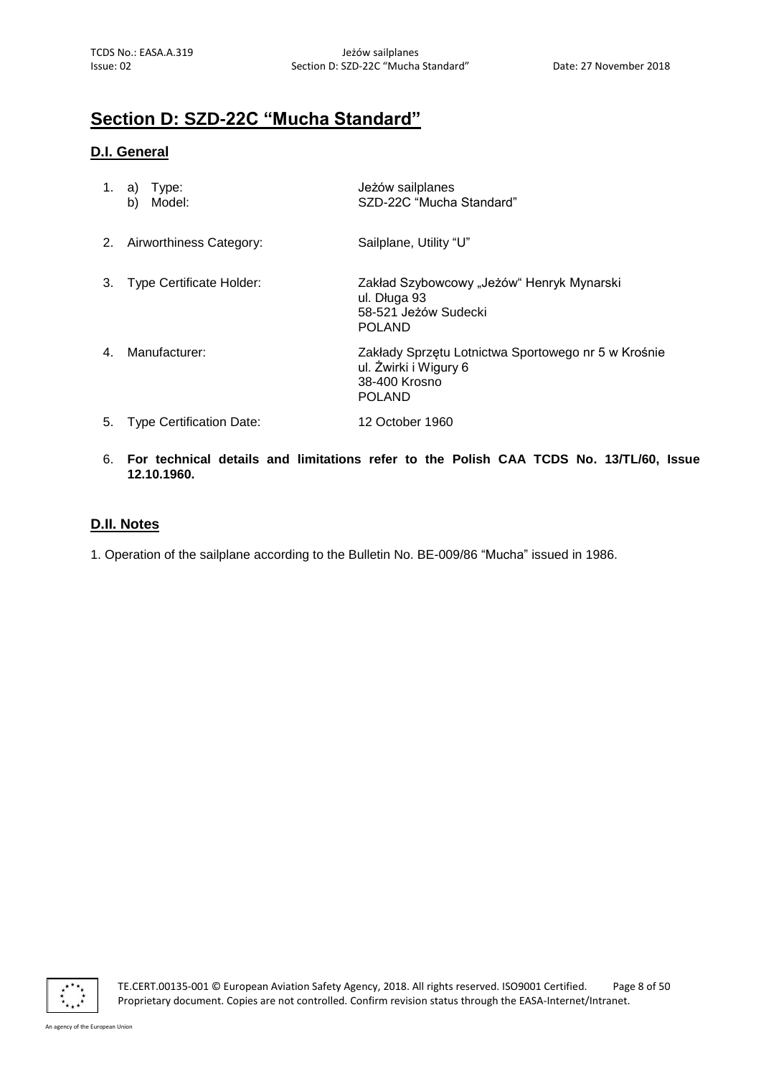## <span id="page-7-0"></span>**Section D: SZD-22C "Mucha Standard"**

#### <span id="page-7-1"></span>**D.I. General**

| 1. | a)<br>Type:<br>Model:<br>b) | Jeżów sailplanes<br>SZD-22C "Mucha Standard"                                                                   |
|----|-----------------------------|----------------------------------------------------------------------------------------------------------------|
|    | 2. Airworthiness Category:  | Sailplane, Utility "U"                                                                                         |
|    | 3. Type Certificate Holder: | Zakład Szybowcowy "Jeżów" Henryk Mynarski<br>ul. Długa 93<br>58-521 Jeżów Sudecki<br><b>POLAND</b>             |
| 4. | Manufacturer:               | Zakłady Sprzętu Lotnictwa Sportowego nr 5 w Krośnie<br>ul. Żwirki i Wigury 6<br>38-400 Krosno<br><b>POLAND</b> |
| 5. | Type Certification Date:    | 12 October 1960                                                                                                |
|    |                             |                                                                                                                |

6. **For technical details and limitations refer to the Polish CAA TCDS No. 13/TL/60, Issue 12.10.1960.**

#### <span id="page-7-2"></span>**D.II. Notes**

1. Operation of the sailplane according to the Bulletin No. BE-009/86 "Mucha" issued in 1986.



TE.CERT.00135-001 © European Aviation Safety Agency, 2018. All rights reserved. ISO9001 Certified. Page 8 of 50 Proprietary document. Copies are not controlled. Confirm revision status through the EASA-Internet/Intranet.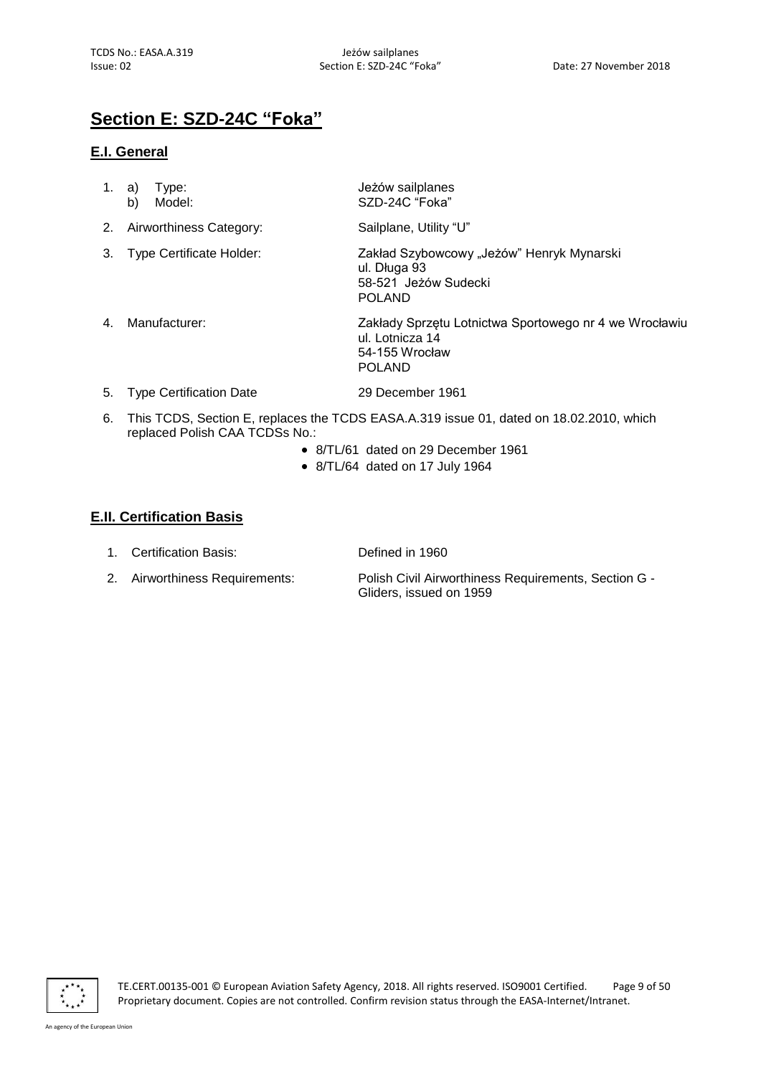### <span id="page-8-0"></span>**Section E: SZD-24C "Foka"**

#### <span id="page-8-1"></span>**E.I. General**

|  | 1. a) Type: | Jeżów sailplanes |
|--|-------------|------------------|
|  | b) Model:   | SZD-24C "Foka"   |

- 2. Airworthiness Category: Sailplane, Utility "U"
- 3. Type Certificate Holder: Zakład Szybowcowy "Jeżów" Henryk Mynarski ul. Długa 93 58-521 Jeżów Sudecki POLAND
- 4. Manufacturer: Zakłady Sprzętu Lotnictwa Sportowego nr 4 we Wrocławiu ul. Lotnicza 14 54-155 Wrocław POLAND
- 5. Type Certification Date 29 December 1961
- 6. This TCDS, Section E, replaces the TCDS EASA.A.319 issue 01, dated on 18.02.2010, which replaced Polish CAA TCDSs No.:
	- 8/TL/61 dated on 29 December 1961
	- 8/TL/64 dated on 17 July 1964

#### <span id="page-8-2"></span>**E.II. Certification Basis**

- 1. Certification Basis: Defined in 1960
- 2. Airworthiness Requirements: Polish Civil Airworthiness Requirements, Section G Gliders, issued on 1959



TE.CERT.00135-001 © European Aviation Safety Agency, 2018. All rights reserved. ISO9001 Certified. Page 9 of 50 Proprietary document. Copies are not controlled. Confirm revision status through the EASA-Internet/Intranet.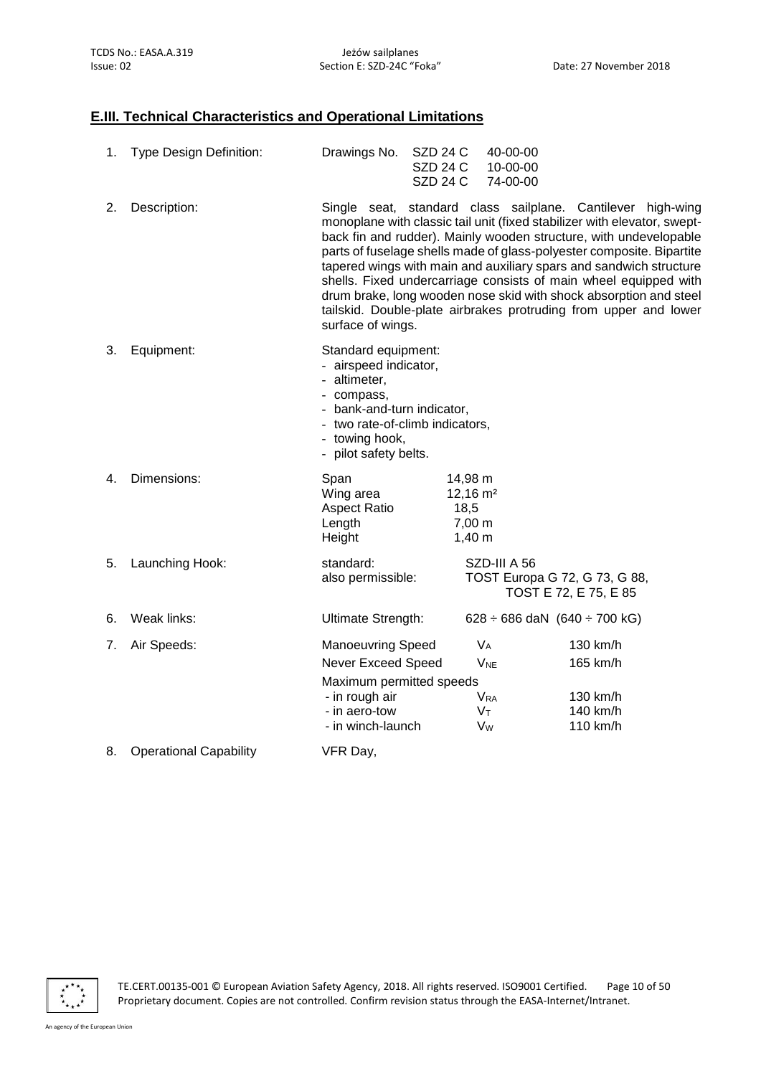#### <span id="page-9-0"></span>**E.III. Technical Characteristics and Operational Limitations**

| 1. | <b>Type Design Definition:</b> | Drawings No.                                                                                                                                                                                                                                                                                                                                                                                                                                    | <b>SZD 24 C</b><br><b>SZD 24 C</b><br><b>SZD 24 C</b>                       | 40-00-00<br>10-00-00<br>74-00-00                              |                                                                                                                                            |  |
|----|--------------------------------|-------------------------------------------------------------------------------------------------------------------------------------------------------------------------------------------------------------------------------------------------------------------------------------------------------------------------------------------------------------------------------------------------------------------------------------------------|-----------------------------------------------------------------------------|---------------------------------------------------------------|--------------------------------------------------------------------------------------------------------------------------------------------|--|
| 2. | Description:                   | Single seat, standard class sailplane. Cantilever high-wing<br>monoplane with classic tail unit (fixed stabilizer with elevator, swept-<br>tapered wings with main and auxiliary spars and sandwich structure<br>shells. Fixed undercarriage consists of main wheel equipped with<br>drum brake, long wooden nose skid with shock absorption and steel<br>tailskid. Double-plate airbrakes protruding from upper and lower<br>surface of wings. |                                                                             |                                                               | back fin and rudder). Mainly wooden structure, with undevelopable<br>parts of fuselage shells made of glass-polyester composite. Bipartite |  |
| 3. | Equipment:                     | Standard equipment:<br>- airspeed indicator,<br>- altimeter,<br>- compass,<br>- bank-and-turn indicator,<br>- two rate-of-climb indicators,<br>- towing hook,<br>- pilot safety belts.                                                                                                                                                                                                                                                          |                                                                             |                                                               |                                                                                                                                            |  |
| 4. | Dimensions:                    | Span<br>Wing area<br><b>Aspect Ratio</b><br>Length<br>Height                                                                                                                                                                                                                                                                                                                                                                                    | 14,98 m<br>$12,16 \text{ m}^2$<br>18,5<br>$7,00 \; \text{m}$<br>$1,40 \; m$ |                                                               |                                                                                                                                            |  |
| 5. | Launching Hook:                | standard:<br>also permissible:                                                                                                                                                                                                                                                                                                                                                                                                                  |                                                                             | SZD-III A 56                                                  | TOST Europa G 72, G 73, G 88,<br>TOST E 72, E 75, E 85                                                                                     |  |
| 6. | Weak links:                    | <b>Ultimate Strength:</b>                                                                                                                                                                                                                                                                                                                                                                                                                       |                                                                             |                                                               | $628 \div 686$ daN $(640 \div 700$ kG)                                                                                                     |  |
| 7. | Air Speeds:                    | <b>Manoeuvring Speed</b>                                                                                                                                                                                                                                                                                                                                                                                                                        |                                                                             | $V_A$                                                         | 130 km/h                                                                                                                                   |  |
|    |                                | Never Exceed Speed<br>Maximum permitted speeds<br>- in rough air<br>- in aero-tow<br>- in winch-launch                                                                                                                                                                                                                                                                                                                                          |                                                                             | <b>V<sub>NE</sub></b><br><b>V<sub>RA</sub></b><br>$V_T$<br>Vw | 165 km/h<br>130 km/h<br>140 km/h<br>110 km/h                                                                                               |  |
| 8. | <b>Operational Capability</b>  | VFR Day,                                                                                                                                                                                                                                                                                                                                                                                                                                        |                                                                             |                                                               |                                                                                                                                            |  |



TE.CERT.00135-001 © European Aviation Safety Agency, 2018. All rights reserved. ISO9001 Certified. Page 10 of 50 Proprietary document. Copies are not controlled. Confirm revision status through the EASA-Internet/Intranet.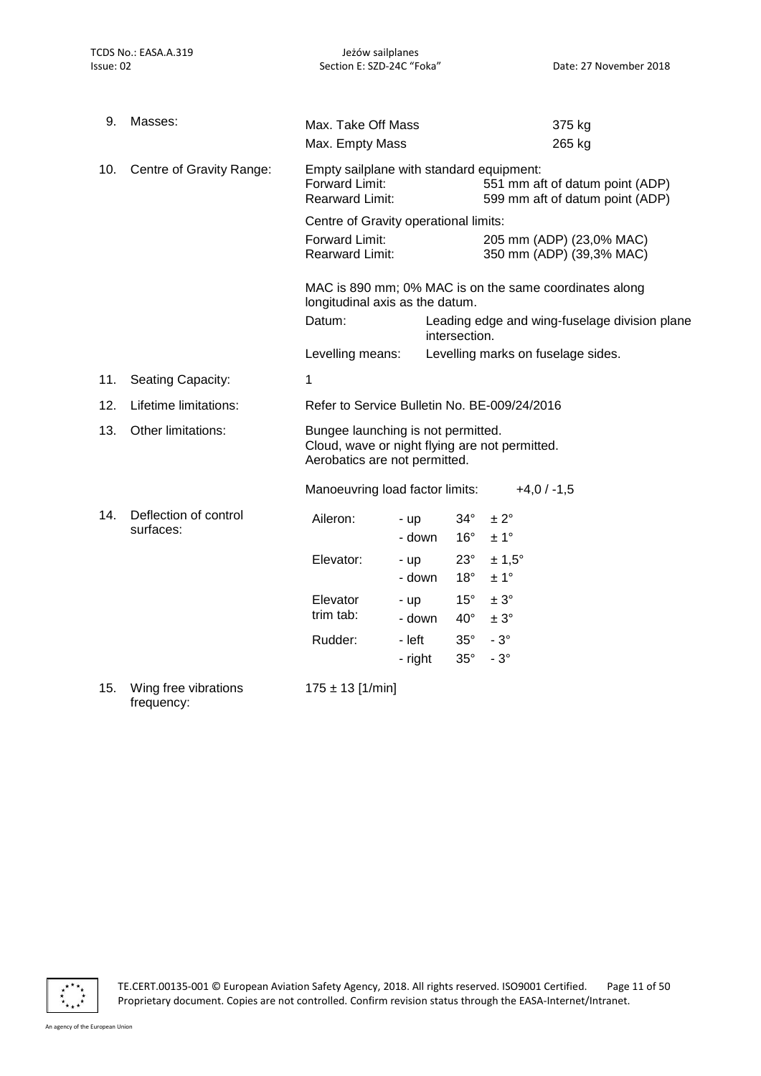| 9.  | Masses:                            | Max. Take Off Mass                                                                                                    |                                                                                           | 375 kg                                                             |  |  |
|-----|------------------------------------|-----------------------------------------------------------------------------------------------------------------------|-------------------------------------------------------------------------------------------|--------------------------------------------------------------------|--|--|
|     |                                    | Max. Empty Mass                                                                                                       |                                                                                           | 265 kg                                                             |  |  |
| 10. | Centre of Gravity Range:           | Empty sailplane with standard equipment:<br>Forward Limit:<br><b>Rearward Limit:</b>                                  |                                                                                           | 551 mm aft of datum point (ADP)<br>599 mm aft of datum point (ADP) |  |  |
|     |                                    |                                                                                                                       | Centre of Gravity operational limits:                                                     |                                                                    |  |  |
|     |                                    | Forward Limit:<br><b>Rearward Limit:</b>                                                                              |                                                                                           | 205 mm (ADP) (23,0% MAC)<br>350 mm (ADP) (39,3% MAC)               |  |  |
|     |                                    |                                                                                                                       | MAC is 890 mm; 0% MAC is on the same coordinates along<br>longitudinal axis as the datum. |                                                                    |  |  |
|     |                                    | Datum:                                                                                                                | intersection.                                                                             | Leading edge and wing-fuselage division plane                      |  |  |
|     |                                    | Levelling means:                                                                                                      |                                                                                           | Levelling marks on fuselage sides.                                 |  |  |
| 11. | Seating Capacity:                  | 1                                                                                                                     |                                                                                           |                                                                    |  |  |
| 12. | Lifetime limitations:              | Refer to Service Bulletin No. BE-009/24/2016                                                                          |                                                                                           |                                                                    |  |  |
| 13. | Other limitations:                 | Bungee launching is not permitted.<br>Cloud, wave or night flying are not permitted.<br>Aerobatics are not permitted. |                                                                                           |                                                                    |  |  |
|     |                                    | Manoeuvring load factor limits:                                                                                       |                                                                                           | $+4,0/ -1,5$                                                       |  |  |
| 14. | Deflection of control<br>surfaces: | Aileron:<br>- up                                                                                                      | $34^\circ$<br>$16^{\circ}$<br>- down                                                      | $± 2^{\circ}$<br>± 1°                                              |  |  |
|     |                                    | Elevator:<br>- up                                                                                                     | $23^\circ$<br>$18^{\circ}$<br>- down                                                      | $± 1,5^{\circ}$<br>± 1°                                            |  |  |
|     |                                    | Elevator<br>- up<br>trim tab:                                                                                         | $15^{\circ}$<br>- down<br>$40^{\circ}$                                                    | $± 3^{\circ}$<br>$± 3^{\circ}$                                     |  |  |
|     |                                    | Rudder:                                                                                                               | $35^\circ$<br>- left<br>$35^\circ$<br>- right                                             | $-3^\circ$<br>$-3^\circ$                                           |  |  |
| 15. | Wing free vibrations<br>frequency: | $175 \pm 13$ [1/min]                                                                                                  |                                                                                           |                                                                    |  |  |



TE.CERT.00135-001 © European Aviation Safety Agency, 2018. All rights reserved. ISO9001 Certified. Page 11 of 50 Proprietary document. Copies are not controlled. Confirm revision status through the EASA-Internet/Intranet.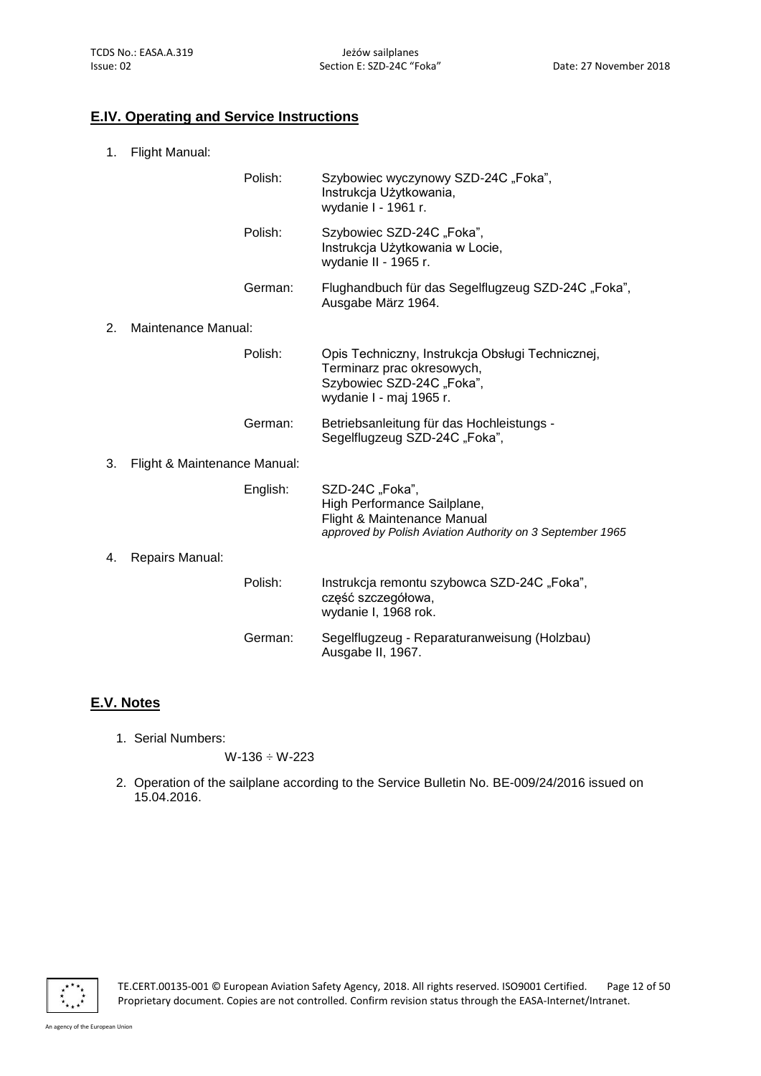#### <span id="page-11-0"></span>**E.IV. Operating and Service Instructions**

1. Flight Manual:

|    |                              | Polish:  | Szybowiec wyczynowy SZD-24C "Foka",<br>Instrukcja Użytkowania,<br>wydanie I - 1961 r.                                                      |
|----|------------------------------|----------|--------------------------------------------------------------------------------------------------------------------------------------------|
|    |                              | Polish:  | Szybowiec SZD-24C "Foka",<br>Instrukcja Użytkowania w Locie,<br>wydanie II - 1965 r.                                                       |
|    |                              | German:  | Flughandbuch für das Segelflugzeug SZD-24C "Foka",<br>Ausgabe März 1964.                                                                   |
| 2. | Maintenance Manual:          |          |                                                                                                                                            |
|    |                              | Polish:  | Opis Techniczny, Instrukcja Obsługi Technicznej,<br>Terminarz prac okresowych,<br>Szybowiec SZD-24C "Foka",<br>wydanie I - maj 1965 r.     |
|    |                              | German:  | Betriebsanleitung für das Hochleistungs -<br>Segelflugzeug SZD-24C "Foka",                                                                 |
| 3. | Flight & Maintenance Manual: |          |                                                                                                                                            |
|    |                              | English: | SZD-24C "Foka",<br>High Performance Sailplane,<br>Flight & Maintenance Manual<br>approved by Polish Aviation Authority on 3 September 1965 |
| 4. | Repairs Manual:              |          |                                                                                                                                            |
|    |                              | Polish:  | Instrukcja remontu szybowca SZD-24C "Foka",<br>część szczegółowa,<br>wydanie I, 1968 rok.                                                  |
|    |                              | German:  | Segelflugzeug - Reparaturanweisung (Holzbau)<br>Ausgabe II, 1967.                                                                          |

#### <span id="page-11-1"></span>**E.V. Notes**

1. Serial Numbers:

W-136 ÷ W-223

2. Operation of the sailplane according to the Service Bulletin No. BE-009/24/2016 issued on 15.04.2016.

TE.CERT.00135-001 © European Aviation Safety Agency, 2018. All rights reserved. ISO9001 Certified. Page 12 of 50 Proprietary document. Copies are not controlled. Confirm revision status through the EASA-Internet/Intranet.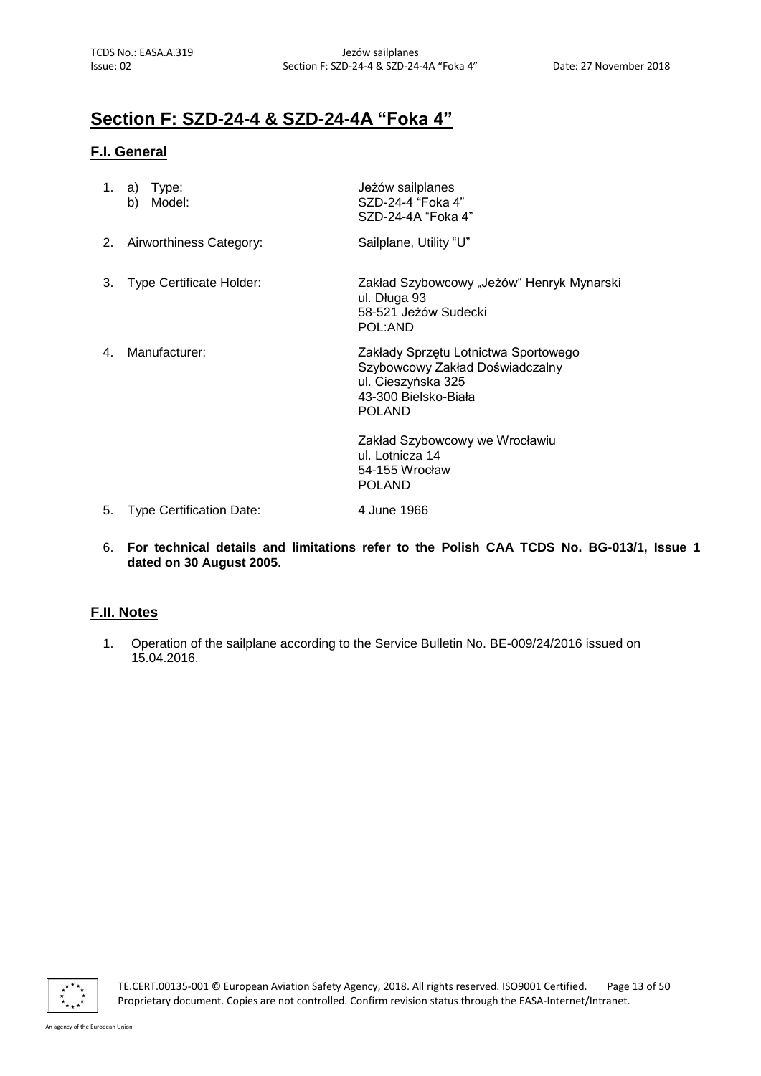## <span id="page-12-0"></span>**Section F: SZD-24-4 & SZD-24-4A "Foka 4"**

#### <span id="page-12-1"></span>**F.I. General**

| 1. | a) Type:<br>Model:<br>b) | Jeżów sailplanes<br>SZD-24-4 "Foka 4"<br>SZD-24-4A "Foka 4"                                                                            |
|----|--------------------------|----------------------------------------------------------------------------------------------------------------------------------------|
| 2. | Airworthiness Category:  | Sailplane, Utility "U"                                                                                                                 |
| 3. | Type Certificate Holder: | Zakład Szybowcowy "Jeżów" Henryk Mynarski<br>ul. Długa 93<br>58-521 Jeżów Sudecki<br>POL: AND                                          |
| 4. | Manufacturer:            | Zakłady Sprzętu Lotnictwa Sportowego<br>Szybowcowy Zakład Doświadczalny<br>ul. Cieszyńska 325<br>43-300 Bielsko-Biała<br><b>POLAND</b> |
|    |                          | Zakład Szybowcowy we Wrocławiu<br>ul. Lotnicza 14<br>54-155 Wrocław<br><b>POLAND</b>                                                   |
| 5. | Type Certification Date: | 4 June 1966                                                                                                                            |

6. **For technical details and limitations refer to the Polish CAA TCDS No. BG-013/1, Issue 1 dated on 30 August 2005.**

#### <span id="page-12-2"></span>**F.II. Notes**

1. Operation of the sailplane according to the Service Bulletin No. BE-009/24/2016 issued on 15.04.2016.



TE.CERT.00135-001 © European Aviation Safety Agency, 2018. All rights reserved. ISO9001 Certified. Page 13 of 50 Proprietary document. Copies are not controlled. Confirm revision status through the EASA-Internet/Intranet.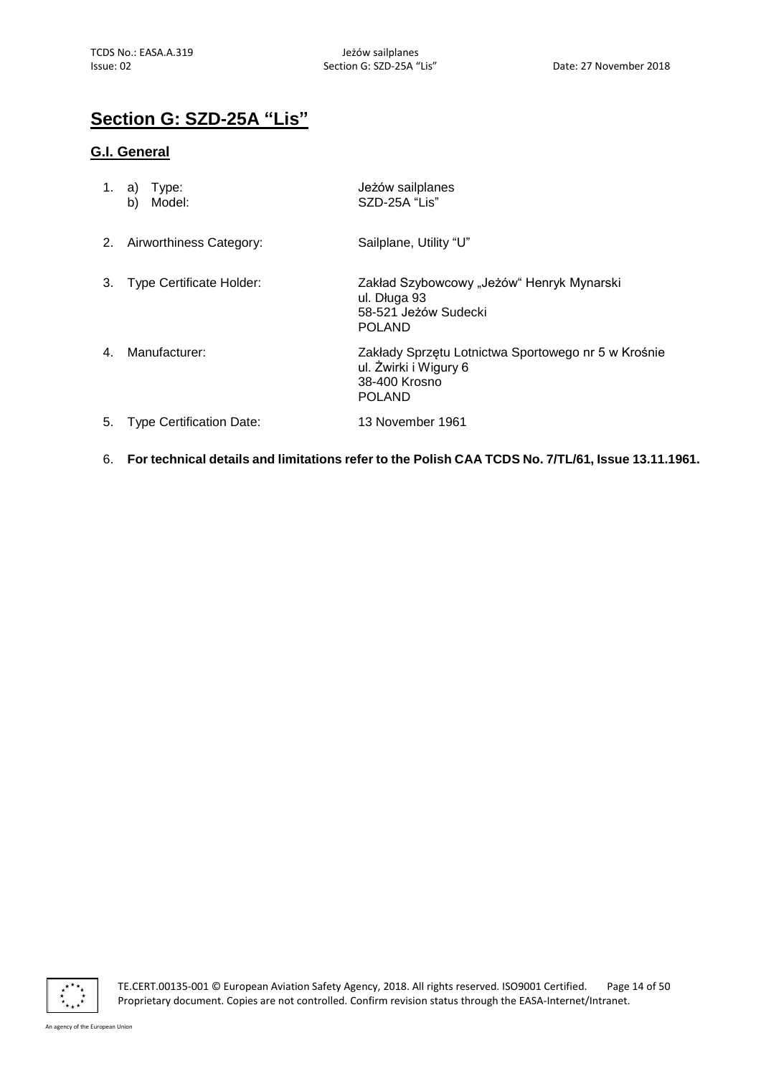## <span id="page-13-0"></span>**Section G: SZD-25A "Lis"**

#### <span id="page-13-1"></span>**G.I. General**

| 1. | Type:<br>a)<br>Model:<br>b)     | Jeżów sailplanes<br>SZD-25A "Lis"                                                                              |
|----|---------------------------------|----------------------------------------------------------------------------------------------------------------|
|    | 2. Airworthiness Category:      | Sailplane, Utility "U"                                                                                         |
|    | 3. Type Certificate Holder:     | Zakład Szybowcowy "Jeżów" Henryk Mynarski<br>ul. Długa 93<br>58-521 Jeżów Sudecki<br><b>POLAND</b>             |
| 4. | Manufacturer:                   | Zakłady Sprzętu Lotnictwa Sportowego nr 5 w Krośnie<br>ul. Żwirki i Wigury 6<br>38-400 Krosno<br><b>POLAND</b> |
| 5. | <b>Type Certification Date:</b> | 13 November 1961                                                                                               |
|    |                                 |                                                                                                                |

6. **For technical details and limitations refer to the Polish CAA TCDS No. 7/TL/61, Issue 13.11.1961.**



TE.CERT.00135-001 © European Aviation Safety Agency, 2018. All rights reserved. ISO9001 Certified. Page 14 of 50 Proprietary document. Copies are not controlled. Confirm revision status through the EASA-Internet/Intranet.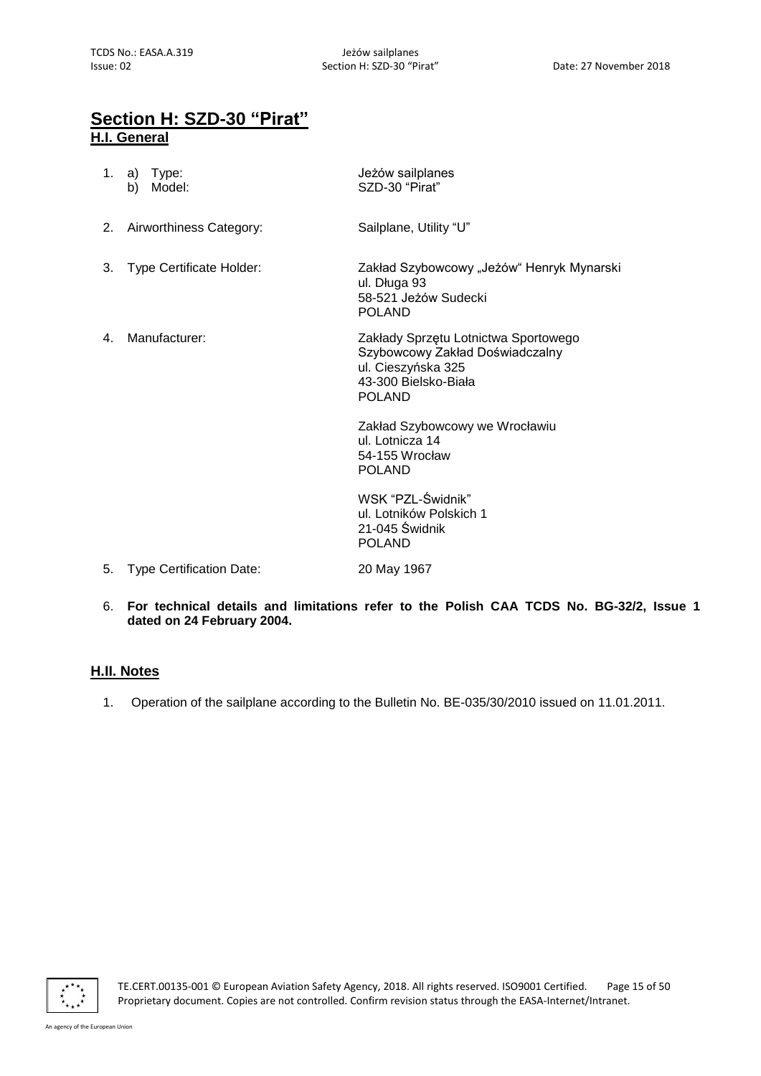#### <span id="page-14-1"></span><span id="page-14-0"></span>**Section H: SZD-30 "Pirat" H.I. General**

| 1. | a) Type:<br>b) Model:           | Jeżów sailplanes<br>SZD-30 "Pirat"                                                                                                     |
|----|---------------------------------|----------------------------------------------------------------------------------------------------------------------------------------|
|    | 2. Airworthiness Category:      | Sailplane, Utility "U"                                                                                                                 |
| 3. | <b>Type Certificate Holder:</b> | Zakład Szybowcowy "Jeżów" Henryk Mynarski<br>ul. Długa 93<br>58-521 Jeżów Sudecki<br><b>POLAND</b>                                     |
| 4. | Manufacturer:                   | Zakłady Sprzętu Lotnictwa Sportowego<br>Szybowcowy Zakład Doświadczalny<br>ul. Cieszyńska 325<br>43-300 Bielsko-Biała<br><b>POLAND</b> |
|    |                                 | Zakład Szybowcowy we Wrocławiu<br>ul. Lotnicza 14<br>54-155 Wrocław<br><b>POLAND</b>                                                   |
|    |                                 | WSK "PZL-Świdnik"<br>ul. Lotników Polskich 1<br>21-045 Świdnik<br><b>POLAND</b>                                                        |
| 5. | Type Certification Date:        | 20 May 1967                                                                                                                            |
|    |                                 |                                                                                                                                        |

6. **For technical details and limitations refer to the Polish CAA TCDS No. BG-32/2, Issue 1 dated on 24 February 2004.**

#### <span id="page-14-2"></span>**H.II. Notes**

1. Operation of the sailplane according to the Bulletin No. BE-035/30/2010 issued on 11.01.2011.



TE.CERT.00135-001 © European Aviation Safety Agency, 2018. All rights reserved. ISO9001 Certified. Page 15 of 50 Proprietary document. Copies are not controlled. Confirm revision status through the EASA-Internet/Intranet.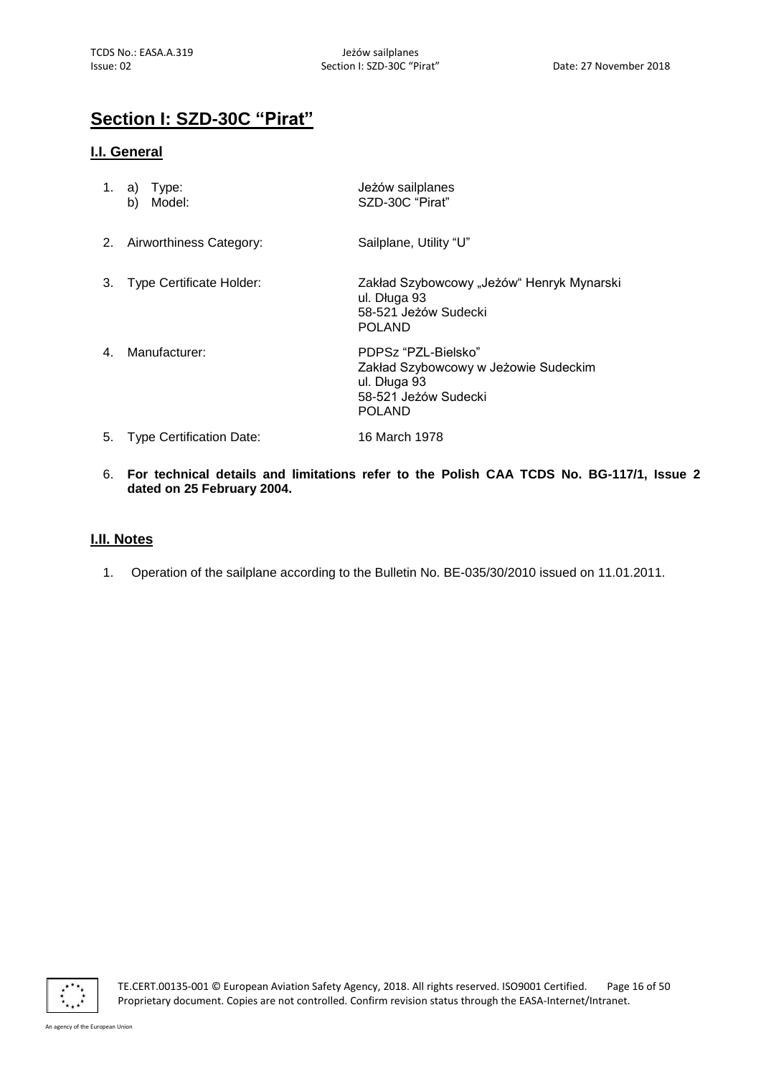### <span id="page-15-0"></span>**Section I: SZD-30C "Pirat"**

#### <span id="page-15-1"></span>**I.I. General**

| 1. | a)<br>Type:<br>Model:<br>b)     | Jeżów sailplanes<br>SZD-30C "Pirat"                                                                                  |
|----|---------------------------------|----------------------------------------------------------------------------------------------------------------------|
|    | 2. Airworthiness Category:      | Sailplane, Utility "U"                                                                                               |
| 3. | <b>Type Certificate Holder:</b> | Zakład Szybowcowy "Jeżów" Henryk Mynarski<br>ul. Długa 93<br>58-521 Jeżów Sudecki<br><b>POLAND</b>                   |
| 4. | Manufacturer:                   | PDPSz "PZL-Bielsko"<br>Zakład Szybowcowy w Jeżowie Sudeckim<br>ul. Długa 93<br>58-521 Jeżów Sudecki<br><b>POLAND</b> |
| 5. | Type Certification Date:        | 16 March 1978                                                                                                        |

6. **For technical details and limitations refer to the Polish CAA TCDS No. BG-117/1, Issue 2 dated on 25 February 2004.**

#### <span id="page-15-2"></span>**I.II. Notes**

1. Operation of the sailplane according to the Bulletin No. BE-035/30/2010 issued on 11.01.2011.



TE.CERT.00135-001 © European Aviation Safety Agency, 2018. All rights reserved. ISO9001 Certified. Page 16 of 50 Proprietary document. Copies are not controlled. Confirm revision status through the EASA-Internet/Intranet.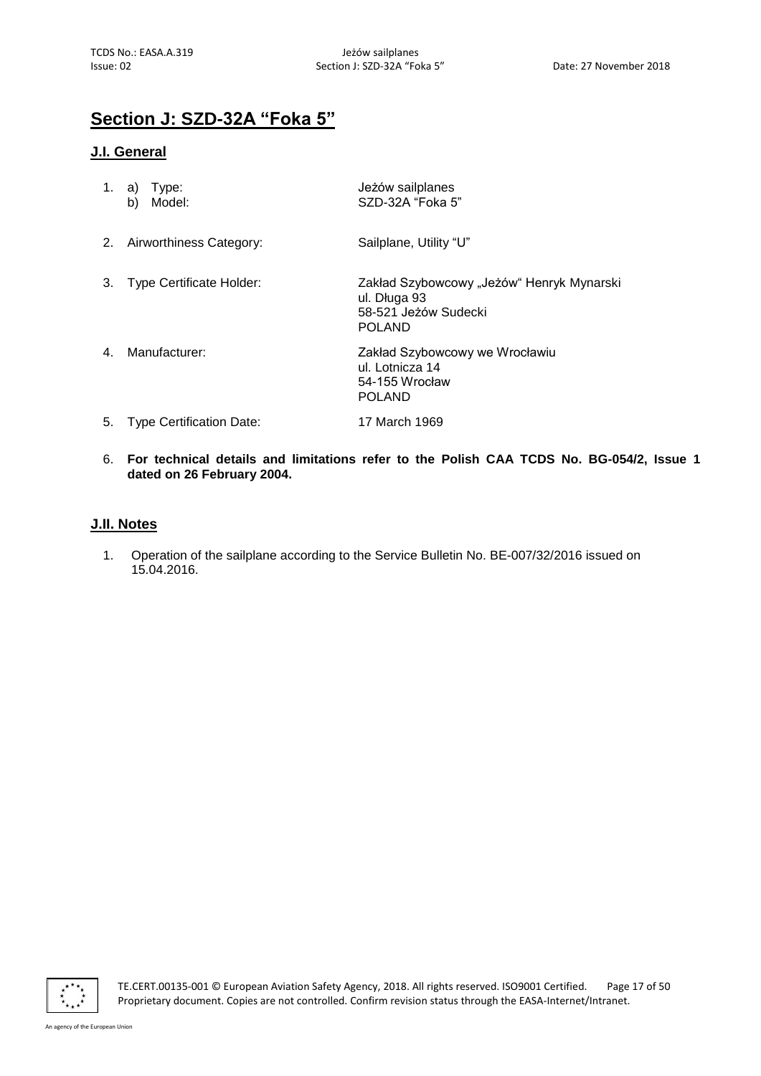### <span id="page-16-0"></span>**Section J: SZD-32A "Foka 5"**

#### <span id="page-16-1"></span>**J.I. General**

| 1.      | a) Type:<br>Model:<br>b)        | Jeżów sailplanes<br>SZD-32A "Foka 5"                                                               |
|---------|---------------------------------|----------------------------------------------------------------------------------------------------|
|         | 2. Airworthiness Category:      | Sailplane, Utility "U"                                                                             |
| 3.      | <b>Type Certificate Holder:</b> | Zakład Szybowcowy "Jeżów" Henryk Mynarski<br>ul. Długa 93<br>58-521 Jeżów Sudecki<br><b>POLAND</b> |
| $4_{-}$ | Manufacturer:                   | Zakład Szybowcowy we Wrocławiu<br>ul. Lotnicza 14<br>54-155 Wrocław<br><b>POLAND</b>               |
| 5.      | <b>Type Certification Date:</b> | 17 March 1969                                                                                      |

6. **For technical details and limitations refer to the Polish CAA TCDS No. BG-054/2, Issue 1 dated on 26 February 2004.**

#### <span id="page-16-2"></span>**J.II. Notes**

1. Operation of the sailplane according to the Service Bulletin No. BE-007/32/2016 issued on 15.04.2016.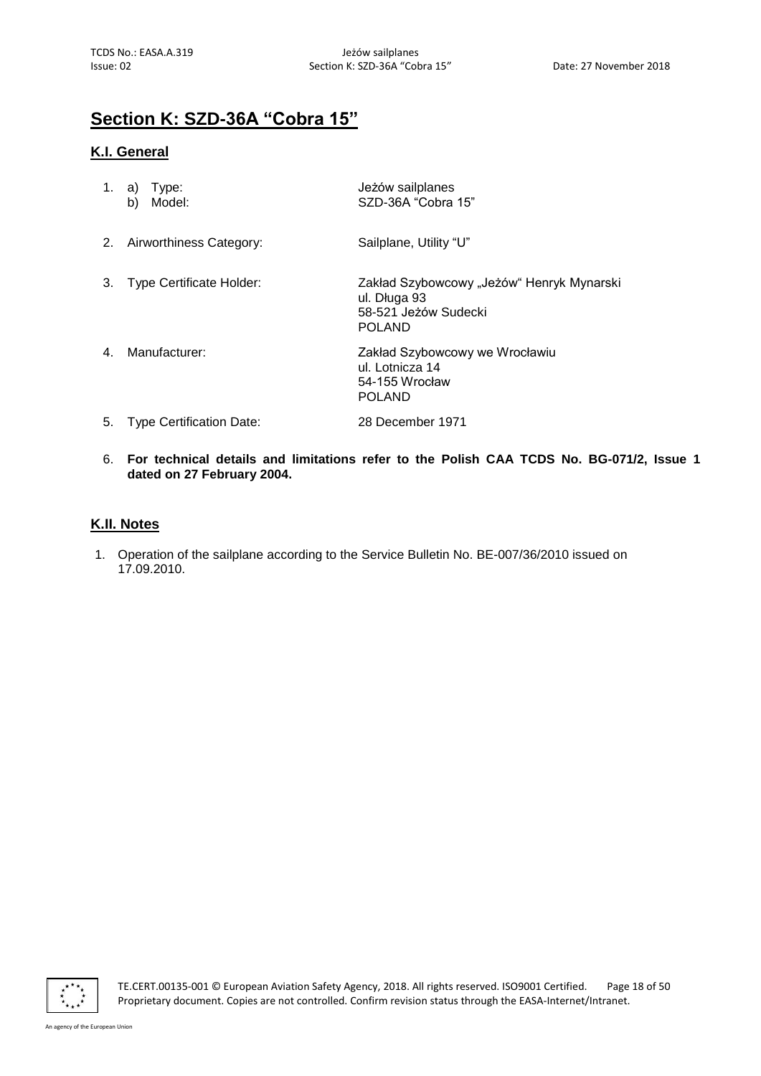### <span id="page-17-0"></span>**Section K: SZD-36A "Cobra 15"**

#### <span id="page-17-1"></span>**K.I. General**

| 1.      | a)<br>Type:<br>Model:<br>b)     | Jeżów sailplanes<br>SZD-36A "Cobra 15"                                                             |
|---------|---------------------------------|----------------------------------------------------------------------------------------------------|
|         | 2. Airworthiness Category:      | Sailplane, Utility "U"                                                                             |
| 3.      | <b>Type Certificate Holder:</b> | Zakład Szybowcowy "Jeżów" Henryk Mynarski<br>ul. Długa 93<br>58-521 Jeżów Sudecki<br><b>POLAND</b> |
| $4_{-}$ | Manufacturer:                   | Zakład Szybowcowy we Wrocławiu<br>ul. Lotnicza 14<br>54-155 Wrocław<br><b>POLAND</b>               |
| 5.      | <b>Type Certification Date:</b> | 28 December 1971                                                                                   |

6. **For technical details and limitations refer to the Polish CAA TCDS No. BG-071/2, Issue 1 dated on 27 February 2004.**

#### <span id="page-17-2"></span>**K.II. Notes**

1. Operation of the sailplane according to the Service Bulletin No. BE-007/36/2010 issued on 17.09.2010.



TE.CERT.00135-001 © European Aviation Safety Agency, 2018. All rights reserved. ISO9001 Certified. Page 18 of 50 Proprietary document. Copies are not controlled. Confirm revision status through the EASA-Internet/Intranet.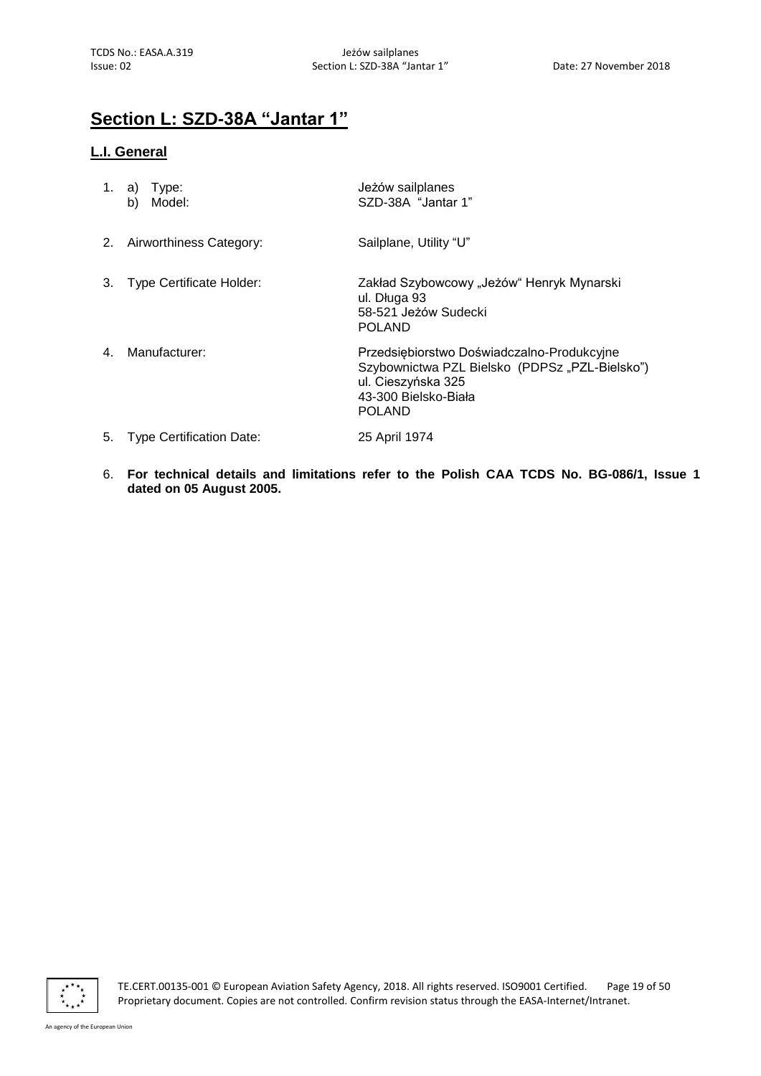## <span id="page-18-0"></span>**Section L: SZD-38A "Jantar 1"**

#### <span id="page-18-1"></span>**L.I. General**

| 1. | Type:<br>a)<br>Model:<br>b) | Jeżów sailplanes<br>SZD-38A "Jantar 1"                                                                                                                      |
|----|-----------------------------|-------------------------------------------------------------------------------------------------------------------------------------------------------------|
|    | 2. Airworthiness Category:  | Sailplane, Utility "U"                                                                                                                                      |
| 3. | Type Certificate Holder:    | Zakład Szybowcowy "Jeżów" Henryk Mynarski<br>ul. Długa 93<br>58-521 Jeżów Sudecki<br><b>POLAND</b>                                                          |
| 4. | Manufacturer:               | Przedsiębiorstwo Doświadczalno-Produkcyjne<br>Szybownictwa PZL Bielsko (PDPSz "PZL-Bielsko")<br>ul. Cieszyńska 325<br>43-300 Bielsko-Biała<br><b>POLAND</b> |
| 5. | Type Certification Date:    | 25 April 1974                                                                                                                                               |

6. **For technical details and limitations refer to the Polish CAA TCDS No. BG-086/1, Issue 1 dated on 05 August 2005.**



TE.CERT.00135-001 © European Aviation Safety Agency, 2018. All rights reserved. ISO9001 Certified. Page 19 of 50 Proprietary document. Copies are not controlled. Confirm revision status through the EASA-Internet/Intranet.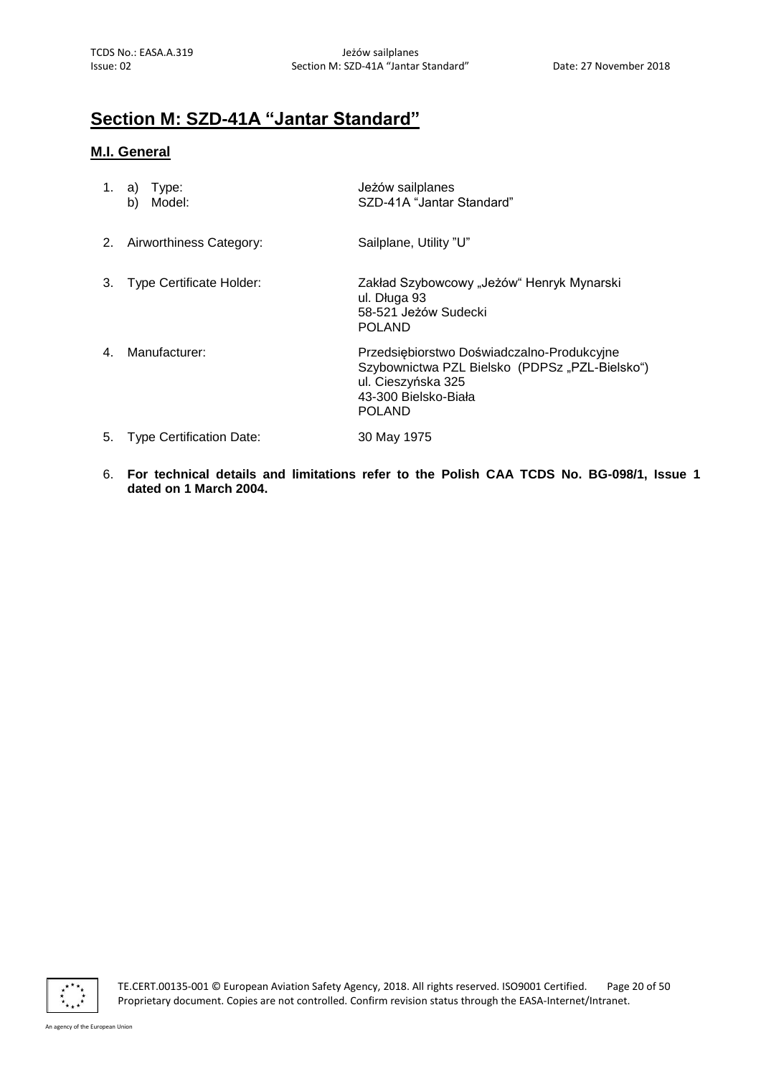## <span id="page-19-0"></span>**Section M: SZD-41A "Jantar Standard"**

#### <span id="page-19-1"></span>**M.I. General**

| 1.      | a)<br>Type:<br>Model:<br>b)     | Jeżów sailplanes<br>SZD-41A "Jantar Standard"                                                                                                               |
|---------|---------------------------------|-------------------------------------------------------------------------------------------------------------------------------------------------------------|
|         | 2. Airworthiness Category:      | Sailplane, Utility "U"                                                                                                                                      |
| 3.      | <b>Type Certificate Holder:</b> | Zakład Szybowcowy "Jeżów" Henryk Mynarski<br>ul. Długa 93<br>58-521 Jeżów Sudecki<br><b>POLAND</b>                                                          |
| $4_{-}$ | Manufacturer:                   | Przedsiębiorstwo Doświadczalno-Produkcyjne<br>Szybownictwa PZL Bielsko (PDPSz "PZL-Bielsko")<br>ul. Cieszyńska 325<br>43-300 Bielsko-Biała<br><b>POLAND</b> |
| 5.      | <b>Type Certification Date:</b> | 30 May 1975                                                                                                                                                 |

6. **For technical details and limitations refer to the Polish CAA TCDS No. BG-098/1, Issue 1 dated on 1 March 2004.**



TE.CERT.00135-001 © European Aviation Safety Agency, 2018. All rights reserved. ISO9001 Certified. Page 20 of 50 Proprietary document. Copies are not controlled. Confirm revision status through the EASA-Internet/Intranet.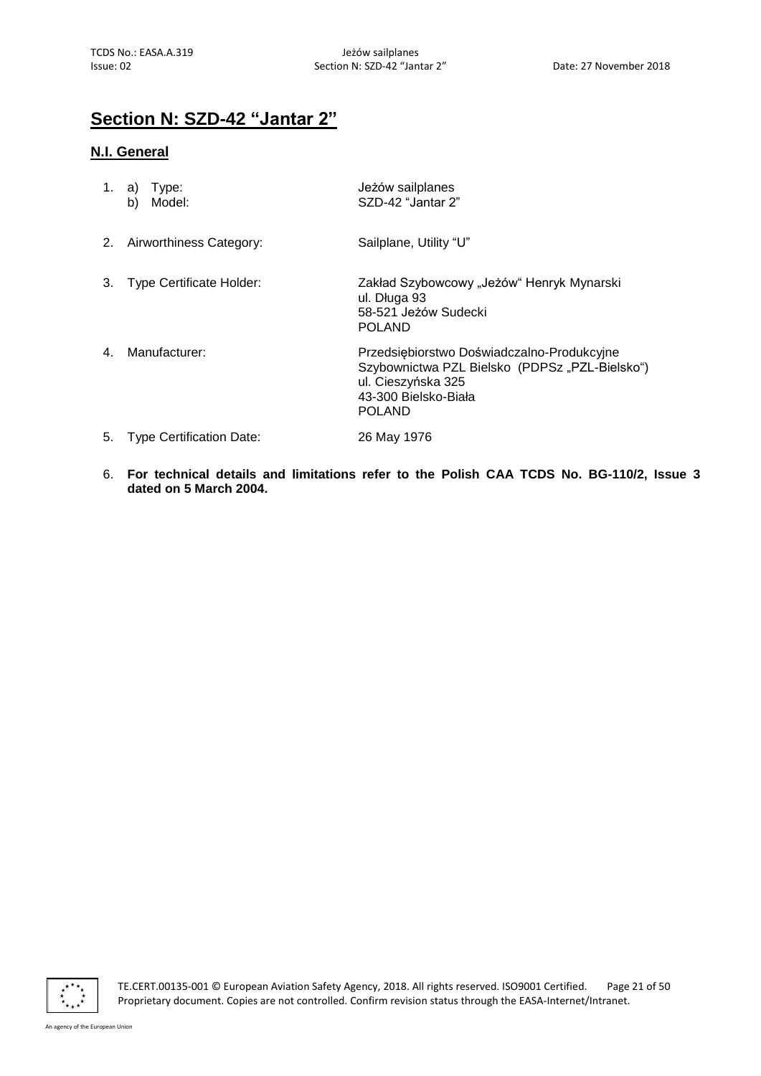## <span id="page-20-0"></span>**Section N: SZD-42 "Jantar 2"**

#### <span id="page-20-1"></span>**N.I. General**

| 1.             | Type:<br>a)<br>Model:<br>b)     | Jeżów sailplanes<br>SZD-42 "Jantar 2"                                                                                                                       |
|----------------|---------------------------------|-------------------------------------------------------------------------------------------------------------------------------------------------------------|
|                | 2. Airworthiness Category:      | Sailplane, Utility "U"                                                                                                                                      |
| 3 <sub>1</sub> | <b>Type Certificate Holder:</b> | Zakład Szybowcowy "Jeżów" Henryk Mynarski<br>ul. Długa 93<br>58-521 Jeżów Sudecki<br><b>POLAND</b>                                                          |
| $4_{-}$        | Manufacturer:                   | Przedsiębiorstwo Doświadczalno-Produkcyjne<br>Szybownictwa PZL Bielsko (PDPSz "PZL-Bielsko")<br>ul. Cieszyńska 325<br>43-300 Bielsko-Biała<br><b>POLAND</b> |
| 5.             | Type Certification Date:        | 26 May 1976                                                                                                                                                 |

6. **For technical details and limitations refer to the Polish CAA TCDS No. BG-110/2, Issue 3 dated on 5 March 2004.**



TE.CERT.00135-001 © European Aviation Safety Agency, 2018. All rights reserved. ISO9001 Certified. Page 21 of 50 Proprietary document. Copies are not controlled. Confirm revision status through the EASA-Internet/Intranet.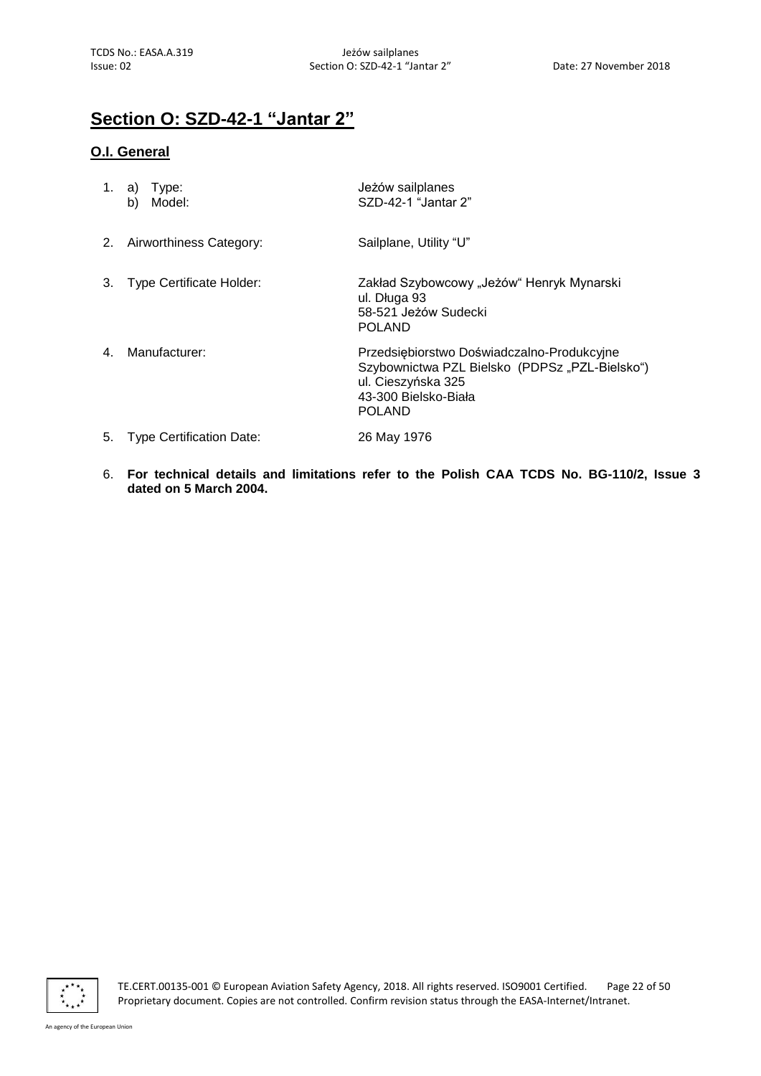## <span id="page-21-0"></span>**Section O: SZD-42-1 "Jantar 2"**

#### <span id="page-21-1"></span>**O.I. General**

| 1. | Type:<br>a)<br>Model:<br>b)     | Jeżów sailplanes<br>SZD-42-1 "Jantar 2"                                                                                                                     |
|----|---------------------------------|-------------------------------------------------------------------------------------------------------------------------------------------------------------|
|    | 2. Airworthiness Category:      | Sailplane, Utility "U"                                                                                                                                      |
| 3. | <b>Type Certificate Holder:</b> | Zakład Szybowcowy "Jeżów" Henryk Mynarski<br>ul. Długa 93<br>58-521 Jeżów Sudecki<br><b>POLAND</b>                                                          |
| 4. | Manufacturer:                   | Przedsiębiorstwo Doświadczalno-Produkcyjne<br>Szybownictwa PZL Bielsko (PDPSz "PZL-Bielsko")<br>ul. Cieszyńska 325<br>43-300 Bielsko-Biała<br><b>POLAND</b> |
| 5. | <b>Type Certification Date:</b> | 26 May 1976                                                                                                                                                 |

6. **For technical details and limitations refer to the Polish CAA TCDS No. BG-110/2, Issue 3 dated on 5 March 2004.**

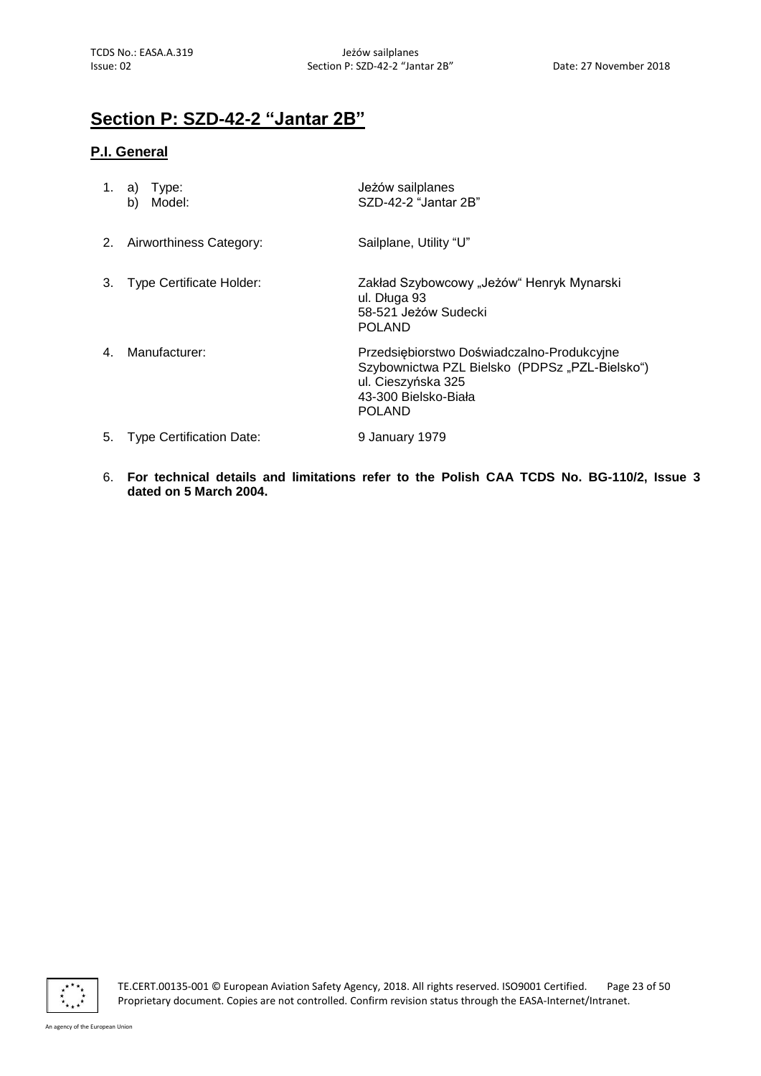## <span id="page-22-0"></span>**Section P: SZD-42-2 "Jantar 2B"**

#### <span id="page-22-1"></span>**P.I. General**

| 1. | Type:<br>a)<br>Model:<br>b)     | Jeżów sailplanes<br>SZD-42-2 "Jantar 2B"                                                                                                                    |
|----|---------------------------------|-------------------------------------------------------------------------------------------------------------------------------------------------------------|
|    | 2. Airworthiness Category:      | Sailplane, Utility "U"                                                                                                                                      |
| 3. | Type Certificate Holder:        | Zakład Szybowcowy "Jeżów" Henryk Mynarski<br>ul. Długa 93<br>58-521 Jeżów Sudecki<br><b>POLAND</b>                                                          |
| 4. | Manufacturer:                   | Przedsiębiorstwo Doświadczalno-Produkcyjne<br>Szybownictwa PZL Bielsko (PDPSz "PZL-Bielsko")<br>ul. Cieszyńska 325<br>43-300 Bielsko-Biała<br><b>POLAND</b> |
| 5. | <b>Type Certification Date:</b> | 9 January 1979                                                                                                                                              |

6. **For technical details and limitations refer to the Polish CAA TCDS No. BG-110/2, Issue 3 dated on 5 March 2004.**



TE.CERT.00135-001 © European Aviation Safety Agency, 2018. All rights reserved. ISO9001 Certified. Page 23 of 50 Proprietary document. Copies are not controlled. Confirm revision status through the EASA-Internet/Intranet.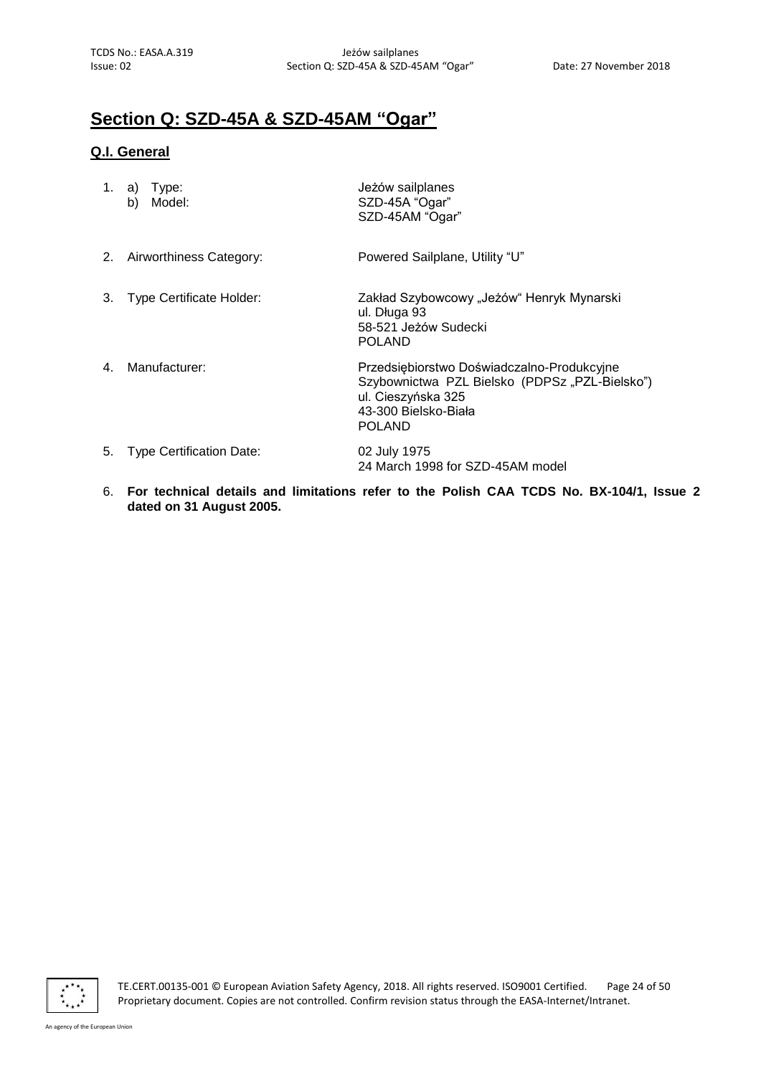## <span id="page-23-0"></span>**Section Q: SZD-45A & SZD-45AM "Ogar"**

#### <span id="page-23-1"></span>**Q.I. General**

| 1. | Type:<br>a)<br>Model:<br>b) | Jeżów sailplanes<br>SZD-45A "Ogar"<br>SZD-45AM "Ogar"                                                                                                       |
|----|-----------------------------|-------------------------------------------------------------------------------------------------------------------------------------------------------------|
|    | 2. Airworthiness Category:  | Powered Sailplane, Utility "U"                                                                                                                              |
| 3. | Type Certificate Holder:    | Zakład Szybowcowy "Jeżów" Henryk Mynarski<br>ul. Długa 93<br>58-521 Jeżów Sudecki<br><b>POLAND</b>                                                          |
| 4. | Manufacturer:               | Przedsiębiorstwo Doświadczalno-Produkcyjne<br>Szybownictwa PZL Bielsko (PDPSz "PZL-Bielsko")<br>ul. Cieszyńska 325<br>43-300 Bielsko-Biała<br><b>POLAND</b> |
| 5. | Type Certification Date:    | 02 July 1975<br>24 March 1998 for SZD-45AM model                                                                                                            |

6. **For technical details and limitations refer to the Polish CAA TCDS No. BX-104/1, Issue 2 dated on 31 August 2005.**



TE.CERT.00135-001 © European Aviation Safety Agency, 2018. All rights reserved. ISO9001 Certified. Page 24 of 50 Proprietary document. Copies are not controlled. Confirm revision status through the EASA-Internet/Intranet.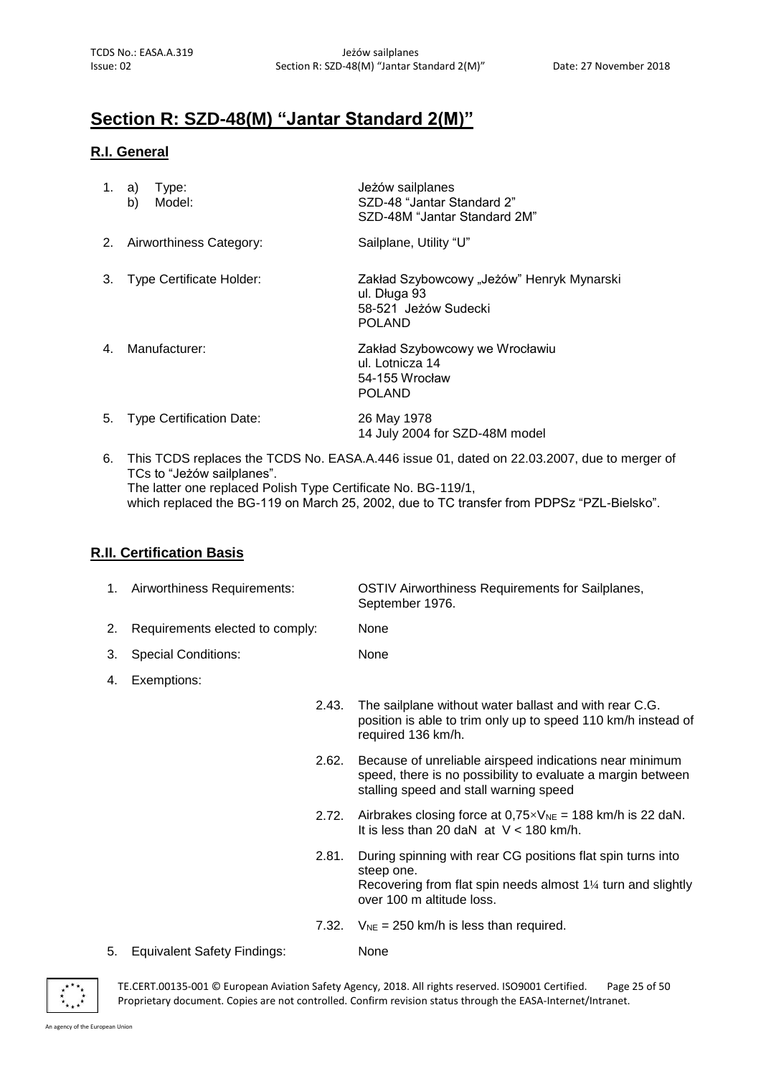## <span id="page-24-0"></span>**Section R: SZD-48(M) "Jantar Standard 2(M)"**

#### <span id="page-24-1"></span>**R.I. General**

| 1. a) | Type:<br>Model:<br>b)           | Jeżów sailplanes<br>SZD-48 "Jantar Standard 2"<br>SZD-48M "Jantar Standard 2M"                     |
|-------|---------------------------------|----------------------------------------------------------------------------------------------------|
|       | 2. Airworthiness Category:      | Sailplane, Utility "U"                                                                             |
| 3.    | <b>Type Certificate Holder:</b> | Zakład Szybowcowy "Jeżów" Henryk Mynarski<br>ul. Długa 93<br>58-521 Jeżów Sudecki<br><b>POLAND</b> |
| 4.    | Manufacturer:                   | Zakład Szybowcowy we Wrocławiu<br>ul. Lotnicza 14<br>54-155 Wrocław<br><b>POLAND</b>               |
| 5.    | <b>Type Certification Date:</b> | 26 May 1978<br>14 July 2004 for SZD-48M model                                                      |

6. This TCDS replaces the TCDS No. EASA.A.446 issue 01, dated on 22.03.2007, due to merger of TCs to "Jeżów sailplanes". The latter one replaced Polish Type Certificate No. BG-119/1, which replaced the BG-119 on March 25, 2002, due to TC transfer from PDPSz "PZL-Bielsko".

#### <span id="page-24-2"></span>**R.II. Certification Basis**

|    | 1. Airworthiness Requirements:  |       | OSTIV Airworthiness Requirements for Sailplanes,<br>September 1976.                                                                                                                  |
|----|---------------------------------|-------|--------------------------------------------------------------------------------------------------------------------------------------------------------------------------------------|
| 2. | Requirements elected to comply: |       | <b>None</b>                                                                                                                                                                          |
| 3. | <b>Special Conditions:</b>      |       | None                                                                                                                                                                                 |
| 4. | Exemptions:                     |       |                                                                                                                                                                                      |
|    |                                 | 2.43. | The sailplane without water ballast and with rear C.G.<br>position is able to trim only up to speed 110 km/h instead of<br>required 136 km/h.                                        |
|    |                                 | 2.62. | Because of unreliable airspeed indications near minimum<br>speed, there is no possibility to evaluate a margin between<br>stalling speed and stall warning speed                     |
|    |                                 | 2.72. | Airbrakes closing force at $0.75 \times V_{NE} = 188$ km/h is 22 daN.<br>It is less than 20 daN at $V < 180$ km/h.                                                                   |
|    |                                 | 2.81. | During spinning with rear CG positions flat spin turns into<br>steep one.<br>Recovering from flat spin needs almost 1 <sup>1</sup> /4 turn and slightly<br>over 100 m altitude loss. |
|    |                                 |       | 7.32. $V_{NE} = 250$ km/h is less than required.                                                                                                                                     |

5. Equivalent Safety Findings: None



TE.CERT.00135-001 © European Aviation Safety Agency, 2018. All rights reserved. ISO9001 Certified. Page 25 of 50 Proprietary document. Copies are not controlled. Confirm revision status through the EASA-Internet/Intranet.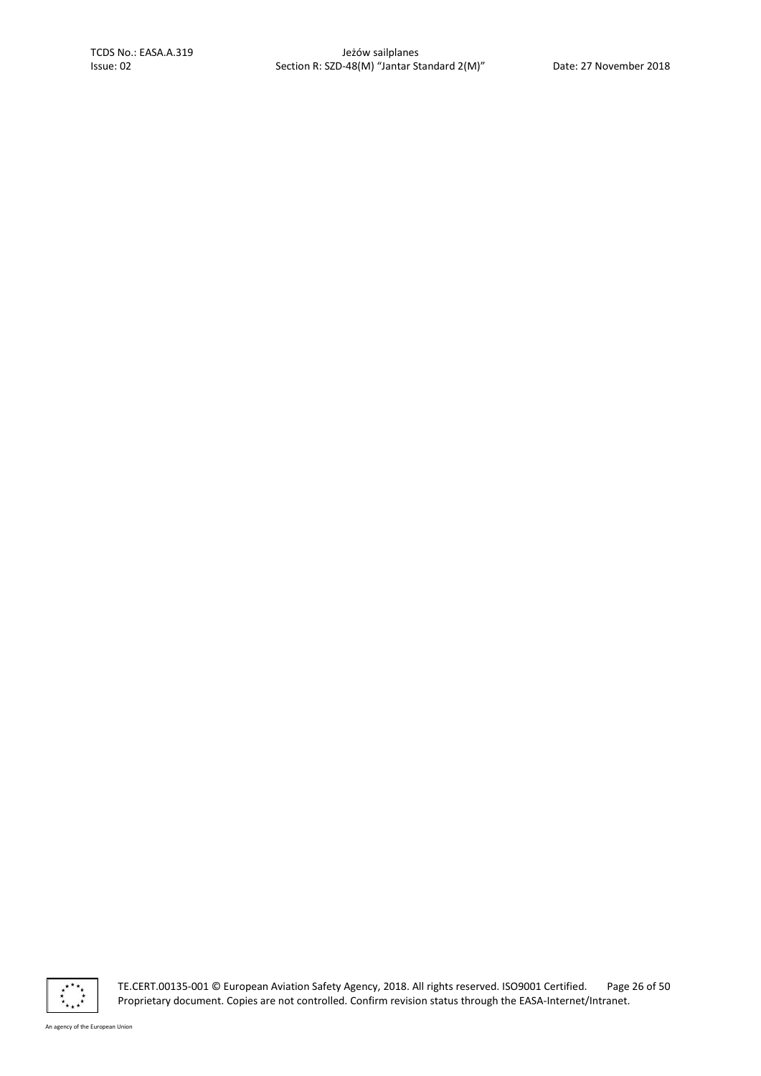

TE.CERT.00135-001 © European Aviation Safety Agency, 2018. All rights reserved. ISO9001 Certified. Page 26 of 50 Proprietary document. Copies are not controlled. Confirm revision status through the EASA-Internet/Intranet.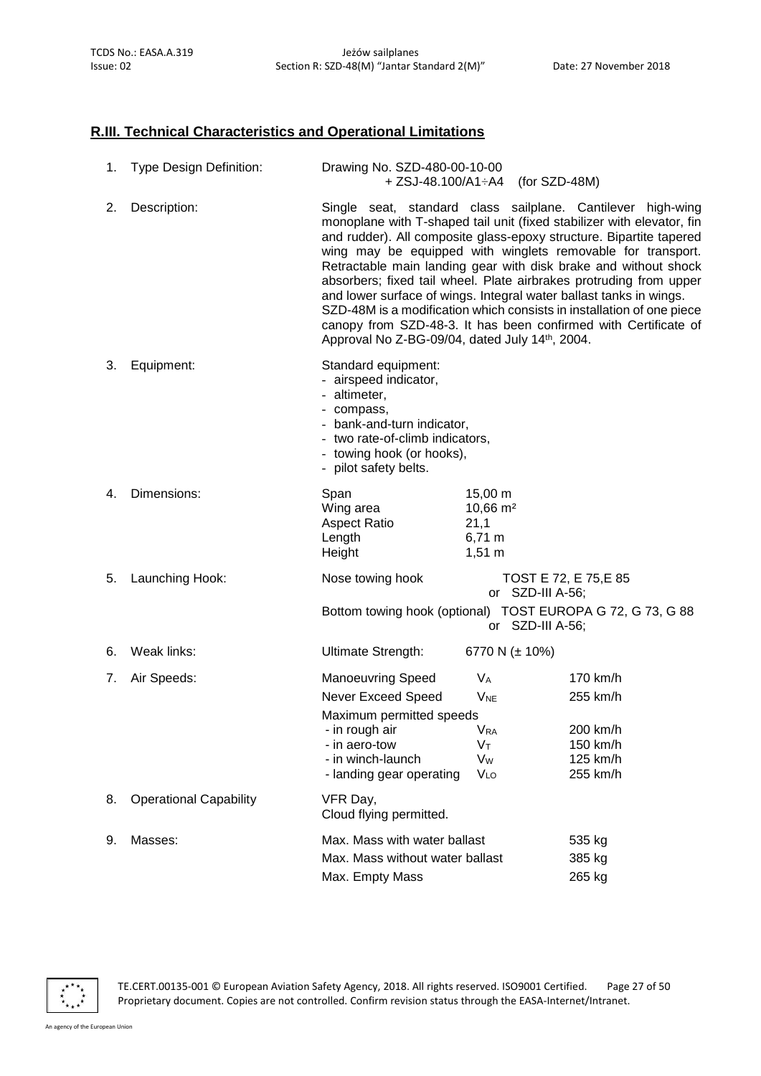#### <span id="page-26-0"></span>**R.III. Technical Characteristics and Operational Limitations**

| 1. | Type Design Definition:       | Drawing No. SZD-480-00-10-00                                                                                                                                                                      | + ZSJ-48.100/A1 $\div$ A4 (for SZD-48M)                                                             |                                                                                                                                                                                                                                                                                                                                                                                                                                                                                                                                                                  |
|----|-------------------------------|---------------------------------------------------------------------------------------------------------------------------------------------------------------------------------------------------|-----------------------------------------------------------------------------------------------------|------------------------------------------------------------------------------------------------------------------------------------------------------------------------------------------------------------------------------------------------------------------------------------------------------------------------------------------------------------------------------------------------------------------------------------------------------------------------------------------------------------------------------------------------------------------|
| 2. | Description:                  | and lower surface of wings. Integral water ballast tanks in wings.<br>Approval No Z-BG-09/04, dated July 14th, 2004.                                                                              |                                                                                                     | Single seat, standard class sailplane. Cantilever high-wing<br>monoplane with T-shaped tail unit (fixed stabilizer with elevator, fin<br>and rudder). All composite glass-epoxy structure. Bipartite tapered<br>wing may be equipped with winglets removable for transport.<br>Retractable main landing gear with disk brake and without shock<br>absorbers; fixed tail wheel. Plate airbrakes protruding from upper<br>SZD-48M is a modification which consists in installation of one piece<br>canopy from SZD-48-3. It has been confirmed with Certificate of |
| 3. | Equipment:                    | Standard equipment:<br>- airspeed indicator,<br>- altimeter,<br>- compass,<br>- bank-and-turn indicator,<br>- two rate-of-climb indicators,<br>- towing hook (or hooks),<br>- pilot safety belts. |                                                                                                     |                                                                                                                                                                                                                                                                                                                                                                                                                                                                                                                                                                  |
| 4. | Dimensions:                   | Span<br>Wing area<br><b>Aspect Ratio</b><br>Length<br>Height                                                                                                                                      | 15,00 m<br>$10,66 \text{ m}^2$<br>21,1<br>6,71 m<br>$1,51 \; m$                                     |                                                                                                                                                                                                                                                                                                                                                                                                                                                                                                                                                                  |
| 5. | Launching Hook:               | Nose towing hook                                                                                                                                                                                  | or SZD-III A-56;                                                                                    | TOST E 72, E 75, E 85                                                                                                                                                                                                                                                                                                                                                                                                                                                                                                                                            |
|    |                               | Bottom towing hook (optional) TOST EUROPA G 72, G 73, G 88                                                                                                                                        | or SZD-III A-56;                                                                                    |                                                                                                                                                                                                                                                                                                                                                                                                                                                                                                                                                                  |
| 6. | Weak links:                   | Ultimate Strength:                                                                                                                                                                                | 6770 N $(\pm 10\%)$                                                                                 |                                                                                                                                                                                                                                                                                                                                                                                                                                                                                                                                                                  |
| 7. | Air Speeds:                   | <b>Manoeuvring Speed</b><br>Never Exceed Speed<br>Maximum permitted speeds<br>- in rough air<br>- in aero-tow<br>- in winch-launch<br>- landing gear operating                                    | <b>V<sub>A</sub></b><br><b>V<sub>NE</sub></b><br><b>VRA</b><br>$V_T$<br><b>V<sub>w</sub></b><br>VLO | 170 km/h<br>255 km/h<br>200 km/h<br>150 km/h<br>125 km/h<br>255 km/h                                                                                                                                                                                                                                                                                                                                                                                                                                                                                             |
| 8. | <b>Operational Capability</b> | VFR Day,<br>Cloud flying permitted.                                                                                                                                                               |                                                                                                     |                                                                                                                                                                                                                                                                                                                                                                                                                                                                                                                                                                  |
| 9. | Masses:                       | Max. Mass with water ballast                                                                                                                                                                      |                                                                                                     | 535 kg                                                                                                                                                                                                                                                                                                                                                                                                                                                                                                                                                           |
|    |                               | Max. Mass without water ballast                                                                                                                                                                   |                                                                                                     | 385 kg                                                                                                                                                                                                                                                                                                                                                                                                                                                                                                                                                           |
|    |                               | Max. Empty Mass                                                                                                                                                                                   |                                                                                                     | 265 kg                                                                                                                                                                                                                                                                                                                                                                                                                                                                                                                                                           |

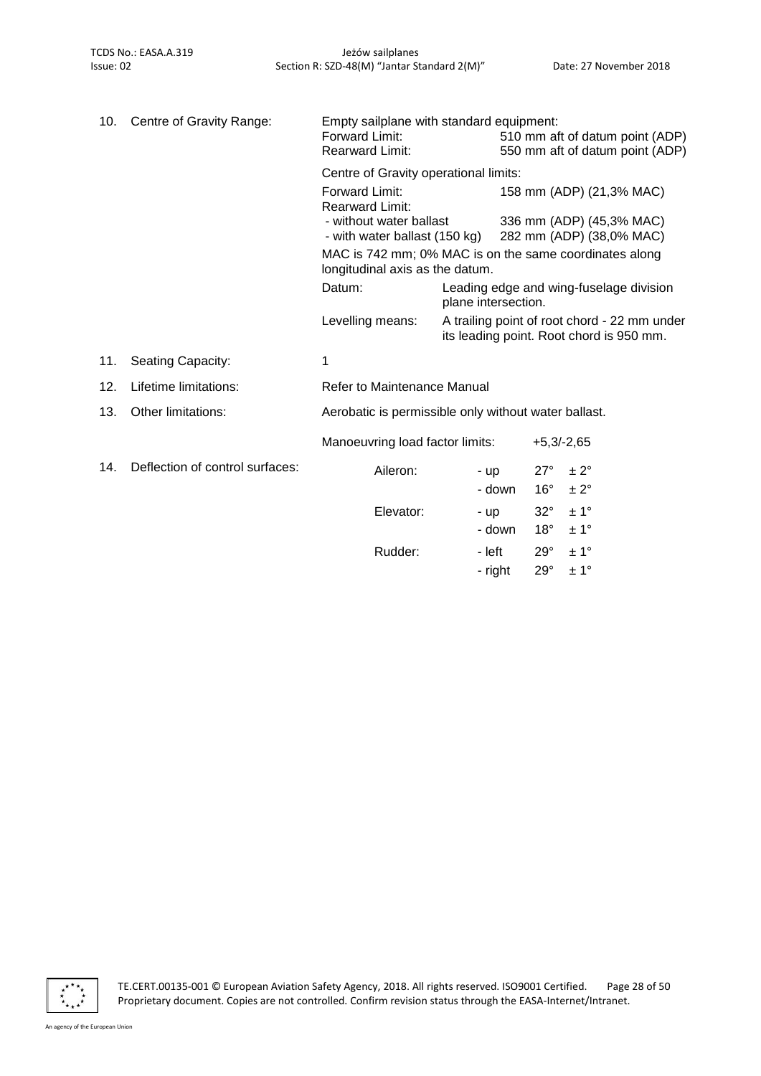| 10. | Centre of Gravity Range:        | Empty sailplane with standard equipment:                                                  |        |                                                                |              |                                                                                          |  |
|-----|---------------------------------|-------------------------------------------------------------------------------------------|--------|----------------------------------------------------------------|--------------|------------------------------------------------------------------------------------------|--|
|     |                                 | Forward Limit:                                                                            |        |                                                                |              | 510 mm aft of datum point (ADP)                                                          |  |
|     |                                 | <b>Rearward Limit:</b>                                                                    |        | 550 mm aft of datum point (ADP)                                |              |                                                                                          |  |
|     |                                 | Centre of Gravity operational limits:                                                     |        |                                                                |              |                                                                                          |  |
|     |                                 | Forward Limit:<br>Rearward Limit:                                                         |        | 158 mm (ADP) (21,3% MAC)                                       |              |                                                                                          |  |
|     |                                 | - without water ballast<br>- with water ballast (150 kg)                                  |        | 336 mm (ADP) (45,3% MAC)<br>282 mm (ADP) (38,0% MAC)           |              |                                                                                          |  |
|     |                                 | MAC is 742 mm; 0% MAC is on the same coordinates along<br>longitudinal axis as the datum. |        |                                                                |              |                                                                                          |  |
|     |                                 | Datum:                                                                                    |        | Leading edge and wing-fuselage division<br>plane intersection. |              |                                                                                          |  |
|     |                                 | Levelling means:                                                                          |        |                                                                |              | A trailing point of root chord - 22 mm under<br>its leading point. Root chord is 950 mm. |  |
| 11. | Seating Capacity:               | 1                                                                                         |        |                                                                |              |                                                                                          |  |
| 12. | Lifetime limitations:           | Refer to Maintenance Manual                                                               |        |                                                                |              |                                                                                          |  |
| 13. | Other limitations:              | Aerobatic is permissible only without water ballast.                                      |        |                                                                |              |                                                                                          |  |
|     |                                 | Manoeuvring load factor limits:                                                           |        |                                                                |              | $+5,3/-2,65$                                                                             |  |
| 14. | Deflection of control surfaces: | Aileron:                                                                                  | - up   |                                                                | $27^\circ$   | ± 2°                                                                                     |  |
|     |                                 |                                                                                           |        | - down                                                         | $16^{\circ}$ | ± 2°                                                                                     |  |
|     |                                 | Elevator:                                                                                 | - up   |                                                                | $32^\circ$   | ± 1°                                                                                     |  |
|     |                                 |                                                                                           |        | - down                                                         | $18^{\circ}$ | $± 1^{\circ}$                                                                            |  |
|     |                                 | Rudder:                                                                                   | - left |                                                                | $29^\circ$   | ±1°                                                                                      |  |
|     |                                 |                                                                                           |        | - right                                                        | $29^\circ$   | ± 1°                                                                                     |  |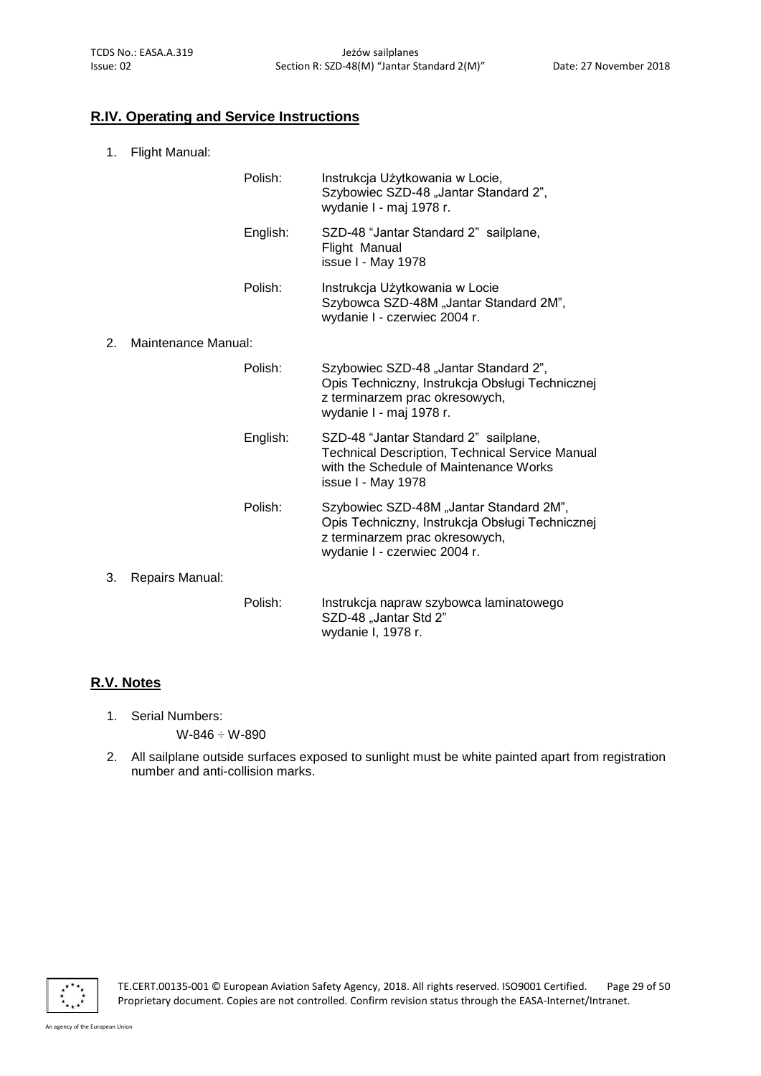#### <span id="page-28-0"></span>**R.IV. Operating and Service Instructions**

1. Flight Manual:

|    |                     | Polish:  | Instrukcja Użytkowania w Locie,<br>Szybowiec SZD-48 "Jantar Standard 2",<br>wydanie I - maj 1978 r.                                                             |
|----|---------------------|----------|-----------------------------------------------------------------------------------------------------------------------------------------------------------------|
|    |                     | English: | SZD-48 "Jantar Standard 2" sailplane,<br>Flight Manual<br>issue I - May 1978                                                                                    |
|    |                     | Polish:  | Instrukcja Użytkowania w Locie<br>Szybowca SZD-48M "Jantar Standard 2M",<br>wydanie I - czerwiec 2004 r.                                                        |
| 2. | Maintenance Manual: |          |                                                                                                                                                                 |
|    |                     | Polish:  | Szybowiec SZD-48 "Jantar Standard 2",<br>Opis Techniczny, Instrukcja Obsługi Technicznej<br>z terminarzem prac okresowych,<br>wydanie I - maj 1978 r.           |
|    |                     | English: | SZD-48 "Jantar Standard 2" sailplane,<br><b>Technical Description, Technical Service Manual</b><br>with the Schedule of Maintenance Works<br>issue I - May 1978 |
|    |                     | Polish:  | Szybowiec SZD-48M "Jantar Standard 2M",<br>Opis Techniczny, Instrukcja Obsługi Technicznej<br>z terminarzem prac okresowych,<br>wydanie I - czerwiec 2004 r.    |
| 3. | Repairs Manual:     |          |                                                                                                                                                                 |
|    |                     | Polish:  | Instrukcja napraw szybowca laminatowego<br>SZD-48 "Jantar Std 2"                                                                                                |

#### <span id="page-28-1"></span>**R.V. Notes**

1. Serial Numbers:

W-846 ÷ W-890

2. All sailplane outside surfaces exposed to sunlight must be white painted apart from registration number and anti-collision marks.

wydanie I, 1978 r.

TE.CERT.00135-001 © European Aviation Safety Agency, 2018. All rights reserved. ISO9001 Certified. Page 29 of 50 Proprietary document. Copies are not controlled. Confirm revision status through the EASA-Internet/Intranet.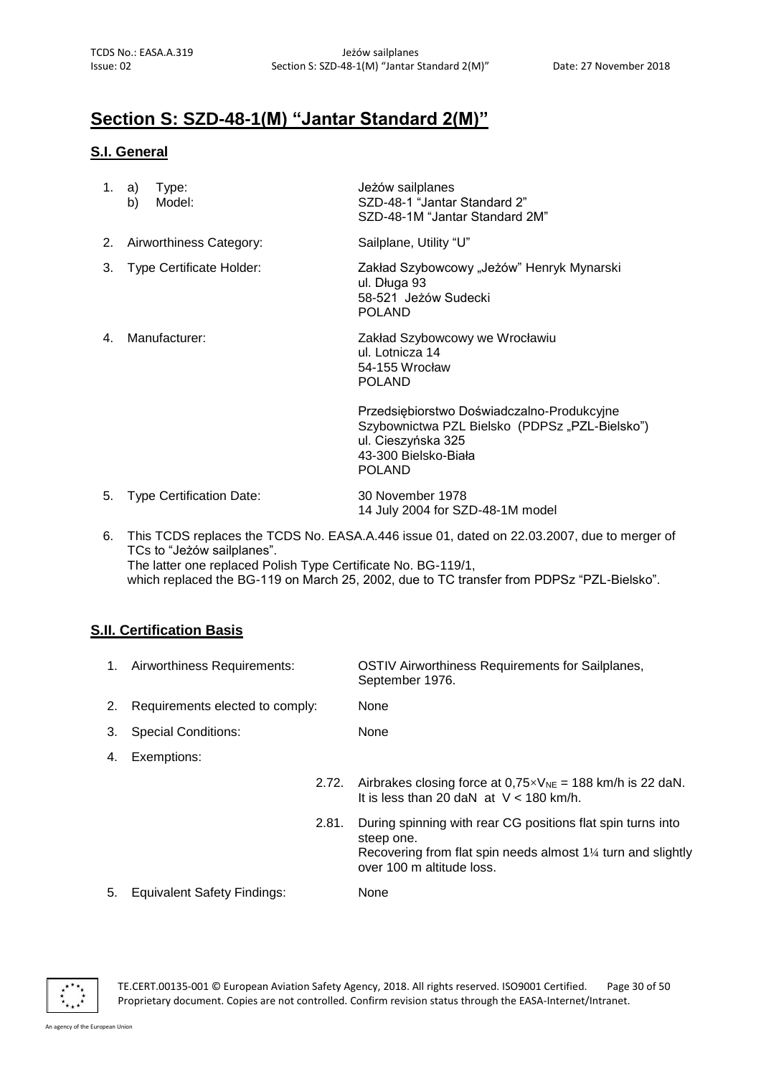## <span id="page-29-0"></span>**Section S: SZD-48-1(M) "Jantar Standard 2(M)"**

#### <span id="page-29-1"></span>**S.I. General**

| 1.      | a)<br>Type:<br>b)<br>Model:     | Jeżów sailplanes<br>SZD-48-1 "Jantar Standard 2"<br>SZD-48-1M "Jantar Standard 2M"                                                                          |
|---------|---------------------------------|-------------------------------------------------------------------------------------------------------------------------------------------------------------|
| 2.      | Airworthiness Category:         | Sailplane, Utility "U"                                                                                                                                      |
| 3.      | <b>Type Certificate Holder:</b> | Zakład Szybowcowy "Jeżów" Henryk Mynarski<br>ul. Długa 93<br>58-521 Jeżów Sudecki<br><b>POLAND</b>                                                          |
| $4_{-}$ | Manufacturer:                   | Zakład Szybowcowy we Wrocławiu<br>ul. Lotnicza 14<br>54-155 Wrocław<br><b>POLAND</b>                                                                        |
|         |                                 | Przedsiębiorstwo Doświadczalno-Produkcyjne<br>Szybownictwa PZL Bielsko (PDPSz "PZL-Bielsko")<br>ul. Cieszyńska 325<br>43-300 Bielsko-Biała<br><b>POLAND</b> |
| 5.      | Type Certification Date:        | 30 November 1978<br>14 July 2004 for SZD-48-1M model                                                                                                        |

6. This TCDS replaces the TCDS No. EASA.A.446 issue 01, dated on 22.03.2007, due to merger of TCs to "Jeżów sailplanes". The latter one replaced Polish Type Certificate No. BG-119/1, which replaced the BG-119 on March 25, 2002, due to TC transfer from PDPSz "PZL-Bielsko".

#### <span id="page-29-2"></span>**S.II. Certification Basis**

|    | 1. Airworthiness Requirements:     | OSTIV Airworthiness Requirements for Sailplanes,<br>September 1976.                                                                                                     |
|----|------------------------------------|-------------------------------------------------------------------------------------------------------------------------------------------------------------------------|
| 2. | Requirements elected to comply:    | None                                                                                                                                                                    |
| 3. | <b>Special Conditions:</b>         | None                                                                                                                                                                    |
| 4. | Exemptions:                        |                                                                                                                                                                         |
|    | 2.72.                              | Airbrakes closing force at $0.75 \times V_{NE} = 188$ km/h is 22 daN.<br>It is less than 20 daN at $V < 180$ km/h.                                                      |
|    | 2.81.                              | During spinning with rear CG positions flat spin turns into<br>steep one.<br>Recovering from flat spin needs almost 11/4 turn and slightly<br>over 100 m altitude loss. |
| 5. | <b>Equivalent Safety Findings:</b> | None                                                                                                                                                                    |



TE.CERT.00135-001 © European Aviation Safety Agency, 2018. All rights reserved. ISO9001 Certified. Page 30 of 50 Proprietary document. Copies are not controlled. Confirm revision status through the EASA-Internet/Intranet.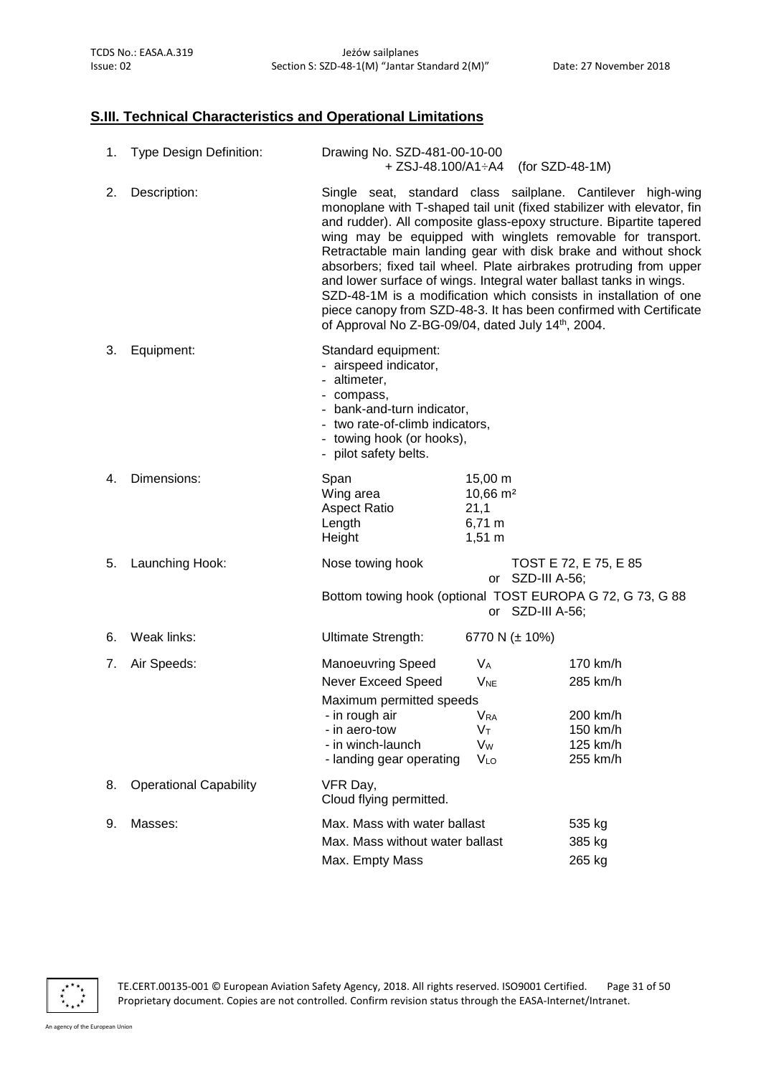#### <span id="page-30-0"></span>**S.III. Technical Characteristics and Operational Limitations**

|    | 1. Type Design Definition:    | Drawing No. SZD-481-00-10-00<br>+ ZSJ-48.100/A1 : A4 (for SZD-48-1M)                                                                                                                                                                                                                                                                                                                                                                                                                                                                                                                                                                                                                       |                                                                 |                                              |
|----|-------------------------------|--------------------------------------------------------------------------------------------------------------------------------------------------------------------------------------------------------------------------------------------------------------------------------------------------------------------------------------------------------------------------------------------------------------------------------------------------------------------------------------------------------------------------------------------------------------------------------------------------------------------------------------------------------------------------------------------|-----------------------------------------------------------------|----------------------------------------------|
| 2. | Description:                  | Single seat, standard class sailplane. Cantilever high-wing<br>monoplane with T-shaped tail unit (fixed stabilizer with elevator, fin<br>and rudder). All composite glass-epoxy structure. Bipartite tapered<br>wing may be equipped with winglets removable for transport.<br>Retractable main landing gear with disk brake and without shock<br>absorbers; fixed tail wheel. Plate airbrakes protruding from upper<br>and lower surface of wings. Integral water ballast tanks in wings.<br>SZD-48-1M is a modification which consists in installation of one<br>piece canopy from SZD-48-3. It has been confirmed with Certificate<br>of Approval No Z-BG-09/04, dated July 14th, 2004. |                                                                 |                                              |
| 3. | Equipment:                    | Standard equipment:<br>- airspeed indicator,<br>- altimeter,<br>- compass,<br>- bank-and-turn indicator,<br>- two rate-of-climb indicators,<br>- towing hook (or hooks),<br>- pilot safety belts.                                                                                                                                                                                                                                                                                                                                                                                                                                                                                          |                                                                 |                                              |
| 4. | Dimensions:                   | Span<br>Wing area<br>Aspect Ratio<br>Length<br>Height                                                                                                                                                                                                                                                                                                                                                                                                                                                                                                                                                                                                                                      | 15,00 m<br>$10,66 \text{ m}^2$<br>21,1<br>6,71 m<br>$1,51 \; m$ |                                              |
| 5. | Launching Hook:               | Nose towing hook<br>Bottom towing hook (optional TOST EUROPA G 72, G 73, G 88                                                                                                                                                                                                                                                                                                                                                                                                                                                                                                                                                                                                              | or SZD-III A-56;                                                | TOST E 72, E 75, E 85                        |
|    |                               |                                                                                                                                                                                                                                                                                                                                                                                                                                                                                                                                                                                                                                                                                            | or SZD-III A-56;                                                |                                              |
| 6. | Weak links:                   | Ultimate Strength:                                                                                                                                                                                                                                                                                                                                                                                                                                                                                                                                                                                                                                                                         | 6770 N $(\pm 10\%)$                                             |                                              |
| 7. | Air Speeds:                   | <b>Manoeuvring Speed</b><br>Never Exceed Speed<br>Maximum permitted speeds                                                                                                                                                                                                                                                                                                                                                                                                                                                                                                                                                                                                                 | $V_A$<br><b>V<sub>NE</sub></b>                                  | 170 km/h<br>285 km/h                         |
|    |                               | - in rough air<br>- in aero-tow<br>- in winch-launch<br>- landing gear operating                                                                                                                                                                                                                                                                                                                                                                                                                                                                                                                                                                                                           | <b>VRA</b><br>Vт<br>Vw<br>VLO                                   | 200 km/h<br>150 km/h<br>125 km/h<br>255 km/h |
| 8. | <b>Operational Capability</b> | VFR Day,<br>Cloud flying permitted.                                                                                                                                                                                                                                                                                                                                                                                                                                                                                                                                                                                                                                                        |                                                                 |                                              |
| 9. | Masses:                       | Max. Mass with water ballast                                                                                                                                                                                                                                                                                                                                                                                                                                                                                                                                                                                                                                                               |                                                                 | 535 kg                                       |
|    |                               | Max. Mass without water ballast                                                                                                                                                                                                                                                                                                                                                                                                                                                                                                                                                                                                                                                            |                                                                 | 385 kg                                       |
|    |                               | Max. Empty Mass                                                                                                                                                                                                                                                                                                                                                                                                                                                                                                                                                                                                                                                                            |                                                                 | 265 kg                                       |

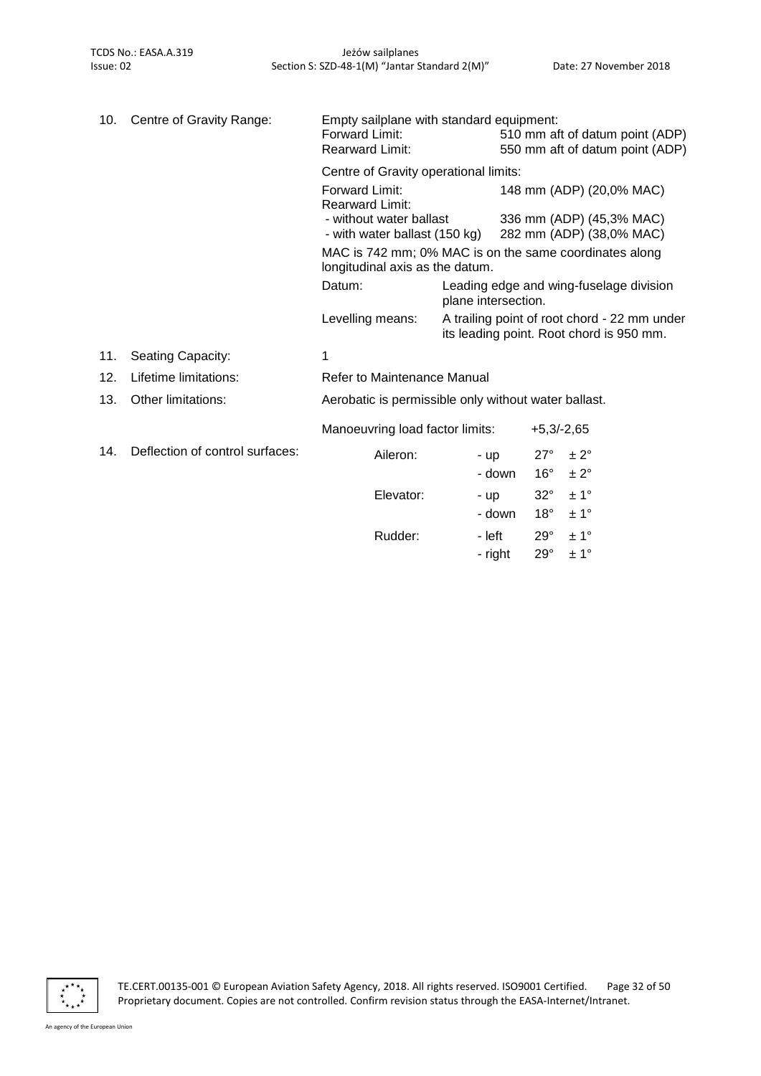| 10. | Centre of Gravity Range:        | Empty sailplane with standard equipment:<br>Forward Limit:<br><b>Rearward Limit:</b> |                                                                                           |                                                                |              | 510 mm aft of datum point (ADP)<br>550 mm aft of datum point (ADP)                       |  |
|-----|---------------------------------|--------------------------------------------------------------------------------------|-------------------------------------------------------------------------------------------|----------------------------------------------------------------|--------------|------------------------------------------------------------------------------------------|--|
|     |                                 | Centre of Gravity operational limits:                                                |                                                                                           |                                                                |              |                                                                                          |  |
|     |                                 | Forward Limit:<br>Rearward Limit:                                                    |                                                                                           |                                                                |              | 148 mm (ADP) (20,0% MAC)                                                                 |  |
|     |                                 | - without water ballast<br>- with water ballast (150 kg)                             |                                                                                           | 336 mm (ADP) (45,3% MAC)<br>282 mm (ADP) (38,0% MAC)           |              |                                                                                          |  |
|     |                                 |                                                                                      | MAC is 742 mm; 0% MAC is on the same coordinates along<br>longitudinal axis as the datum. |                                                                |              |                                                                                          |  |
|     |                                 | Datum:                                                                               |                                                                                           | Leading edge and wing-fuselage division<br>plane intersection. |              |                                                                                          |  |
|     |                                 | Levelling means:                                                                     |                                                                                           |                                                                |              | A trailing point of root chord - 22 mm under<br>its leading point. Root chord is 950 mm. |  |
| 11. | Seating Capacity:               | 1                                                                                    |                                                                                           |                                                                |              |                                                                                          |  |
| 12. | Lifetime limitations:           | Refer to Maintenance Manual                                                          |                                                                                           |                                                                |              |                                                                                          |  |
| 13. | Other limitations:              | Aerobatic is permissible only without water ballast.                                 |                                                                                           |                                                                |              |                                                                                          |  |
|     |                                 | Manoeuvring load factor limits:                                                      |                                                                                           |                                                                | $+5,3/-2,65$ |                                                                                          |  |
| 14. | Deflection of control surfaces: | Aileron:                                                                             | - up                                                                                      |                                                                | $27^\circ$   | $\pm 2^{\circ}$                                                                          |  |
|     |                                 |                                                                                      |                                                                                           | - down                                                         | $16^{\circ}$ | ± 2°                                                                                     |  |
|     |                                 | Elevator:                                                                            | - up                                                                                      |                                                                | $32^\circ$   | ± 1°                                                                                     |  |
|     |                                 |                                                                                      |                                                                                           | - down                                                         | $18^{\circ}$ | ± 1°                                                                                     |  |
|     |                                 | Rudder:                                                                              | - left                                                                                    |                                                                | $29^\circ$   | ± 1°                                                                                     |  |
|     |                                 |                                                                                      |                                                                                           | - right                                                        | $29^\circ$   | ± 1°                                                                                     |  |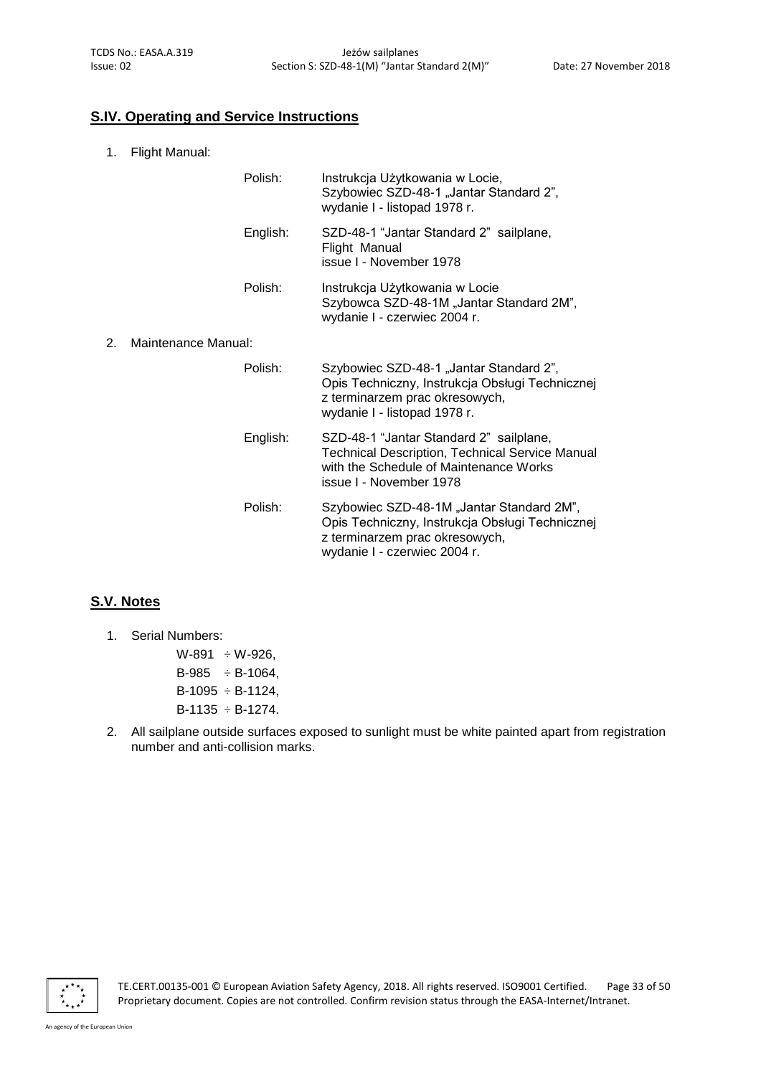#### <span id="page-32-0"></span>**S.IV. Operating and Service Instructions**

1. Flight Manual:

2. Maintenance

|         | Polish:  | Instrukcja Użytkowania w Locie,<br>Szybowiec SZD-48-1 "Jantar Standard 2",<br>wydanie I - listopad 1978 r.                                                             |
|---------|----------|------------------------------------------------------------------------------------------------------------------------------------------------------------------------|
|         | English: | SZD-48-1 "Jantar Standard 2" sailplane,<br>Flight Manual<br>issue I - November 1978                                                                                    |
|         | Polish:  | Instrukcja Użytkowania w Locie<br>Szybowca SZD-48-1M "Jantar Standard 2M",<br>wydanie I - czerwiec 2004 r.                                                             |
| Manual: |          |                                                                                                                                                                        |
|         | Polish:  | Szybowiec SZD-48-1 "Jantar Standard 2",<br>Opis Techniczny, Instrukcja Obsługi Technicznej<br>z terminarzem prac okresowych,<br>wydanie I - listopad 1978 r.           |
|         | English: | SZD-48-1 "Jantar Standard 2" sailplane,<br><b>Technical Description, Technical Service Manual</b><br>with the Schedule of Maintenance Works<br>issue I - November 1978 |
|         | Polish:  | Szybowiec SZD-48-1M "Jantar Standard 2M",<br>Opis Techniczny, Instrukcja Obsługi Technicznej<br>z terminarzem prac okresowych,<br>wydanie I - czerwiec 2004 r.         |

#### <span id="page-32-1"></span>**S.V. Notes**

- 1. Serial Numbers:
	- W-891 ÷ W-926,  $B-985 \div B-1064,$ B-1095 ÷ B-1124, B-1135 ÷ B-1274.
- 2. All sailplane outside surfaces exposed to sunlight must be white painted apart from registration number and anti-collision marks.



TE.CERT.00135-001 © European Aviation Safety Agency, 2018. All rights reserved. ISO9001 Certified. Page 33 of 50 Proprietary document. Copies are not controlled. Confirm revision status through the EASA-Internet/Intranet.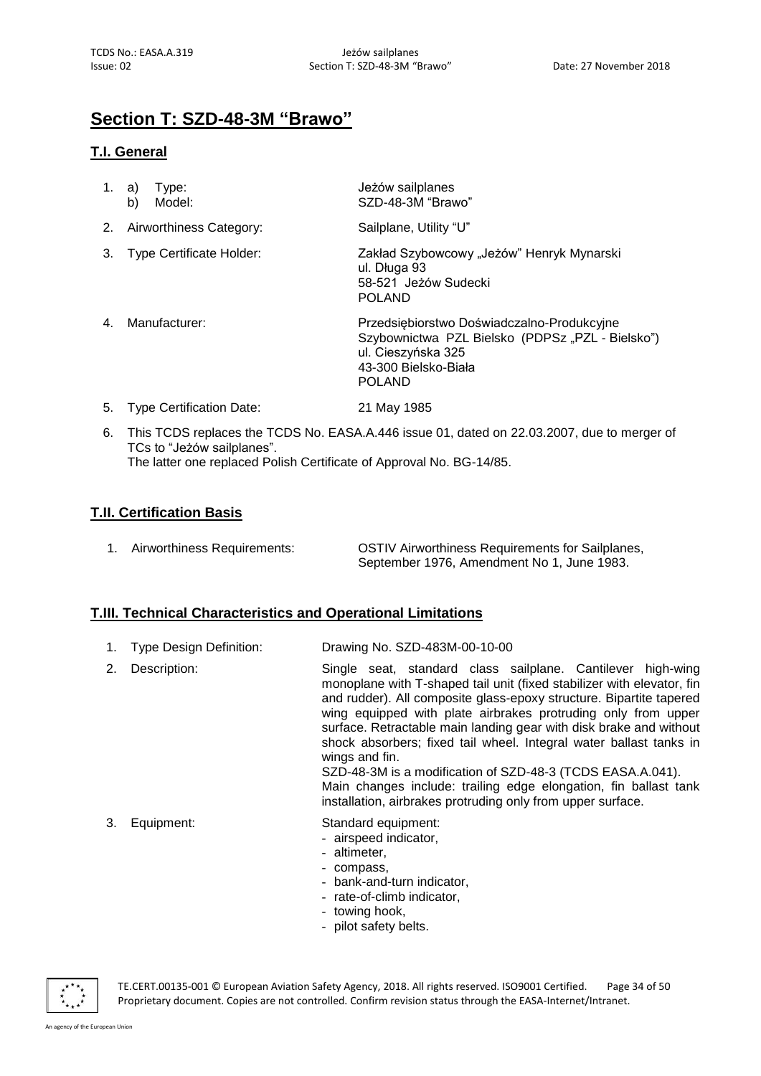## <span id="page-33-0"></span>**Section T: SZD-48-3M "Brawo"**

#### <span id="page-33-1"></span>**T.I. General**

|    | 1. a)<br>Type:<br>b)<br>Model:  | Jeżów sailplanes<br>SZD-48-3M "Brawo"                                                                                                                         |
|----|---------------------------------|---------------------------------------------------------------------------------------------------------------------------------------------------------------|
|    | 2. Airworthiness Category:      | Sailplane, Utility "U"                                                                                                                                        |
| 3. | <b>Type Certificate Holder:</b> | Zakład Szybowcowy "Jeżów" Henryk Mynarski<br>ul. Długa 93<br>58-521 Jeżów Sudecki<br><b>POLAND</b>                                                            |
| 4. | Manufacturer:                   | Przedsiębiorstwo Doświadczalno-Produkcyjne<br>Szybownictwa PZL Bielsko (PDPSz "PZL - Bielsko")<br>ul. Cieszyńska 325<br>43-300 Bielsko-Biała<br><b>POLAND</b> |
| 5. | <b>Type Certification Date:</b> | 21 May 1985                                                                                                                                                   |

6. This TCDS replaces the TCDS No. EASA.A.446 issue 01, dated on 22.03.2007, due to merger of TCs to "Jeżów sailplanes". The latter one replaced Polish Certificate of Approval No. BG-14/85.

#### <span id="page-33-2"></span>**T.II. Certification Basis**

| Airworthiness Requirements: | <b>OSTIV Airworthiness Requirements for Sailplanes,</b> |
|-----------------------------|---------------------------------------------------------|
|                             | September 1976, Amendment No 1, June 1983.              |

#### <span id="page-33-3"></span>**T.III. Technical Characteristics and Operational Limitations**

| Type Design Definition: | Drawing No. SZD-483M-00-10-00                                                                                                                                                                                                                                                                                                                                                                                                                                                                                                                                                                                                                |
|-------------------------|----------------------------------------------------------------------------------------------------------------------------------------------------------------------------------------------------------------------------------------------------------------------------------------------------------------------------------------------------------------------------------------------------------------------------------------------------------------------------------------------------------------------------------------------------------------------------------------------------------------------------------------------|
| Description:            | Single seat, standard class sailplane. Cantilever high-wing<br>monoplane with T-shaped tail unit (fixed stabilizer with elevator, fin<br>and rudder). All composite glass-epoxy structure. Bipartite tapered<br>wing equipped with plate airbrakes protruding only from upper<br>surface. Retractable main landing gear with disk brake and without<br>shock absorbers; fixed tail wheel. Integral water ballast tanks in<br>wings and fin.<br>SZD-48-3M is a modification of SZD-48-3 (TCDS EASA.A.041).<br>Main changes include: trailing edge elongation, fin ballast tank<br>installation, airbrakes protruding only from upper surface. |
|                         |                                                                                                                                                                                                                                                                                                                                                                                                                                                                                                                                                                                                                                              |

3. Equipment: Standard equipment:

- airspeed indicator,
- altimeter,
- compass,
- bank-and-turn indicator,
- rate-of-climb indicator,
- towing hook,
- pilot safety belts.



TE.CERT.00135-001 © European Aviation Safety Agency, 2018. All rights reserved. ISO9001 Certified. Page 34 of 50 Proprietary document. Copies are not controlled. Confirm revision status through the EASA-Internet/Intranet.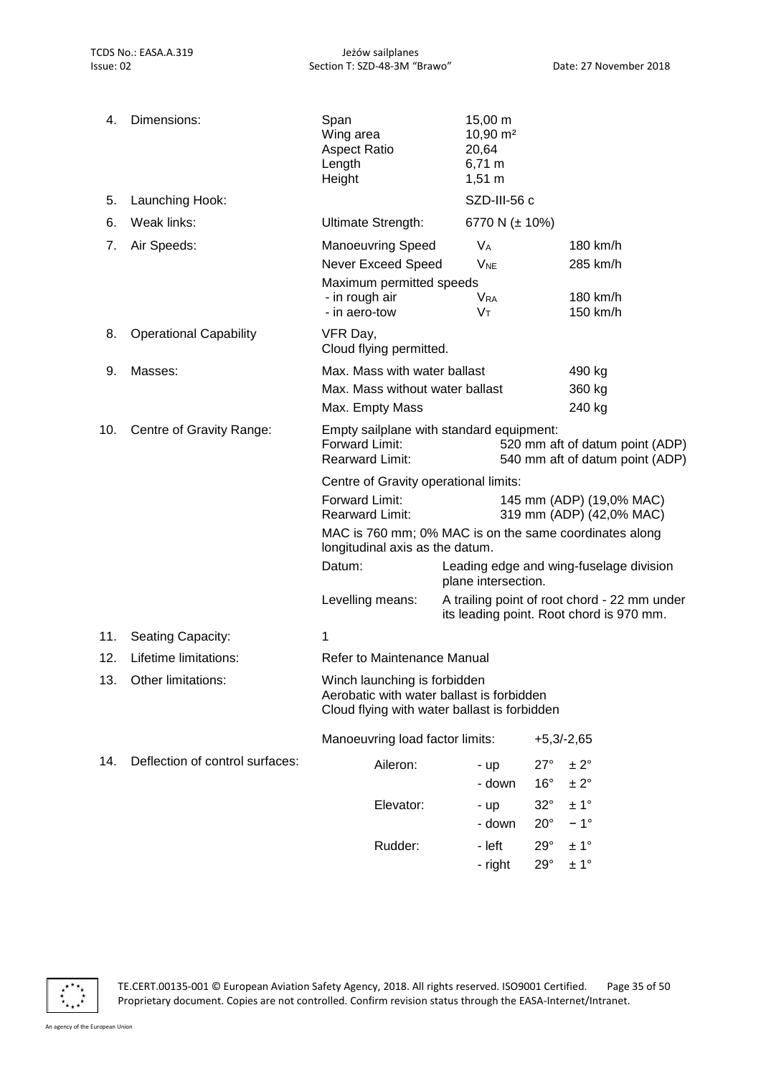| 4.  | Dimensions:                     | Span<br>Wing area<br><b>Aspect Ratio</b><br>Length<br>Height                                                                                                                                                 | 15,00 m<br>10,90 m <sup>2</sup><br>20,64<br>$6,71 \; m$<br>$1,51 \; m$ |                            |                                                                                                                                                 |
|-----|---------------------------------|--------------------------------------------------------------------------------------------------------------------------------------------------------------------------------------------------------------|------------------------------------------------------------------------|----------------------------|-------------------------------------------------------------------------------------------------------------------------------------------------|
| 5.  | Launching Hook:                 |                                                                                                                                                                                                              | SZD-III-56 c                                                           |                            |                                                                                                                                                 |
| 6.  | Weak links:                     | Ultimate Strength:                                                                                                                                                                                           | 6770 N $(\pm 10\%)$                                                    |                            |                                                                                                                                                 |
| 7.  | Air Speeds:                     | <b>Manoeuvring Speed</b><br><b>Never Exceed Speed</b><br>Maximum permitted speeds<br>- in rough air<br>- in aero-tow                                                                                         | <b>V<sub>A</sub></b><br><b>V<sub>NE</sub></b><br>V <sub>RA</sub><br>Vт |                            | $180$ km/h<br>285 km/h<br>180 km/h<br>150 km/h                                                                                                  |
| 8.  | <b>Operational Capability</b>   | VFR Day,<br>Cloud flying permitted.                                                                                                                                                                          |                                                                        |                            |                                                                                                                                                 |
| 9.  | Masses:                         | Max. Mass with water ballast<br>Max. Mass without water ballast<br>Max. Empty Mass                                                                                                                           |                                                                        |                            | 490 kg<br>360 kg<br>240 kg                                                                                                                      |
| 10. | Centre of Gravity Range:        | Empty sailplane with standard equipment:<br>Forward Limit:<br><b>Rearward Limit:</b>                                                                                                                         |                                                                        |                            | 520 mm aft of datum point (ADP)<br>540 mm aft of datum point (ADP)                                                                              |
|     |                                 | Centre of Gravity operational limits:<br>Forward Limit:<br><b>Rearward Limit:</b><br>MAC is 760 mm; 0% MAC is on the same coordinates along<br>longitudinal axis as the datum.<br>Datum:<br>Levelling means: | plane intersection.                                                    |                            | 145 mm (ADP) (19,0% MAC)<br>319 mm (ADP) (42,0% MAC)<br>Leading edge and wing-fuselage division<br>A trailing point of root chord - 22 mm under |
|     |                                 |                                                                                                                                                                                                              |                                                                        |                            | its leading point. Root chord is 970 mm.                                                                                                        |
| 11. | Seating Capacity:               | 1                                                                                                                                                                                                            |                                                                        |                            |                                                                                                                                                 |
| 12. | Lifetime limitations:           | Refer to Maintenance Manual                                                                                                                                                                                  |                                                                        |                            |                                                                                                                                                 |
| 13. | Other limitations:              | Winch launching is forbidden<br>Aerobatic with water ballast is forbidden<br>Cloud flying with water ballast is forbidden                                                                                    |                                                                        |                            |                                                                                                                                                 |
|     |                                 | Manoeuvring load factor limits:                                                                                                                                                                              |                                                                        |                            | $+5,3/-2,65$                                                                                                                                    |
| 14. | Deflection of control surfaces: | Aileron:                                                                                                                                                                                                     | - up<br>- down                                                         | $27^\circ$<br>$16^{\circ}$ | ± 2°<br>$\pm 2^{\circ}$                                                                                                                         |
|     |                                 | Elevator:                                                                                                                                                                                                    | - up<br>- down                                                         | $32^\circ$<br>$20^{\circ}$ | ± 1°<br>$-1^{\circ}$                                                                                                                            |
|     |                                 | Rudder:                                                                                                                                                                                                      | - left<br>- right                                                      | $29^\circ$<br>$29^\circ$   | ± 1°<br>± 1°                                                                                                                                    |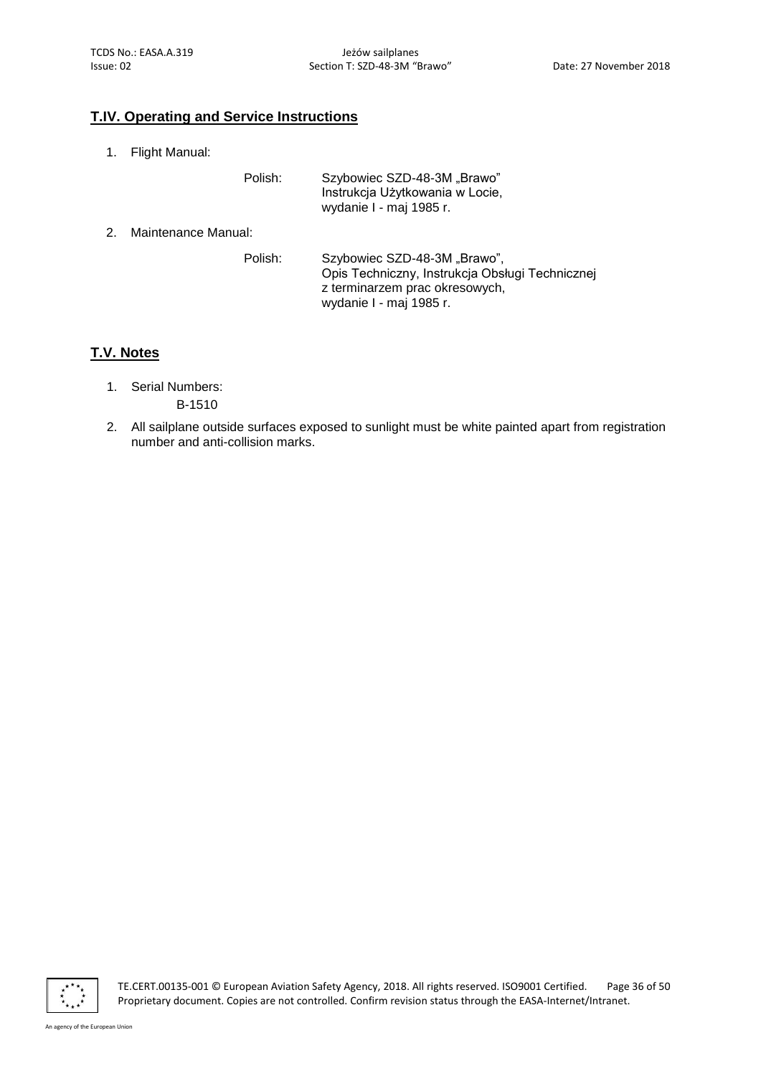#### <span id="page-35-0"></span>**T.IV. Operating and Service Instructions**

1. Flight Manual:

Polish: Szybowiec SZD-48-3M "Brawo" Instrukcja Użytkowania w Locie, wydanie I - maj 1985 r.

#### 2. Maintenance Manual:

Polish: Szybowiec SZD-48-3M "Brawo", Opis Techniczny, Instrukcja Obsługi Technicznej z terminarzem prac okresowych, wydanie I - maj 1985 r.

#### <span id="page-35-1"></span>**T.V. Notes**

1. Serial Numbers:

B-1510

2. All sailplane outside surfaces exposed to sunlight must be white painted apart from registration number and anti-collision marks.



TE.CERT.00135-001 © European Aviation Safety Agency, 2018. All rights reserved. ISO9001 Certified. Page 36 of 50 Proprietary document. Copies are not controlled. Confirm revision status through the EASA-Internet/Intranet.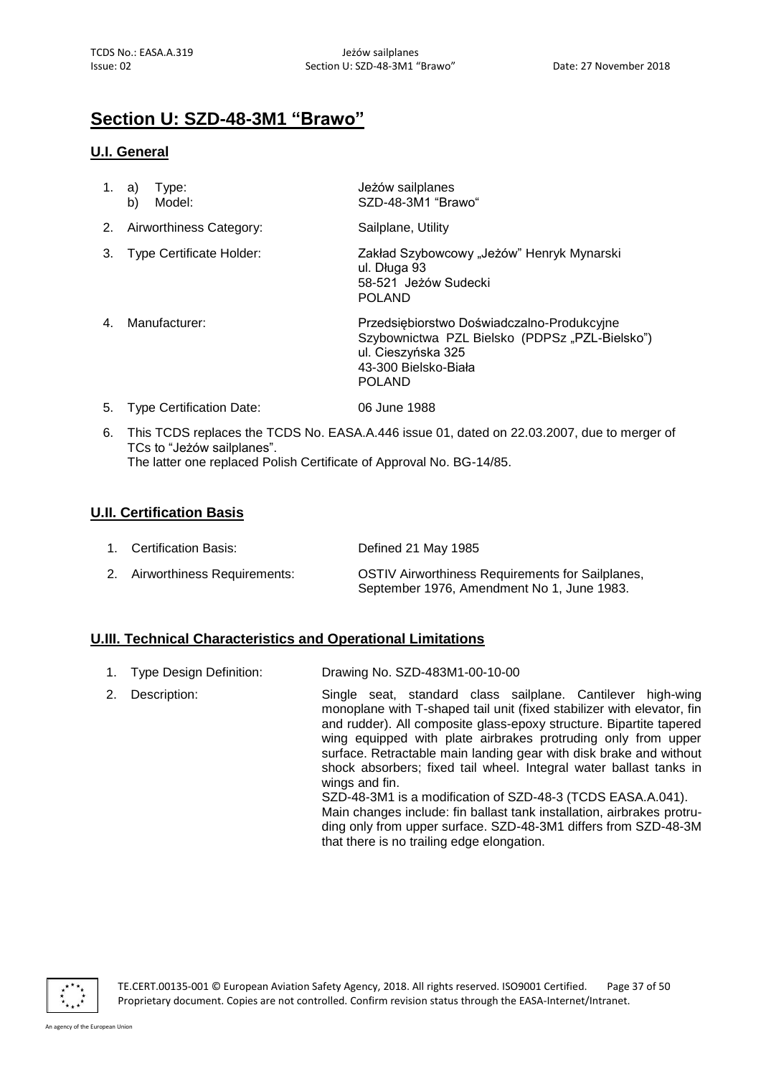### <span id="page-36-0"></span>**Section U: SZD-48-3M1 "Brawo"**

#### <span id="page-36-1"></span>**U.I. General**

|  | 1. a) Type:<br>b) Model:   | Jeżów sailplanes<br>SZD-48-3M1 "Brawo" |
|--|----------------------------|----------------------------------------|
|  | 2. Airworthiness Category: | Sailplane, Utility                     |

- 3. Type Certificate Holder: Zakład Szybowcowy "Jeżów" Henryk Mynarski ul. Długa 93 58-521 Jeżów Sudecki POLAND
- 4. Manufacturer: Przedsiębiorstwo Doświadczalno-Produkcyjne Szybownictwa PZL Bielsko (PDPSz "PZL-Bielsko") ul. Cieszyńska 325 43-300 Bielsko-Biała POLAND
- 5. Type Certification Date: 06 June 1988
- 6. This TCDS replaces the TCDS No. EASA.A.446 issue 01, dated on 22.03.2007, due to merger of TCs to "Jeżów sailplanes". The latter one replaced Polish Certificate of Approval No. BG-14/85.

#### <span id="page-36-2"></span>**U.II. Certification Basis**

| 1. Certification Basis:     | Defined 21 May 1985                          |
|-----------------------------|----------------------------------------------|
| Airworthingee Raquiramante: | OSTIV Airworthingss Requirements for Sailple |

2. Airworthiness Requirements: OSTIV Airworthiness Requirements for Sailplanes, September 1976, Amendment No 1, June 1983.

#### <span id="page-36-3"></span>**U.III. Technical Characteristics and Operational Limitations**

2. Description: Single seat, standard class sailplane. Cantilever high-wing monoplane with T-shaped tail unit (fixed stabilizer with elevator, fin and rudder). All composite glass-epoxy structure. Bipartite tapered wing equipped with plate airbrakes protruding only from upper surface. Retractable main landing gear with disk brake and without shock absorbers; fixed tail wheel. Integral water ballast tanks in wings and fin.

SZD-48-3M1 is a modification of SZD-48-3 (TCDS EASA.A.041).

Main changes include: fin ballast tank installation, airbrakes protruding only from upper surface. SZD-48-3M1 differs from SZD-48-3M that there is no trailing edge elongation.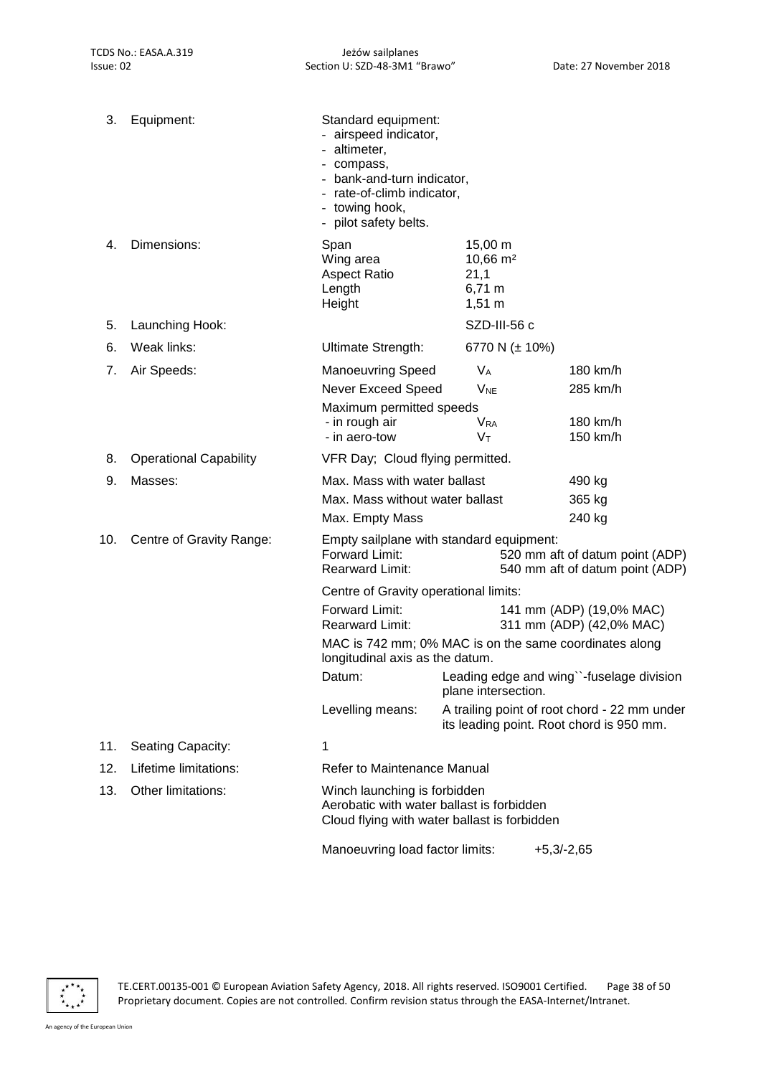| 3.  | Equipment:                                                                                                                                      | Standard equipment:<br>- airspeed indicator,<br>altimeter,<br>- compass,<br>- bank-and-turn indicator,<br>- rate-of-climb indicator,<br>- towing hook,<br>- pilot safety belts. |                                                                  |                     |                                                                                          |  |
|-----|-------------------------------------------------------------------------------------------------------------------------------------------------|---------------------------------------------------------------------------------------------------------------------------------------------------------------------------------|------------------------------------------------------------------|---------------------|------------------------------------------------------------------------------------------|--|
| 4.  | Dimensions:                                                                                                                                     | Span<br>Wing area<br><b>Aspect Ratio</b><br>Length<br>Height                                                                                                                    | 15,00 m<br>10,66 m <sup>2</sup><br>21,1<br>6,71 m<br>$1,51 \; m$ |                     |                                                                                          |  |
| 5.  | Launching Hook:                                                                                                                                 |                                                                                                                                                                                 |                                                                  | SZD-III-56 c        |                                                                                          |  |
| 6.  | Weak links:                                                                                                                                     | <b>Ultimate Strength:</b>                                                                                                                                                       |                                                                  | 6770 N $(\pm 10\%)$ |                                                                                          |  |
| 7.  | Air Speeds:                                                                                                                                     | <b>Manoeuvring Speed</b><br>Never Exceed Speed<br>Maximum permitted speeds<br>- in rough air                                                                                    | V <sub>A</sub><br>$V_{NE}$<br>V <sub>RA</sub>                    |                     | 180 km/h<br>285 km/h<br>180 km/h                                                         |  |
|     |                                                                                                                                                 | - in aero-tow                                                                                                                                                                   | Vт                                                               |                     | 150 km/h                                                                                 |  |
| 8.  | <b>Operational Capability</b>                                                                                                                   | VFR Day; Cloud flying permitted.                                                                                                                                                |                                                                  |                     |                                                                                          |  |
| 9.  | Masses:                                                                                                                                         | Max. Mass with water ballast                                                                                                                                                    |                                                                  |                     | 490 kg                                                                                   |  |
|     |                                                                                                                                                 | Max. Mass without water ballast<br>Max. Empty Mass                                                                                                                              |                                                                  |                     | 365 kg<br>240 kg                                                                         |  |
| 10. | Centre of Gravity Range:                                                                                                                        | Empty sailplane with standard equipment:<br>Forward Limit:<br><b>Rearward Limit:</b>                                                                                            |                                                                  |                     | 520 mm aft of datum point (ADP)<br>540 mm aft of datum point (ADP)                       |  |
|     |                                                                                                                                                 | Centre of Gravity operational limits:                                                                                                                                           |                                                                  |                     |                                                                                          |  |
|     |                                                                                                                                                 | Forward Limit:<br><b>Rearward Limit:</b>                                                                                                                                        |                                                                  |                     | 141 mm (ADP) (19,0% MAC)<br>311 mm (ADP) (42,0% MAC)                                     |  |
|     |                                                                                                                                                 | MAC is 742 mm; 0% MAC is on the same coordinates along<br>longitudinal axis as the datum.                                                                                       |                                                                  |                     |                                                                                          |  |
|     |                                                                                                                                                 | Datum:                                                                                                                                                                          |                                                                  | plane intersection. | Leading edge and wing"-fuselage division                                                 |  |
|     |                                                                                                                                                 | Levelling means:                                                                                                                                                                |                                                                  |                     | A trailing point of root chord - 22 mm under<br>its leading point. Root chord is 950 mm. |  |
| 11. | Seating Capacity:                                                                                                                               | 1                                                                                                                                                                               |                                                                  |                     |                                                                                          |  |
| 12. | Lifetime limitations:                                                                                                                           | Refer to Maintenance Manual                                                                                                                                                     |                                                                  |                     |                                                                                          |  |
| 13. | Other limitations:<br>Winch launching is forbidden<br>Aerobatic with water ballast is forbidden<br>Cloud flying with water ballast is forbidden |                                                                                                                                                                                 |                                                                  |                     |                                                                                          |  |
|     |                                                                                                                                                 | Manoeuvring load factor limits:                                                                                                                                                 |                                                                  |                     | $+5,3/-2,65$                                                                             |  |



TE.CERT.00135-001 © European Aviation Safety Agency, 2018. All rights reserved. ISO9001 Certified. Page 38 of 50 Proprietary document. Copies are not controlled. Confirm revision status through the EASA-Internet/Intranet.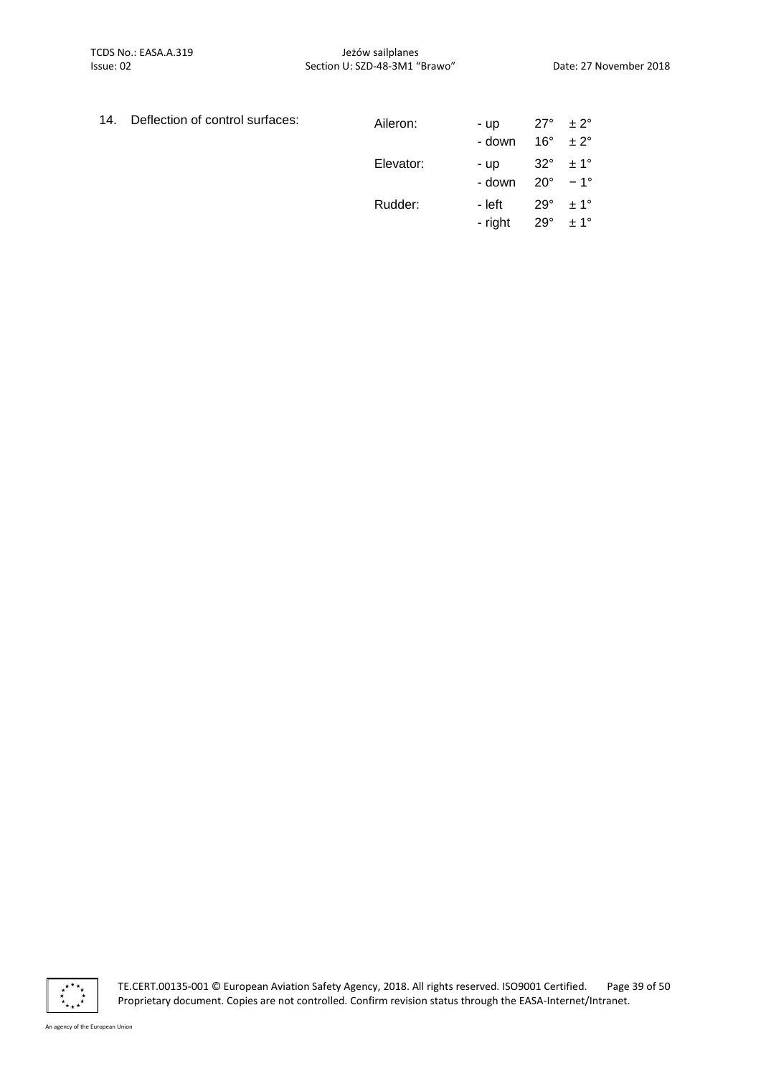| 14. Deflection of control surfaces: | Aileron:  | - up<br>- down                   | $27^\circ \pm 2^\circ$<br>$16^{\circ}$ $\pm 2^{\circ}$ |  |
|-------------------------------------|-----------|----------------------------------|--------------------------------------------------------|--|
|                                     | Elevator: | - up<br>- down $20^{\circ}$ - 1° | $32^\circ$ $\pm 1^\circ$                               |  |
|                                     | Rudder:   | - left<br>- right                | $29^\circ + 1^\circ$<br>$29^{\circ}$ $\pm 1^{\circ}$   |  |



TE.CERT.00135-001 © European Aviation Safety Agency, 2018. All rights reserved. ISO9001 Certified. Page 39 of 50 Proprietary document. Copies are not controlled. Confirm revision status through the EASA-Internet/Intranet.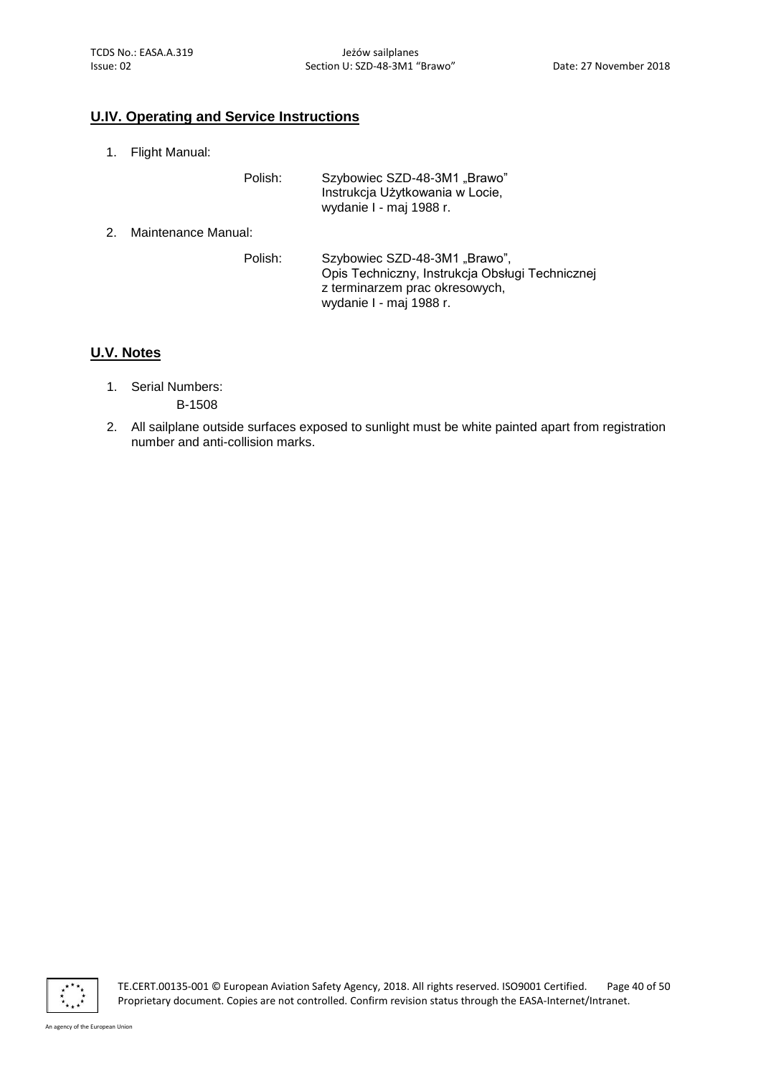#### <span id="page-39-0"></span>**U.IV. Operating and Service Instructions**

1. Flight Manual:

Polish: Szybowiec SZD-48-3M1 "Brawo" Instrukcja Użytkowania w Locie, wydanie I - maj 1988 r.

#### 2. Maintenance Manual:

Polish: Szybowiec SZD-48-3M1 "Brawo", Opis Techniczny, Instrukcja Obsługi Technicznej z terminarzem prac okresowych, wydanie I - maj 1988 r.

#### <span id="page-39-1"></span>**U.V. Notes**

1. Serial Numbers:

B-1508

2. All sailplane outside surfaces exposed to sunlight must be white painted apart from registration number and anti-collision marks.



TE.CERT.00135-001 © European Aviation Safety Agency, 2018. All rights reserved. ISO9001 Certified. Page 40 of 50 Proprietary document. Copies are not controlled. Confirm revision status through the EASA-Internet/Intranet.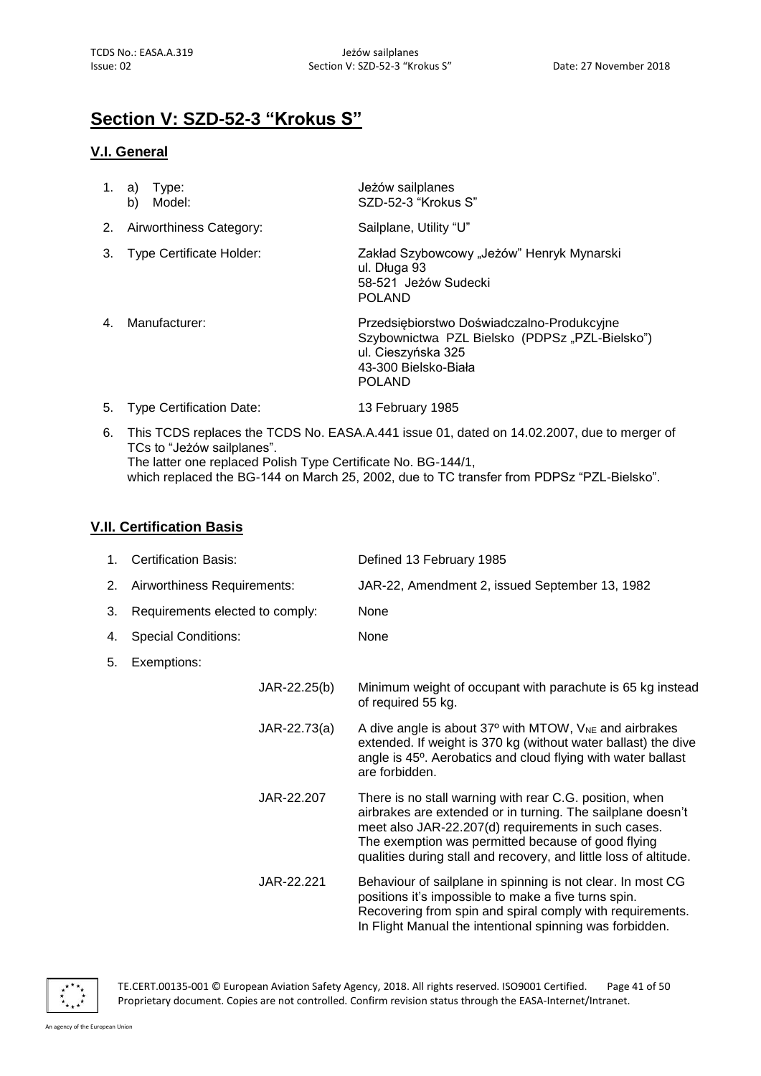## <span id="page-40-0"></span>**Section V: SZD-52-3 "Krokus S"**

#### <span id="page-40-1"></span>**V.I. General**

| 1. a) | Type:<br>Model:<br>b)           | Jeżów sailplanes<br>SZD-52-3 "Krokus S"                                                                                                                     |
|-------|---------------------------------|-------------------------------------------------------------------------------------------------------------------------------------------------------------|
| 2.    | Airworthiness Category:         | Sailplane, Utility "U"                                                                                                                                      |
| 3.    | Type Certificate Holder:        | Zakład Szybowcowy "Jeżów" Henryk Mynarski<br>ul. Długa 93<br>58-521 Jeżów Sudecki<br><b>POLAND</b>                                                          |
| 4.    | Manufacturer:                   | Przedsiębiorstwo Doświadczalno-Produkcyjne<br>Szybownictwa PZL Bielsko (PDPSz "PZL-Bielsko")<br>ul. Cieszyńska 325<br>43-300 Bielsko-Biała<br><b>POLAND</b> |
| 5.    | <b>Type Certification Date:</b> | 13 February 1985                                                                                                                                            |
|       |                                 |                                                                                                                                                             |

6. This TCDS replaces the TCDS No. EASA.A.441 issue 01, dated on 14.02.2007, due to merger of TCs to "Jeżów sailplanes". The latter one replaced Polish Type Certificate No. BG-144/1, which replaced the BG-144 on March 25, 2002, due to TC transfer from PDPSz "PZL-Bielsko".

#### <span id="page-40-3"></span><span id="page-40-2"></span>**V.II. Certification Basis**

| $1_{\cdot}$ | <b>Certification Basis:</b>     | Defined 13 February 1985                                                                                                                                                                                                                                                                                 |  |  |  |
|-------------|---------------------------------|----------------------------------------------------------------------------------------------------------------------------------------------------------------------------------------------------------------------------------------------------------------------------------------------------------|--|--|--|
| 2.          | Airworthiness Requirements:     | JAR-22, Amendment 2, issued September 13, 1982                                                                                                                                                                                                                                                           |  |  |  |
| 3.          | Requirements elected to comply: | None                                                                                                                                                                                                                                                                                                     |  |  |  |
| 4.          | <b>Special Conditions:</b>      | None                                                                                                                                                                                                                                                                                                     |  |  |  |
| 5.          | Exemptions:                     |                                                                                                                                                                                                                                                                                                          |  |  |  |
|             | JAR-22.25(b)                    | Minimum weight of occupant with parachute is 65 kg instead<br>of required 55 kg.                                                                                                                                                                                                                         |  |  |  |
|             | JAR-22.73(a)                    | A dive angle is about $37^{\circ}$ with MTOW, $V_{NE}$ and airbrakes<br>extended. If weight is 370 kg (without water ballast) the dive<br>angle is 45 <sup>o</sup> . Aerobatics and cloud flying with water ballast<br>are forbidden.                                                                    |  |  |  |
|             | JAR-22.207                      | There is no stall warning with rear C.G. position, when<br>airbrakes are extended or in turning. The sailplane doesn't<br>meet also JAR-22.207(d) requirements in such cases.<br>The exemption was permitted because of good flying<br>qualities during stall and recovery, and little loss of altitude. |  |  |  |
|             | JAR-22.221                      | Behaviour of sailplane in spinning is not clear. In most CG<br>positions it's impossible to make a five turns spin.<br>Recovering from spin and spiral comply with requirements.<br>In Flight Manual the intentional spinning was forbidden.                                                             |  |  |  |

 $\overline{\cdots}$ 

TE.CERT.00135-001 © European Aviation Safety Agency, 2018. All rights reserved. ISO9001 Certified. Page 41 of 50 Proprietary document. Copies are not controlled. Confirm revision status through the EASA-Internet/Intranet.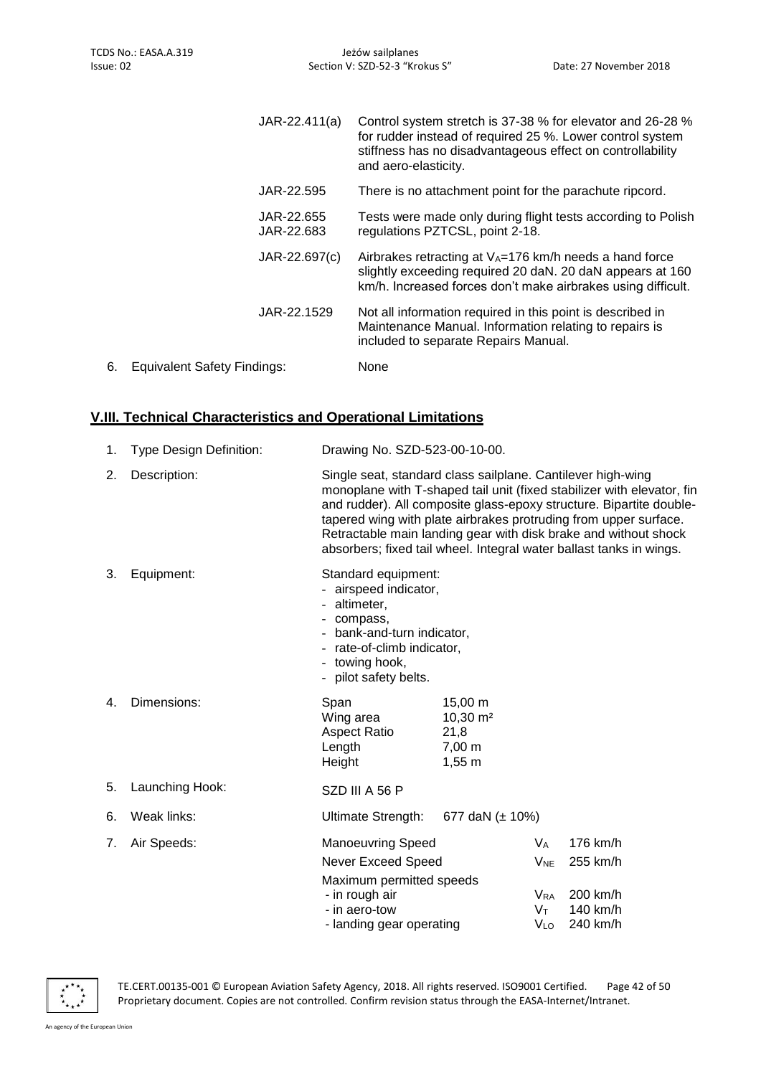|    | $JAR-22.411(a)$             | Control system stretch is 37-38 % for elevator and 26-28 %<br>for rudder instead of required 25 %. Lower control system<br>stiffness has no disadvantageous effect on controllability<br>and aero-elasticity. |
|----|-----------------------------|---------------------------------------------------------------------------------------------------------------------------------------------------------------------------------------------------------------|
|    | JAR-22.595                  | There is no attachment point for the parachute ripcord.                                                                                                                                                       |
|    | JAR-22.655<br>JAR-22.683    | Tests were made only during flight tests according to Polish<br>regulations PZTCSL, point 2-18.                                                                                                               |
|    | JAR-22.697(c)               | Airbrakes retracting at $V_A$ =176 km/h needs a hand force<br>slightly exceeding required 20 daN. 20 daN appears at 160<br>km/h. Increased forces don't make airbrakes using difficult.                       |
|    | JAR-22.1529                 | Not all information required in this point is described in<br>Maintenance Manual. Information relating to repairs is<br>included to separate Repairs Manual.                                                  |
| 6. | Equivalent Safety Findings: | None                                                                                                                                                                                                          |

#### <span id="page-41-0"></span>**V.III. Technical Characteristics and Operational Limitations**

| 1. | <b>Type Design Definition:</b> | Drawing No. SZD-523-00-10-00.                                                                                                                                                                                                                                                                                                                                                                                              |                                                                                  |                                                        |                                              |
|----|--------------------------------|----------------------------------------------------------------------------------------------------------------------------------------------------------------------------------------------------------------------------------------------------------------------------------------------------------------------------------------------------------------------------------------------------------------------------|----------------------------------------------------------------------------------|--------------------------------------------------------|----------------------------------------------|
| 2. | Description:                   | Single seat, standard class sailplane. Cantilever high-wing<br>monoplane with T-shaped tail unit (fixed stabilizer with elevator, fin<br>and rudder). All composite glass-epoxy structure. Bipartite double-<br>tapered wing with plate airbrakes protruding from upper surface.<br>Retractable main landing gear with disk brake and without shock<br>absorbers; fixed tail wheel. Integral water ballast tanks in wings. |                                                                                  |                                                        |                                              |
| 3. | Equipment:                     | Standard equipment:<br>- airspeed indicator,<br>- altimeter,<br>- compass,<br>- bank-and-turn indicator,<br>rate-of-climb indicator,<br>- towing hook,<br>- pilot safety belts.                                                                                                                                                                                                                                            |                                                                                  |                                                        |                                              |
| 4. | Dimensions:                    | Span<br>Wing area<br>Aspect Ratio<br>Length<br>Height                                                                                                                                                                                                                                                                                                                                                                      | $15,00 \; \text{m}$<br>$10,30 \text{ m}^2$<br>21,8<br>$7,00 \; m$<br>$1,55 \; m$ |                                                        |                                              |
| 5. | Launching Hook:                | SZD III A 56 P                                                                                                                                                                                                                                                                                                                                                                                                             |                                                                                  |                                                        |                                              |
| 6. | Weak links:                    | Ultimate Strength:                                                                                                                                                                                                                                                                                                                                                                                                         | 677 daN $(\pm 10\%)$                                                             |                                                        |                                              |
| 7. | Air Speeds:                    | <b>Manoeuvring Speed</b>                                                                                                                                                                                                                                                                                                                                                                                                   |                                                                                  | <b>V</b> <sub>A</sub>                                  | 176 km/h                                     |
|    |                                | <b>Never Exceed Speed</b><br>Maximum permitted speeds<br>- in rough air<br>- in aero-tow<br>- landing gear operating                                                                                                                                                                                                                                                                                                       |                                                                                  | <b>V</b> <sub>NF</sub><br>V <sub>RA</sub><br>Vт<br>VLO | 255 km/h<br>200 km/h<br>140 km/h<br>240 km/h |



TE.CERT.00135-001 © European Aviation Safety Agency, 2018. All rights reserved. ISO9001 Certified. Page 42 of 50 Proprietary document. Copies are not controlled. Confirm revision status through the EASA-Internet/Intranet.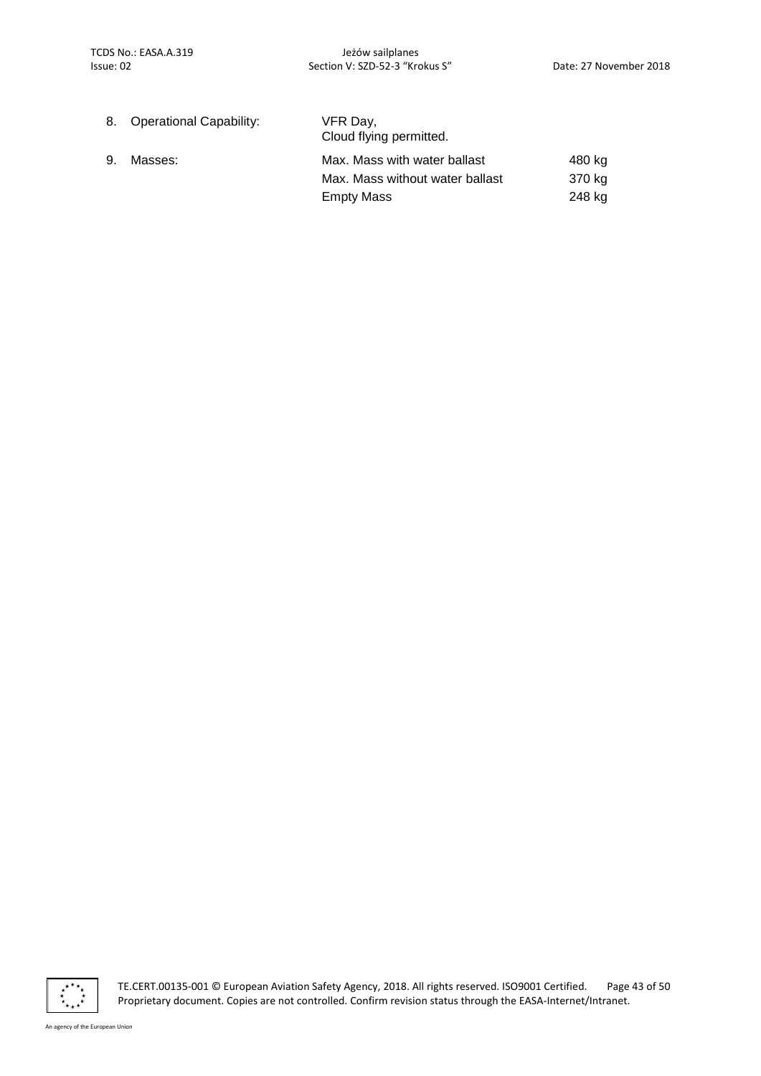| 8. | <b>Operational Capability:</b> | VFR Dav.<br>Cloud flying permitted. |        |
|----|--------------------------------|-------------------------------------|--------|
| 9. | Masses:                        | Max. Mass with water ballast        | 480 kg |
|    |                                | Max. Mass without water ballast     | 370 kg |
|    |                                | <b>Empty Mass</b>                   | 248 kg |



TE.CERT.00135-001 © European Aviation Safety Agency, 2018. All rights reserved. ISO9001 Certified. Page 43 of 50 Proprietary document. Copies are not controlled. Confirm revision status through the EASA-Internet/Intranet.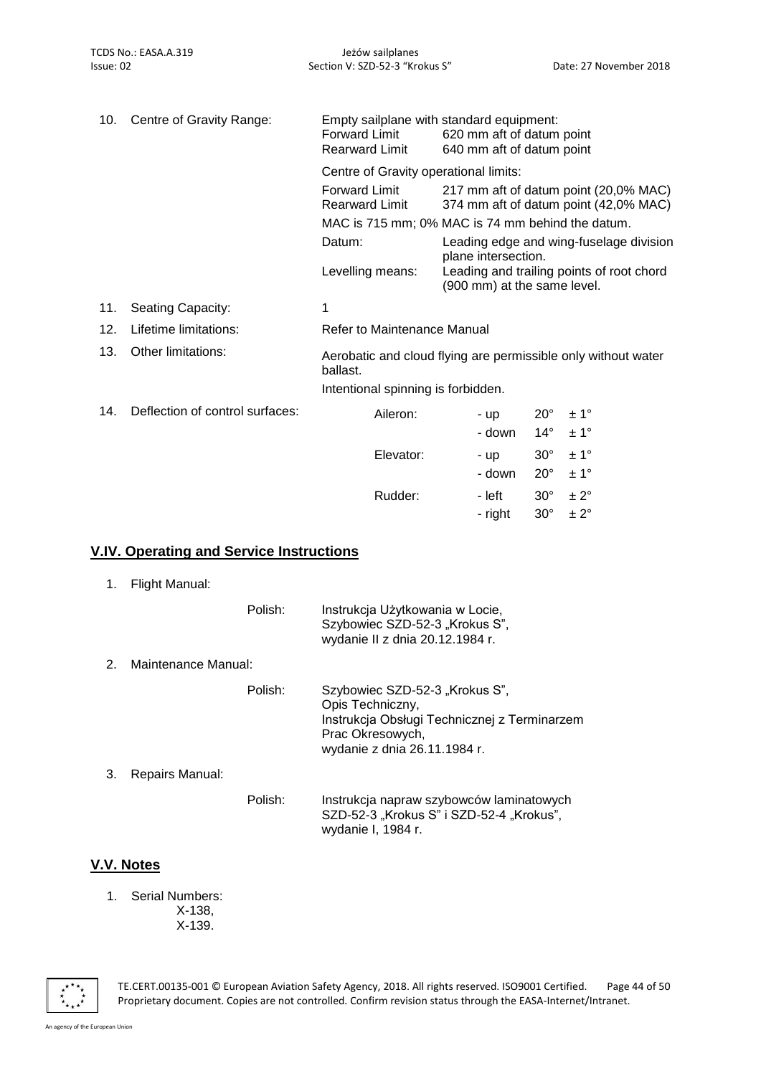$\pm$  1°  $\pm 2^{\circ}$  $\pm 2^{\circ}$ 

| 10. | Centre of Gravity Range:        | Empty sailplane with standard equipment:<br>Forward Limit<br><b>Rearward Limit</b> | 620 mm aft of datum point<br>640 mm aft of datum point         |              |                                                                                |  |
|-----|---------------------------------|------------------------------------------------------------------------------------|----------------------------------------------------------------|--------------|--------------------------------------------------------------------------------|--|
|     |                                 | Centre of Gravity operational limits:                                              |                                                                |              |                                                                                |  |
|     |                                 | Forward Limit<br>Rearward Limit                                                    |                                                                |              | 217 mm aft of datum point (20,0% MAC)<br>374 mm aft of datum point (42,0% MAC) |  |
|     |                                 | MAC is 715 mm; 0% MAC is 74 mm behind the datum.                                   |                                                                |              |                                                                                |  |
|     |                                 | Datum:                                                                             | Leading edge and wing-fuselage division<br>plane intersection. |              |                                                                                |  |
|     |                                 | Levelling means:                                                                   | (900 mm) at the same level.                                    |              | Leading and trailing points of root chord                                      |  |
| 11. | Seating Capacity:               | 1                                                                                  |                                                                |              |                                                                                |  |
| 12. | Lifetime limitations:           | Refer to Maintenance Manual                                                        |                                                                |              |                                                                                |  |
| 13. | Other limitations:              | Aerobatic and cloud flying are permissible only without water<br>ballast.          |                                                                |              |                                                                                |  |
|     |                                 | Intentional spinning is forbidden.                                                 |                                                                |              |                                                                                |  |
| 14. | Deflection of control surfaces: | Aileron:                                                                           | - up                                                           | $20^{\circ}$ | $\pm 1^{\circ}$                                                                |  |
|     |                                 |                                                                                    | - down                                                         | $14^{\circ}$ | ± 1°                                                                           |  |
|     |                                 | Elevator:                                                                          | - up                                                           | $30^\circ$   | $± 1^{\circ}$                                                                  |  |

| ------- | ∽ | $\check{ }$                            |
|---------|---|----------------------------------------|
|         |   |                                        |
| Rudder: |   | $30^{\circ}$                           |
|         |   | $30^\circ$                             |
|         |   | - down $20^\circ$<br>- left<br>- right |

#### <span id="page-43-0"></span>**V.IV. Operating and Service Instructions**

#### 1. Flight Manual:

|    |                     | Polish: | Instrukcja Użytkowania w Locie,<br>Szybowiec SZD-52-3 "Krokus S",<br>wydanie II z dnia 20.12.1984 r.                                                   |
|----|---------------------|---------|--------------------------------------------------------------------------------------------------------------------------------------------------------|
| 2. | Maintenance Manual: |         |                                                                                                                                                        |
|    |                     | Polish: | Szybowiec SZD-52-3 "Krokus S",<br>Opis Techniczny,<br>Instrukcja Obsługi Technicznej z Terminarzem<br>Prac Okresowych,<br>wydanie z dnia 26.11.1984 r. |
| 3. | Repairs Manual:     |         |                                                                                                                                                        |
|    |                     | Polish: | Instrukcja napraw szybowców laminatowych<br>SZD-52-3 "Krokus S" i SZD-52-4 "Krokus",<br>wydanie I, 1984 r.                                             |

#### <span id="page-43-1"></span>**V.V. Notes**

1. Serial Numbers: X-138,  $X-139.$ 



TE.CERT.00135-001 © European Aviation Safety Agency, 2018. All rights reserved. ISO9001 Certified. Page 44 of 50 Proprietary document. Copies are not controlled. Confirm revision status through the EASA-Internet/Intranet.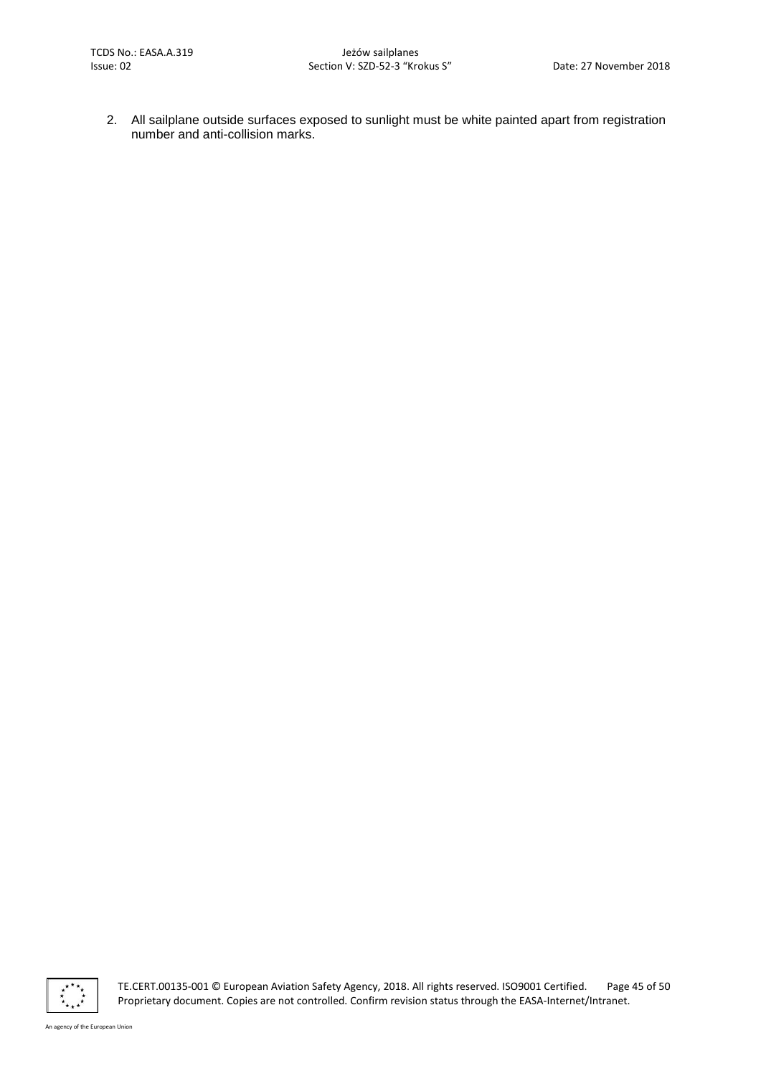2. All sailplane outside surfaces exposed to sunlight must be white painted apart from registration number and anti-collision marks.



TE.CERT.00135-001 © European Aviation Safety Agency, 2018. All rights reserved. ISO9001 Certified. Page 45 of 50 Proprietary document. Copies are not controlled. Confirm revision status through the EASA-Internet/Intranet.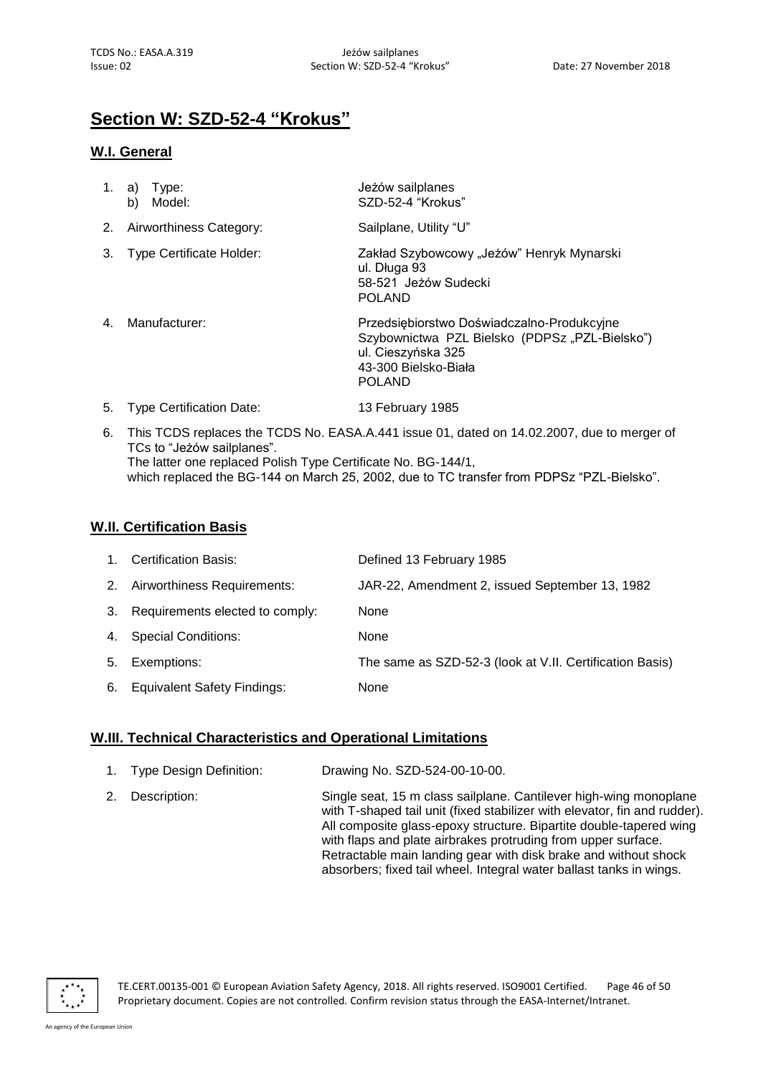## <span id="page-45-0"></span>**Section W: SZD-52-4 "Krokus"**

#### <span id="page-45-1"></span>**W.I. General**

| 1. a) | Type:<br>Model:<br>b)           | Jeżów sailplanes<br>SZD-52-4 "Krokus"                                                                                                                       |
|-------|---------------------------------|-------------------------------------------------------------------------------------------------------------------------------------------------------------|
|       | 2. Airworthiness Category:      | Sailplane, Utility "U"                                                                                                                                      |
| 3.    | Type Certificate Holder:        | Zakład Szybowcowy "Jeżów" Henryk Mynarski<br>ul. Długa 93<br>58-521 Jeżów Sudecki<br><b>POLAND</b>                                                          |
| 4.    | Manufacturer:                   | Przedsiębiorstwo Doświadczalno-Produkcyjne<br>Szybownictwa PZL Bielsko (PDPSz "PZL-Bielsko")<br>ul. Cieszyńska 325<br>43-300 Bielsko-Biała<br><b>POLAND</b> |
| 5.    | <b>Type Certification Date:</b> | 13 February 1985                                                                                                                                            |

6. This TCDS replaces the TCDS No. EASA.A.441 issue 01, dated on 14.02.2007, due to merger of TCs to "Jeżów sailplanes". The latter one replaced Polish Type Certificate No. BG-144/1, which replaced the BG-144 on March 25, 2002, due to TC transfer from PDPSz "PZL-Bielsko".

#### <span id="page-45-2"></span>**W.II. Certification Basis**

| $1_{\cdot}$ | <b>Certification Basis:</b>     | Defined 13 February 1985                                 |
|-------------|---------------------------------|----------------------------------------------------------|
|             | 2. Airworthiness Requirements:  | JAR-22, Amendment 2, issued September 13, 1982           |
| 3.          | Requirements elected to comply: | None                                                     |
| 4.          | <b>Special Conditions:</b>      | None                                                     |
| 5.          | Exemptions:                     | The same as SZD-52-3 (look at V.II. Certification Basis) |
| 6.          | Equivalent Safety Findings:     | None                                                     |

#### <span id="page-45-3"></span>**W.III. Technical Characteristics and Operational Limitations**

|    | 1. Type Design Definition: | Drawing No. SZD-524-00-10-00.                                                                                                                                                                                                                                                                                                                                                                                                   |
|----|----------------------------|---------------------------------------------------------------------------------------------------------------------------------------------------------------------------------------------------------------------------------------------------------------------------------------------------------------------------------------------------------------------------------------------------------------------------------|
| 2. | Description:               | Single seat, 15 m class sailplane. Cantilever high-wing monoplane<br>with T-shaped tail unit (fixed stabilizer with elevator, fin and rudder).<br>All composite glass-epoxy structure. Bipartite double-tapered wing<br>with flaps and plate airbrakes protruding from upper surface.<br>Retractable main landing gear with disk brake and without shock<br>absorbers; fixed tail wheel. Integral water ballast tanks in wings. |



TE.CERT.00135-001 © European Aviation Safety Agency, 2018. All rights reserved. ISO9001 Certified. Page 46 of 50 Proprietary document. Copies are not controlled. Confirm revision status through the EASA-Internet/Intranet.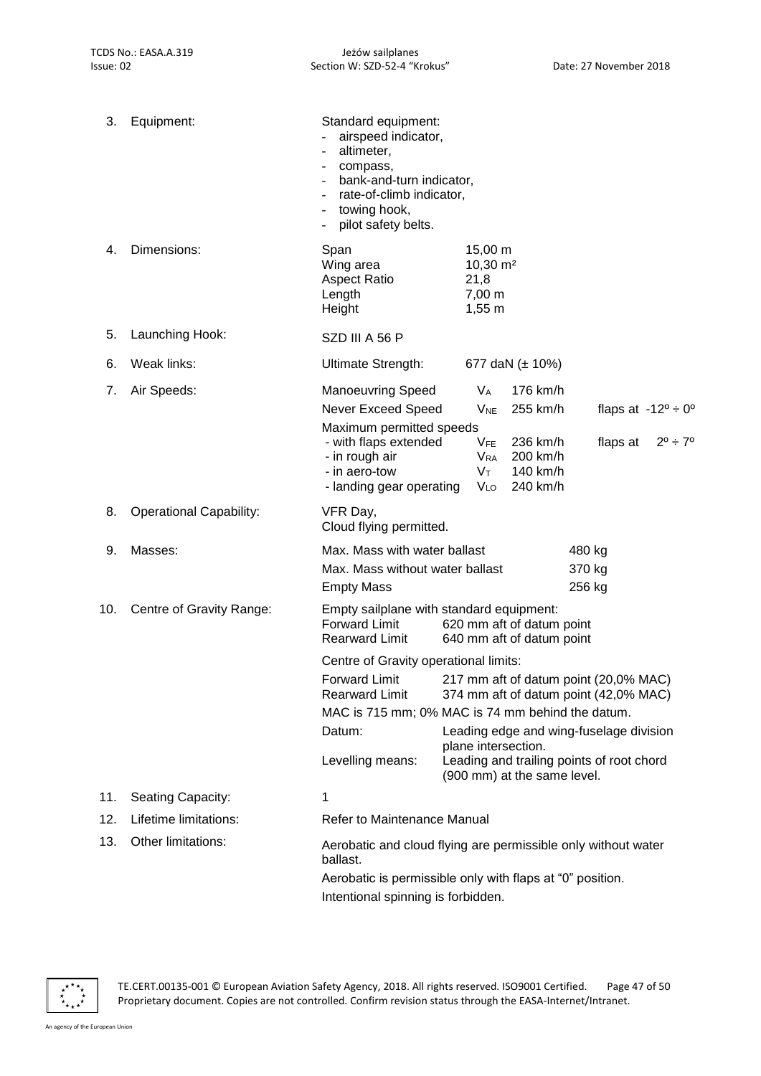| 3.  | Equipment:                     | Standard equipment:<br>airspeed indicator,<br>altimeter,<br>compass,<br>bank-and-turn indicator,<br>rate-of-climb indicator,<br>towing hook,<br>pilot safety belts.          |                                                                                        |                                                          |                                                                                                                           |                |
|-----|--------------------------------|------------------------------------------------------------------------------------------------------------------------------------------------------------------------------|----------------------------------------------------------------------------------------|----------------------------------------------------------|---------------------------------------------------------------------------------------------------------------------------|----------------|
| 4.  | Dimensions:                    | Span<br>Wing area<br><b>Aspect Ratio</b><br>Length<br>Height                                                                                                                 | $15,00 \; \text{m}$<br>$10,30 \text{ m}^2$<br>21,8<br>$7,00 \; m$<br>$1,55 \; m$       |                                                          |                                                                                                                           |                |
| 5.  | Launching Hook:                | SZD III A 56 P                                                                                                                                                               |                                                                                        |                                                          |                                                                                                                           |                |
| 6.  | Weak links:                    | Ultimate Strength:                                                                                                                                                           |                                                                                        | 677 daN $(\pm 10\%)$                                     |                                                                                                                           |                |
| 7.  | Air Speeds:                    | <b>Manoeuvring Speed</b><br>Never Exceed Speed<br>Maximum permitted speeds<br>- with flaps extended<br>- in rough air<br>- in aero-tow                                       | <b>V<sub>A</sub></b><br>V <sub>NE</sub><br><b>VFE</b><br>V <sub>RA</sub><br>$V_{\tau}$ | 176 km/h<br>255 km/h<br>236 km/h<br>200 km/h<br>140 km/h | flaps at $-12^{\circ} \div 0^{\circ}$<br>flaps at                                                                         | $2^0 \div 7^0$ |
| 8.  | <b>Operational Capability:</b> | - landing gear operating<br>VFR Day,<br>Cloud flying permitted.                                                                                                              | VLO                                                                                    | 240 km/h                                                 |                                                                                                                           |                |
| 9.  | Masses:                        | Max. Mass with water ballast<br>Max. Mass without water ballast<br><b>Empty Mass</b>                                                                                         |                                                                                        |                                                          | 480 kg<br>370 kg<br>256 kg                                                                                                |                |
| 10. | Centre of Gravity Range:       | Empty sailplane with standard equipment:<br><b>Forward Limit</b><br><b>Rearward Limit</b>                                                                                    |                                                                                        | 620 mm aft of datum point<br>640 mm aft of datum point   |                                                                                                                           |                |
|     |                                | Centre of Gravity operational limits:<br><b>Forward Limit</b><br><b>Rearward Limit</b><br>MAC is 715 mm; 0% MAC is 74 mm behind the datum.<br>Datum:                         | plane intersection.                                                                    |                                                          | 217 mm aft of datum point (20,0% MAC)<br>374 mm aft of datum point (42,0% MAC)<br>Leading edge and wing-fuselage division |                |
|     |                                | Levelling means:                                                                                                                                                             |                                                                                        | (900 mm) at the same level.                              | Leading and trailing points of root chord                                                                                 |                |
| 11. | Seating Capacity:              | 1                                                                                                                                                                            |                                                                                        |                                                          |                                                                                                                           |                |
| 12. | Lifetime limitations:          | Refer to Maintenance Manual                                                                                                                                                  |                                                                                        |                                                          |                                                                                                                           |                |
| 13. | Other limitations:             | Aerobatic and cloud flying are permissible only without water<br>ballast.<br>Aerobatic is permissible only with flaps at "0" position.<br>Intentional spinning is forbidden. |                                                                                        |                                                          |                                                                                                                           |                |



TE.CERT.00135-001 © European Aviation Safety Agency, 2018. All rights reserved. ISO9001 Certified. Page 47 of 50 Proprietary document. Copies are not controlled. Confirm revision status through the EASA-Internet/Intranet.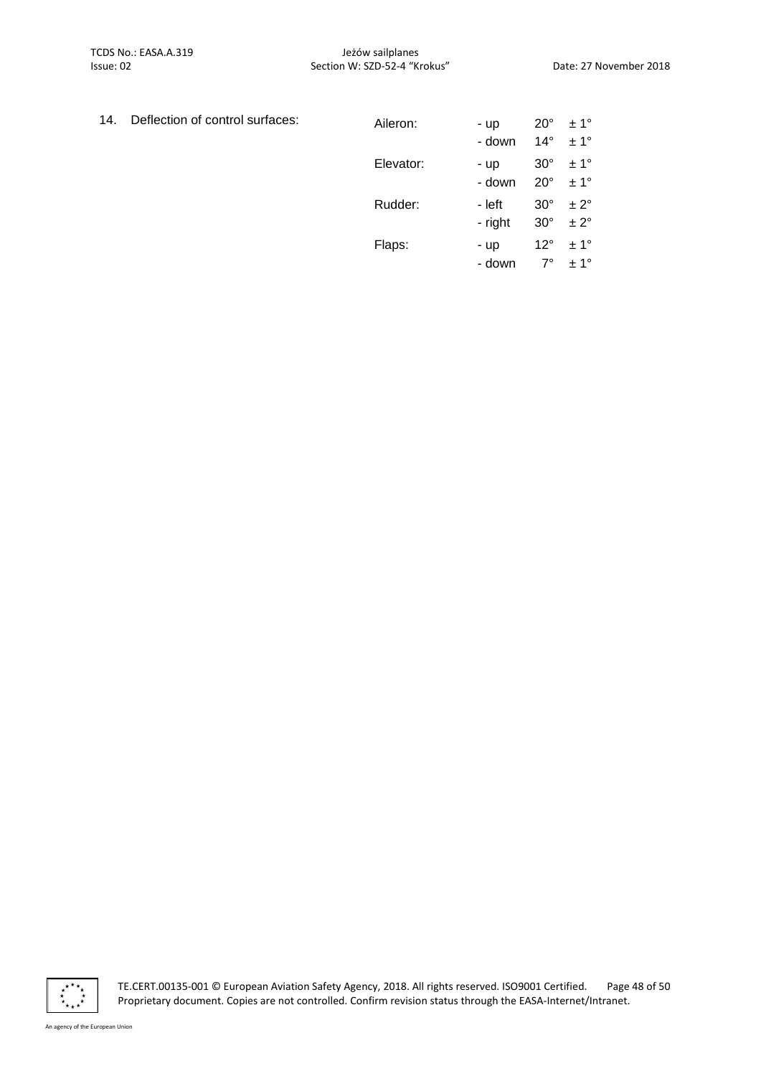14. Deflection of control surfaces:

| Aileron:  | - up    | $20^{\circ}$ | $± 1^{\circ}$   |
|-----------|---------|--------------|-----------------|
|           | - down  | $14^\circ$   | ± 1°            |
| Elevator: | - up    | $30^{\circ}$ | $± 1^{\circ}$   |
|           | - down  | $20^{\circ}$ | $\pm 1^{\circ}$ |
| Rudder:   | - left  | $30^\circ$   | $± 2^{\circ}$   |
|           | - right | $30^\circ$   | $± 2^{\circ}$   |
| Flaps:    | - up    | $12^{\circ}$ | $± 1^{\circ}$   |
|           | - down  | 7°           | $\pm 1^{\circ}$ |



TE.CERT.00135-001 © European Aviation Safety Agency, 2018. All rights reserved. ISO9001 Certified. Page 48 of 50 Proprietary document. Copies are not controlled. Confirm revision status through the EASA-Internet/Intranet.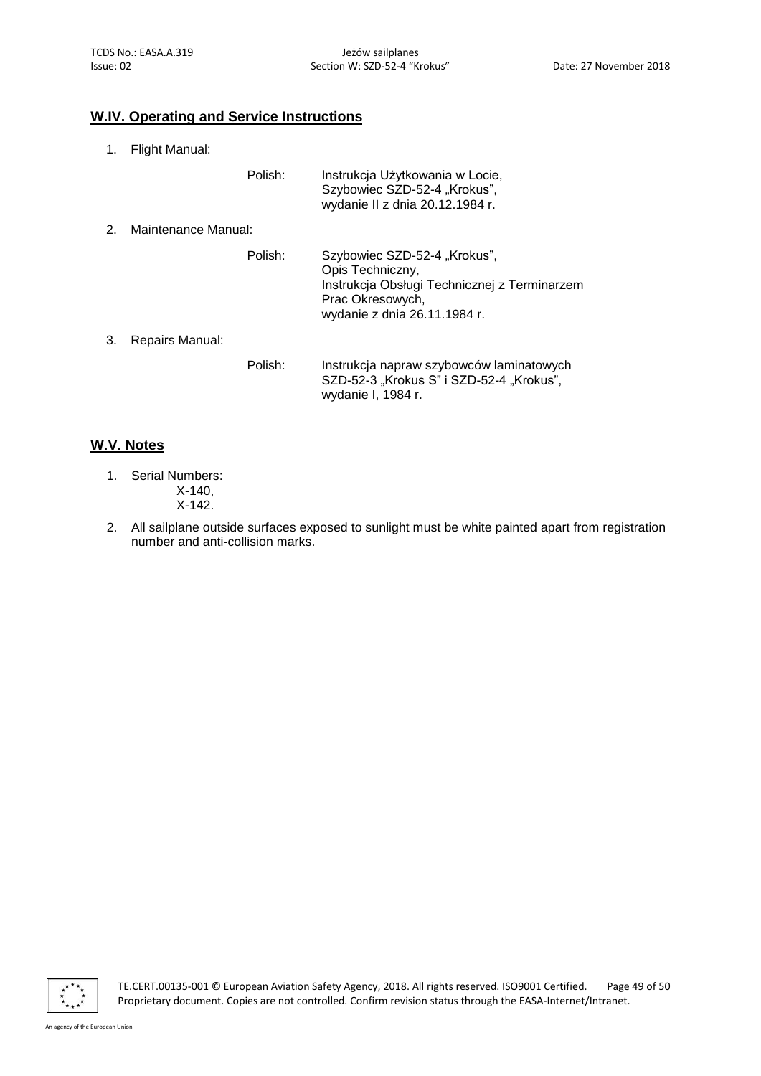#### <span id="page-48-0"></span>**W.IV. Operating and Service Instructions**

1. Flight Manual:

| Polish: | Instrukcja Użytkowania w Locie, |
|---------|---------------------------------|
|         | Szybowiec SZD-52-4 "Krokus",    |
|         | wydanie II z dnia 20.12.1984 r. |

2. Maintenance Manual:

| Polish: | Szybowiec SZD-52-4 "Krokus",                 |
|---------|----------------------------------------------|
|         | Opis Techniczny,                             |
|         | Instrukcja Obsługi Technicznej z Terminarzem |
|         | Prac Okresowych,                             |
|         | wydanie z dnia 26.11.1984 r.                 |
|         |                                              |

- 3. Repairs Manual:
- Polish: Instrukcja napraw szybowców laminatowych SZD-52-3 "Krokus S" i SZD-52-4 "Krokus", wydanie I, 1984 r.

#### <span id="page-48-1"></span>**W.V. Notes**

- 1. Serial Numbers:
	- X-140,
		- X-142.
- 2. All sailplane outside surfaces exposed to sunlight must be white painted apart from registration number and anti-collision marks.



TE.CERT.00135-001 © European Aviation Safety Agency, 2018. All rights reserved. ISO9001 Certified. Page 49 of 50 Proprietary document. Copies are not controlled. Confirm revision status through the EASA-Internet/Intranet.